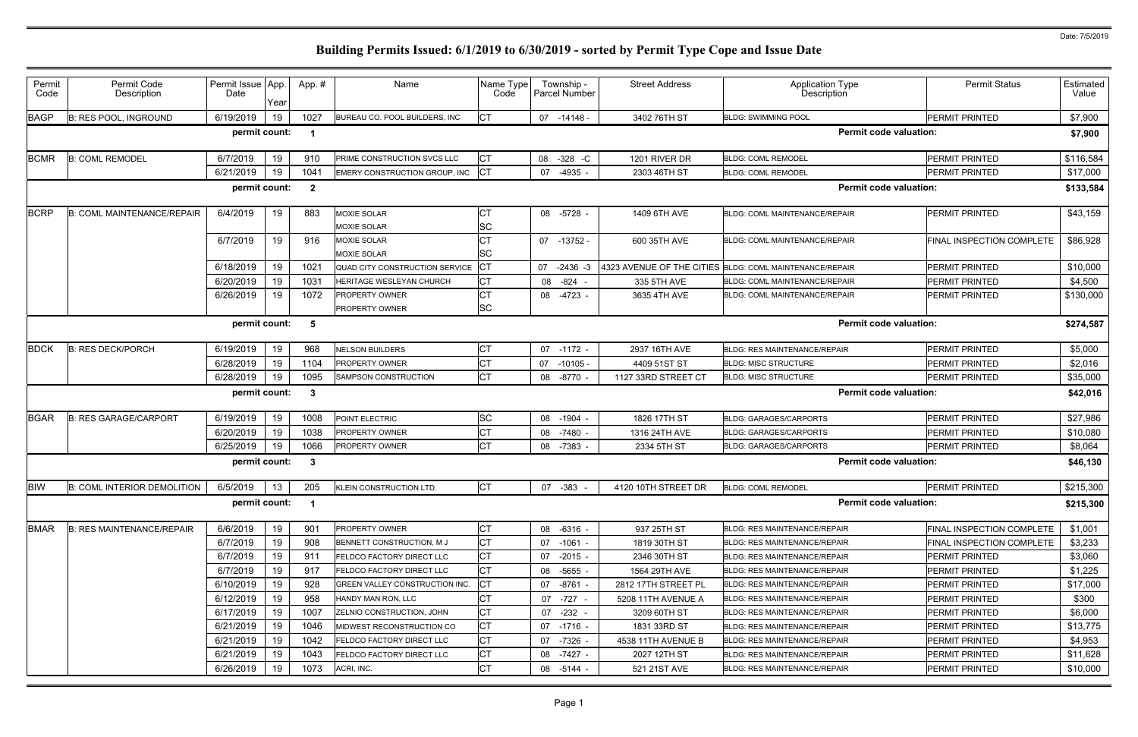| Permit<br>Code | Permit Code<br>Description         | Permit Issue App.<br>Date | Year | App.#                   | Name                              | Name Type<br>Code |    | Township -<br><b>Parcel Number</b> | <b>Street Address</b> | <b>Application Type</b><br>Description                  | <b>Permit Status</b>             | Estimated<br>Value |
|----------------|------------------------------------|---------------------------|------|-------------------------|-----------------------------------|-------------------|----|------------------------------------|-----------------------|---------------------------------------------------------|----------------------------------|--------------------|
| <b>BAGP</b>    | <b>B: RES POOL, INGROUND</b>       | 6/19/2019                 | 19   | 1027                    | BUREAU CO. POOL BUILDERS, INC.    | IСТ               |    | 07 -14148 -                        | 3402 76TH ST          | <b>BLDG: SWIMMING POOL</b>                              | <b>PERMIT PRINTED</b>            | \$7,900            |
|                |                                    | permit count:             |      | $\overline{\mathbf{1}}$ |                                   |                   |    |                                    |                       | <b>Permit code valuation:</b>                           |                                  | \$7,900            |
| <b>BCMR</b>    | <b>B: COML REMODEL</b>             | 6/7/2019                  | 19   | 910                     | PRIME CONSTRUCTION SVCS LLC       | IСТ               |    | 08 - 328 - C                       | 1201 RIVER DR         | <b>BLDG: COML REMODEL</b>                               | <b>PERMIT PRINTED</b>            | \$116,584          |
|                |                                    | 6/21/2019                 | 19   | 1041                    | EMERY CONSTRUCTION GROUP, INC     | Iст               | 07 | $-4935 -$                          | 2303 46TH ST          | <b>BLDG: COML REMODEL</b>                               | <b>PERMIT PRINTED</b>            | \$17,000           |
|                |                                    | permit count:             |      | $\overline{\mathbf{2}}$ |                                   |                   |    |                                    |                       | <b>Permit code valuation:</b>                           |                                  | \$133,584          |
| <b>BCRP</b>    | <b>B: COML MAINTENANCE/REPAIR</b>  | 6/4/2019                  | 19   | 883                     | MOXIE SOLAR<br><b>MOXIE SOLAR</b> | СT<br>SC          |    | 08 -5728 -                         | 1409 6TH AVE          | BLDG: COML MAINTENANCE/REPAIR                           | <b>PERMIT PRINTED</b>            | \$43,159           |
|                |                                    | 6/7/2019                  | 19   | 916                     | MOXIE SOLAR<br><b>MOXIE SOLAR</b> | СT<br>SC          |    | $07 - 13752$                       | 600 35TH AVE          | BLDG: COML MAINTENANCE/REPAIR                           | <b>FINAL INSPECTION COMPLETE</b> | \$86,928           |
|                |                                    | 6/18/2019                 | 19   | 1021                    | QUAD CITY CONSTRUCTION SERVICE    |                   | 07 | $-2436 -3$                         |                       | 4323 AVENUE OF THE CITIES BLDG: COML MAINTENANCE/REPAIR | <b>PERMIT PRINTED</b>            | \$10,000           |
|                |                                    | 6/20/2019                 | 19   | 1031                    | HERITAGE WESLEYAN CHURCH          | C <sub>1</sub>    |    | 08 -824                            | 335 5TH AVE           | <b>BLDG: COML MAINTENANCE/REPAIR</b>                    | <b>PERMIT PRINTED</b>            | \$4,500            |
|                |                                    | 6/26/2019                 | 19   | 1072                    | <b>PROPERTY OWNER</b>             | СT                | 08 | -4723 -                            | 3635 4TH AVE          | BLDG: COML MAINTENANCE/REPAIR                           | PERMIT PRINTED                   | \$130,000          |
|                |                                    |                           |      |                         | PROPERTY OWNER                    | <b>SC</b>         |    |                                    |                       |                                                         |                                  |                    |
|                |                                    | permit count:             |      | -5                      |                                   |                   |    |                                    |                       | <b>Permit code valuation:</b>                           |                                  | \$274,587          |
| <b>BDCK</b>    | <b>B: RES DECK/PORCH</b>           | 6/19/2019                 | 19   | 968                     | <b>NELSON BUILDERS</b>            | СT                |    | 07 -1172 -                         | 2937 16TH AVE         | <b>BLDG: RES MAINTENANCE/REPAIR</b>                     | <b>PERMIT PRINTED</b>            | \$5,000            |
|                |                                    | 6/28/2019                 | 19   | 1104                    | PROPERTY OWNER                    | СT                | 07 | $-10105$ -                         | 4409 51ST ST          | <b>BLDG: MISC STRUCTURE</b>                             | <b>PERMIT PRINTED</b>            | \$2,016            |
|                |                                    | 6/28/2019                 | 19   | 1095                    | SAMPSON CONSTRUCTION              | <b>CT</b>         | 08 | $-8770 -$                          | 1127 33RD STREET CT   | <b>BLDG: MISC STRUCTURE</b>                             | PERMIT PRINTED                   | \$35,000           |
|                |                                    | permit count:             |      | - 3                     |                                   |                   |    |                                    |                       | <b>Permit code valuation:</b>                           |                                  | \$42,016           |
| <b>BGAR</b>    | <b>B: RES GARAGE/CARPORT</b>       | 6/19/2019                 | 19   | 1008                    | POINT ELECTRIC                    | <b>SC</b>         | 08 | $-1904$                            | 1826 17TH ST          | <b>BLDG: GARAGES/CARPORTS</b>                           | <b>PERMIT PRINTED</b>            | \$27,986           |
|                |                                    | 6/20/2019                 | 19   | 1038                    | <b>PROPERTY OWNER</b>             |                   | 08 | -7480 -                            | 1316 24TH AVE         | <b>BLDG: GARAGES/CARPORTS</b>                           | <b>PERMIT PRINTED</b>            | \$10,080           |
|                |                                    | 6/25/2019                 | 19   | 1066                    | PROPERTY OWNER                    | <b>CT</b>         | 08 | -7383 -                            | 2334 5TH ST           | BLDG: GARAGES/CARPORTS                                  | <b>PERMIT PRINTED</b>            | \$8,064            |
|                |                                    | permit count:             |      | - 3                     |                                   |                   |    |                                    |                       | <b>Permit code valuation:</b>                           |                                  | \$46,130           |
| <b>BIW</b>     | <b>B: COML INTERIOR DEMOLITION</b> | 6/5/2019                  | 13   | 205                     | KLEIN CONSTRUCTION LTD.           | СT                |    | 07 -383                            | 4120 10TH STREET DR   | <b>BLDG: COML REMODEL</b>                               | PERMIT PRINTED                   | \$215,300          |
|                |                                    | permit count:             |      |                         |                                   |                   |    |                                    |                       | <b>Permit code valuation:</b>                           |                                  | \$215,300          |
| <b>BMAR</b>    | <b>B: RES MAINTENANCE/REPAIR</b>   | 6/6/2019                  | 19   | 901                     | PROPERTY OWNER                    | СT                |    | 08 -6316 -                         | 937 25TH ST           | <b>BLDG: RES MAINTENANCE/REPAIR</b>                     | <b>FINAL INSPECTION COMPLETE</b> | \$1,001            |
|                |                                    | 6/7/2019                  | 19   | 908                     | BENNETT CONSTRUCTION, M J         | СT                |    | 07 -1061 -                         | 1819 30TH ST          | BLDG: RES MAINTENANCE/REPAIR                            | FINAL INSPECTION COMPLETE        | \$3,233            |
|                |                                    | 6/7/2019                  | 19   | 911                     | FELDCO FACTORY DIRECT LLC         | СT                |    | 07 -2015 -                         | 2346 30TH ST          | BLDG: RES MAINTENANCE/REPAIR                            | PERMIT PRINTED                   | \$3,060            |
|                |                                    | 6/7/2019                  | 19   | 917                     | FELDCO FACTORY DIRECT LLC         | СT                |    | 08 -5655 -                         | 1564 29TH AVE         | <b>BLDG: RES MAINTENANCE/REPAIR</b>                     | <b>PERMIT PRINTED</b>            | \$1,225            |
|                |                                    | 6/10/2019                 | 19   | 928                     | GREEN VALLEY CONSTRUCTION INC.    | CT                |    | 07 -8761 -                         | 2812 17TH STREET PL   | <b>BLDG: RES MAINTENANCE/REPAIR</b>                     | <b>PERMIT PRINTED</b>            | \$17,000           |
|                |                                    | 6/12/2019                 | 19   | 958                     | HANDY MAN RON, LLC                | <b>CT</b>         |    | 07 -727                            | 5208 11TH AVENUE A    | <b>BLDG: RES MAINTENANCE/REPAIR</b>                     | PERMIT PRINTED                   | \$300              |
|                |                                    | 6/17/2019                 | 19   | 1007                    | ZELNIO CONSTRUCTION, JOHN         | <b>CT</b>         |    | 07 -232                            | 3209 60TH ST          | BLDG: RES MAINTENANCE/REPAIR                            | <b>PERMIT PRINTED</b>            | \$6,000            |
|                |                                    | 6/21/2019                 | 19   | 1046                    | MIDWEST RECONSTRUCTION CO         | СT                |    | 07 -1716 -                         | 1831 33RD ST          | <b>BLDG: RES MAINTENANCE/REPAIR</b>                     | PERMIT PRINTED                   | \$13,775           |
|                |                                    | 6/21/2019                 | 19   | 1042                    | FELDCO FACTORY DIRECT LLC         | <b>CT</b>         |    | 07 -7326 -                         | 4538 11TH AVENUE B    | <b>BLDG: RES MAINTENANCE/REPAIR</b>                     | <b>PERMIT PRINTED</b>            | \$4,953            |
|                |                                    | 6/21/2019                 | 19   | 1043                    | FELDCO FACTORY DIRECT LLC         | СT                |    | 08 -7427 -                         | 2027 12TH ST          | BLDG: RES MAINTENANCE/REPAIR                            | PERMIT PRINTED                   | \$11,628           |
|                |                                    | 6/26/2019                 | 19   | 1073                    | ACRI, INC.                        | <b>CT</b>         |    | 08 -5144 -                         | 521 21ST AVE          | BLDG: RES MAINTENANCE/REPAIR                            | <b>PERMIT PRINTED</b>            | \$10,000           |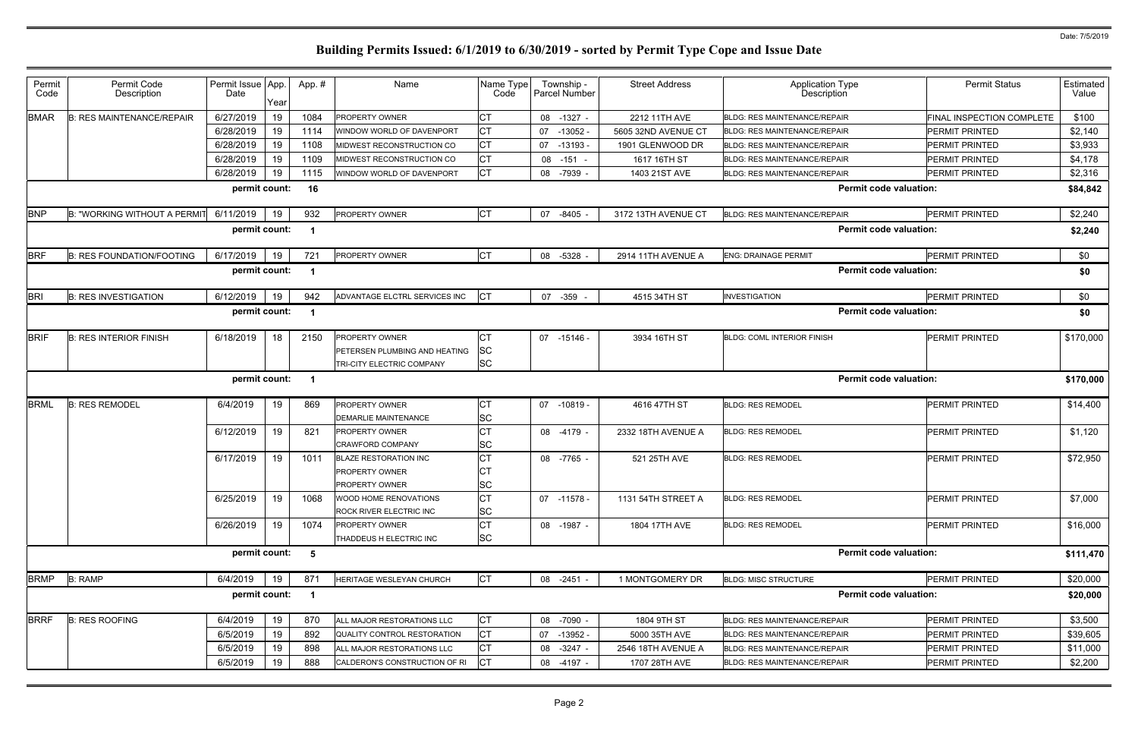| Permit<br>Code | Permit Code<br>Description          | Permit Issue App.<br>Date | Year | App.# | Name                                                                                | Name Type<br>Code      | Township -<br><b>Parcel Number</b> | <b>Street Address</b> | <b>Application Type</b><br>Description | <b>Permit Status</b>             | Estimated<br>Value |
|----------------|-------------------------------------|---------------------------|------|-------|-------------------------------------------------------------------------------------|------------------------|------------------------------------|-----------------------|----------------------------------------|----------------------------------|--------------------|
| <b>BMAR</b>    | <b>B: RES MAINTENANCE/REPAIR</b>    | 6/27/2019                 | 19   | 1084  | <b>PROPERTY OWNER</b>                                                               | СT                     | 08 -1327 -                         | 2212 11TH AVE         | <b>BLDG: RES MAINTENANCE/REPAIR</b>    | <b>FINAL INSPECTION COMPLETE</b> | \$100              |
|                |                                     | 6/28/2019                 | 19   | 1114  | WINDOW WORLD OF DAVENPORT                                                           | СT                     | $07 - 13052$                       | 5605 32ND AVENUE CT   | <b>BLDG: RES MAINTENANCE/REPAIR</b>    | <b>PERMIT PRINTED</b>            | \$2,140            |
|                |                                     | 6/28/2019                 | 19   | 1108  | MIDWEST RECONSTRUCTION CO                                                           | IСТ                    | 07 -13193 -                        | 1901 GLENWOOD DR      | <b>BLDG: RES MAINTENANCE/REPAIR</b>    | <b>PERMIT PRINTED</b>            | \$3,933            |
|                |                                     | 6/28/2019                 | 19   | 1109  | MIDWEST RECONSTRUCTION CO                                                           | СT                     | $08 - 151 -$                       | 1617 16TH ST          | <b>BLDG: RES MAINTENANCE/REPAIR</b>    | <b>PERMIT PRINTED</b>            | \$4,178            |
|                |                                     | 6/28/2019                 | 19   | 1115  | WINDOW WORLD OF DAVENPORT                                                           | <b>CT</b>              | 08 -7939                           | 1403 21ST AVE         | <b>BLDG: RES MAINTENANCE/REPAIR</b>    | <b>PERMIT PRINTED</b>            | \$2,316            |
|                |                                     | permit count:             |      | 16    |                                                                                     |                        |                                    |                       | <b>Permit code valuation:</b>          |                                  | \$84,842           |
| <b>BNP</b>     | <b>B: "WORKING WITHOUT A PERMIT</b> | 6/11/2019                 | 19   | 932   | <b>PROPERTY OWNER</b>                                                               | <b>CT</b>              | 07 -8405 -                         | 3172 13TH AVENUE CT   | <b>BLDG: RES MAINTENANCE/REPAIR</b>    | PERMIT PRINTED                   | \$2,240            |
|                |                                     | permit count:             |      | - 1   |                                                                                     |                        |                                    |                       | <b>Permit code valuation:</b>          |                                  | \$2,240            |
| <b>BRF</b>     | <b>B: RES FOUNDATION/FOOTING</b>    | 6/17/2019                 | 19   | 72'   | <b>PROPERTY OWNER</b>                                                               | Iст                    | 08 -5328                           | 2914 11TH AVENUE A    | <b>ENG: DRAINAGE PERMIT</b>            | PERMIT PRINTED                   | \$0                |
|                |                                     | permit count:             |      | - 1   |                                                                                     |                        |                                    |                       | <b>Permit code valuation:</b>          |                                  | \$0                |
| <b>BRI</b>     | <b>B: RES INVESTIGATION</b>         | 6/12/2019                 | 19   | 942   | ADVANTAGE ELCTRL SERVICES INC                                                       | <b>CT</b>              | 07 -359                            | 4515 34TH ST          | <b>INVESTIGATION</b>                   | <b>PERMIT PRINTED</b>            | \$0                |
|                |                                     | permit count:             |      |       |                                                                                     |                        |                                    |                       | <b>Permit code valuation:</b>          |                                  | \$0                |
| <b>BRIF</b>    | <b>B: RES INTERIOR FINISH</b>       | 6/18/2019                 | 18   | 2150  | <b>PROPERTY OWNER</b><br>PETERSEN PLUMBING AND HEATING<br>TRI-CITY ELECTRIC COMPANY | <b>SC</b><br><b>SC</b> | 07 -15146 -                        | 3934 16TH ST          | <b>BLDG: COML INTERIOR FINISH</b>      | <b>PERMIT PRINTED</b>            | \$170,000          |
|                |                                     | permit count:             |      | - 1   |                                                                                     |                        |                                    |                       | <b>Permit code valuation:</b>          |                                  | \$170,000          |
| <b>BRML</b>    | <b>B: RES REMODEL</b>               | 6/4/2019                  | 19   | 869   | <b>PROPERTY OWNER</b><br><b>DEMARLIE MAINTENANCE</b>                                | <b>SC</b>              | 07 -10819 -                        | 4616 47TH ST          | <b>BLDG: RES REMODEL</b>               | <b>PERMIT PRINTED</b>            | \$14,400           |
|                |                                     | 6/12/2019                 | 19   | 821   | <b>PROPERTY OWNER</b><br><b>CRAWFORD COMPANY</b>                                    | SC                     | 08 -4179 -                         | 2332 18TH AVENUE A    | <b>BLDG: RES REMODEL</b>               | <b>PERMIT PRINTED</b>            | \$1,120            |
|                |                                     | 6/17/2019                 | 19   | 1011  | <b>BLAZE RESTORATION INC</b><br><b>PROPERTY OWNER</b><br><b>PROPERTY OWNER</b>      | <b>CT</b><br>SC        | 08 -7765 -                         | 521 25TH AVE          | <b>BLDG: RES REMODEL</b>               | <b>PERMIT PRINTED</b>            | \$72,950           |
|                |                                     | 6/25/2019                 | 19   | 1068  | WOOD HOME RENOVATIONS<br>ROCK RIVER ELECTRIC INC                                    | <b>CT</b><br>SC        | 07 -11578 -                        | 1131 54TH STREET A    | <b>BLDG: RES REMODEL</b>               | <b>PERMIT PRINTED</b>            | \$7,000            |
|                |                                     | 6/26/2019                 | 19   | 1074  | <b>PROPERTY OWNER</b><br>THADDEUS H ELECTRIC INC                                    | СT<br><b>SC</b>        | 08 -1987 -                         | 1804 17TH AVE         | <b>BLDG: RES REMODEL</b>               | <b>PERMIT PRINTED</b>            | \$16,000           |
|                |                                     | permit count:             |      | 5     |                                                                                     |                        |                                    |                       | <b>Permit code valuation:</b>          |                                  | \$111,470          |
| <b>BRMP</b>    | <b>B: RAMP</b>                      | 6/4/2019                  | 19   | 871   | HERITAGE WESLEYAN CHURCH                                                            | CT                     | 08 -2451 -                         | 1 MONTGOMERY DR       | <b>BLDG: MISC STRUCTURE</b>            | PERMIT PRINTED                   | \$20,000           |
|                |                                     | permit count:             |      | - 1   |                                                                                     |                        |                                    |                       | <b>Permit code valuation:</b>          |                                  | \$20,000           |
| <b>BRRF</b>    | <b>B: RES ROOFING</b>               | 6/4/2019                  | 19   | 870   | ALL MAJOR RESTORATIONS LLC                                                          | <b>CT</b>              | 08 -7090 -                         | 1804 9TH ST           | BLDG: RES MAINTENANCE/REPAIR           | PERMIT PRINTED                   | \$3,500            |
|                |                                     | 6/5/2019                  | 19   | 892   | QUALITY CONTROL RESTORATION                                                         | <b>CT</b>              | 07 -13952 -                        | 5000 35TH AVE         | <b>BLDG: RES MAINTENANCE/REPAIR</b>    | PERMIT PRINTED                   | \$39,605           |
|                |                                     | 6/5/2019                  | 19   | 898   | ALL MAJOR RESTORATIONS LLC                                                          | СT                     | 08 -3247 -                         | 2546 18TH AVENUE A    | BLDG: RES MAINTENANCE/REPAIR           | PERMIT PRINTED                   | \$11,000           |
|                |                                     | 6/5/2019                  | 19   | 888   | CALDERON'S CONSTRUCTION OF RI                                                       | <b>CT</b>              | 08 -4197 -                         | 1707 28TH AVE         | BLDG: RES MAINTENANCE/REPAIR           | PERMIT PRINTED                   | \$2,200            |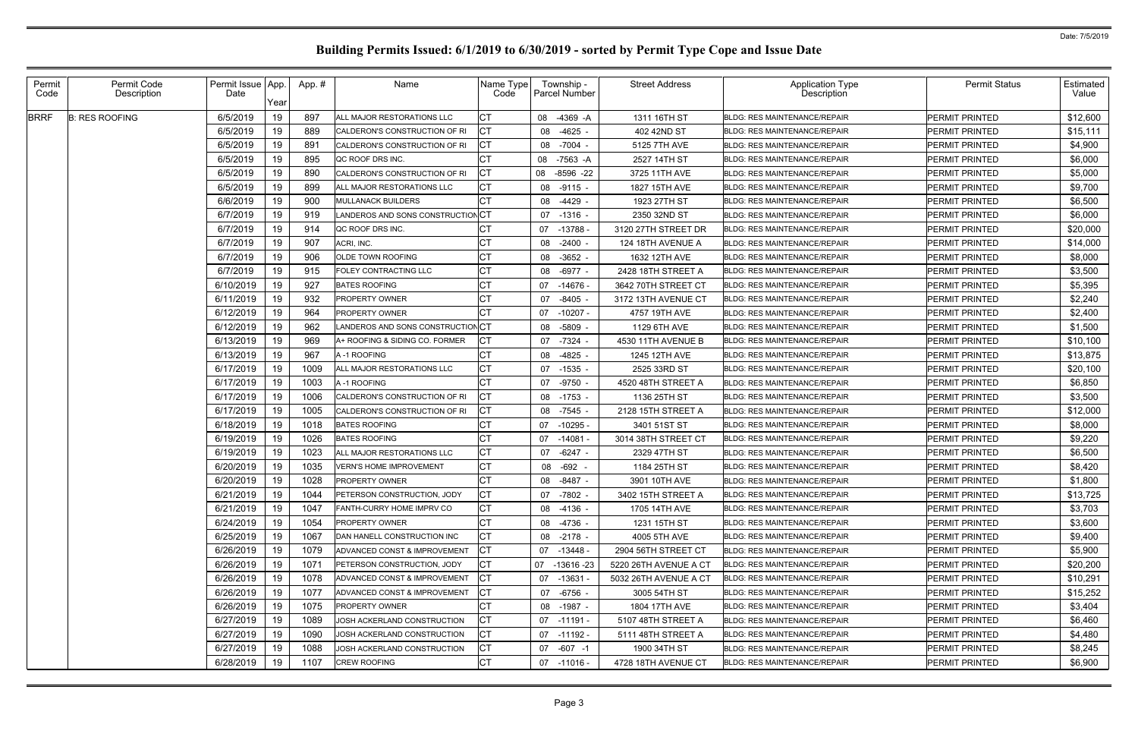| <b>BRRF</b><br>19<br>6/5/2019<br>897<br>\$12,600<br>-4369 -A<br>1311 16TH ST<br>PERMIT PRINTED<br><b>B: RES ROOFING</b><br>ALL MAJOR RESTORATIONS LLC<br>08<br><b>BLDG: RES MAINTENANCE/REPAIR</b><br>6/5/2019<br>19<br>889<br>\$15,111<br>$-4625 -$<br>PERMIT PRINTED<br>CALDERON'S CONSTRUCTION OF RI<br>08<br>402 42ND ST<br><b>BLDG: RES MAINTENANCE/REPAIR</b><br>19<br>6/5/2019<br>891<br>\$4,900<br>-7004<br>08<br>5125 7TH AVE<br>PERMIT PRINTED<br>CALDERON'S CONSTRUCTION OF RI<br><b>BLDG: RES MAINTENANCE/REPAIR</b><br>19<br>6/5/2019<br>895<br>\$6,000<br>-7563 -A<br>2527 14TH ST<br>PERMIT PRINTED<br>QC ROOF DRS INC.<br>08<br><b>BLDG: RES MAINTENANCE/REPAIR</b><br>19<br>6/5/2019<br>890<br>\$5,000<br>$-8596 -22$<br>CALDERON'S CONSTRUCTION OF RI<br>08<br>3725 11TH AVE<br>PERMIT PRINTED<br><b>BLDG: RES MAINTENANCE/REPAIR</b><br>6/5/2019<br>19<br>СT<br>899<br>\$9,700<br>ALL MAJOR RESTORATIONS LLC<br>BLDG: RES MAINTENANCE/REPAIR<br>PERMIT PRINTED<br>08<br>-9115 -<br>1827 15TH AVE<br>19<br>6/6/2019<br>900<br>\$6,500<br><b>MULLANACK BUILDERS</b><br>-4429<br>08<br>1923 27TH ST<br><b>BLDG: RES MAINTENANCE/REPAIR</b><br>PERMIT PRINTED<br>19<br>6/7/2019<br>919<br>LANDEROS AND SONS CONSTRUCTIONCT<br>\$6,000<br>2350 32ND ST<br><b>BLDG: RES MAINTENANCE/REPAIR</b><br>PERMIT PRINTED<br>07<br>$-1316 -$<br>19<br>6/7/2019<br>914<br>\$20,000<br>$-13788$<br>QC ROOF DRS INC.<br>07<br>3120 27TH STREET DR<br><b>BLDG: RES MAINTENANCE/REPAIR</b><br>PERMIT PRINTED<br>19<br>6/7/2019<br>907<br>\$14,000<br>ACRI, INC.<br>$-2400 -$<br>124 18TH AVENUE A<br><b>BLDG: RES MAINTENANCE/REPAIR</b><br><b>PERMIT PRINTED</b><br>08<br>19<br>6/7/2019<br>906<br>\$8,000<br><b>OLDE TOWN ROOFING</b><br>08<br>-3652 -<br>1632 12TH AVE<br><b>BLDG: RES MAINTENANCE/REPAIR</b><br>PERMIT PRINTED<br>19<br>6/7/2019<br>\$3,500<br>915<br>FOLEY CONTRACTING LLC<br>08<br>-6977 -<br>2428 18TH STREET A<br><b>BLDG: RES MAINTENANCE/REPAIR</b><br><b>PERMIT PRINTED</b><br>19<br>6/10/2019<br>927<br>\$5,395<br><b>BATES ROOFING</b><br>07<br>$-14676$<br>3642 70TH STREET CT<br><b>BLDG: RES MAINTENANCE/REPAIR</b><br>PERMIT PRINTED<br>19<br>6/11/2019<br>932<br>\$2,240<br>$-8405$<br>PERMIT PRINTED<br><b>PROPERTY OWNER</b><br>07<br>3172 13TH AVENUE CT<br><b>BLDG: RES MAINTENANCE/REPAIR</b><br>19<br>6/12/2019<br>964<br>\$2,400<br>PERMIT PRINTED<br><b>PROPERTY OWNER</b><br>-10207 -<br>4757 19TH AVE<br>07<br><b>BLDG: RES MAINTENANCE/REPAIR</b><br>19<br>6/12/2019<br>962<br>LANDEROS AND SONS CONSTRUCTIONCT<br>\$1,500<br>08<br>-5809<br>1129 6TH AVE<br><b>PERMIT PRINTED</b><br><b>BLDG: RES MAINTENANCE/REPAIR</b><br>19<br>6/13/2019<br>969<br>-7324<br>PERMIT PRINTED<br>\$10,100<br>07<br>4530 11TH AVENUE B<br>A+ ROOFING & SIDING CO. FORMER<br><b>BLDG: RES MAINTENANCE/REPAIR</b><br>6/13/2019<br>19<br>967<br>\$13,875<br>-4825 -<br><b>PERMIT PRINTED</b><br>A-1 ROOFING<br>08<br>1245 12TH AVE<br><b>BLDG: RES MAINTENANCE/REPAIR</b><br>19<br>СT<br>6/17/2019<br>\$20,100<br>1009<br>$-1535 -$<br>2525 33RD ST<br>PERMIT PRINTED<br>ALL MAJOR RESTORATIONS LLC<br>07<br><b>BLDG: RES MAINTENANCE/REPAIR</b><br>19<br>6/17/2019<br>\$6,850<br>1003<br>-9750 -<br>4520 48TH STREET A<br>PERMIT PRINTED<br>A-1 ROOFING<br>07<br><b>BLDG: RES MAINTENANCE/REPAIR</b><br>19<br>6/17/2019<br>1006<br>CALDERON'S CONSTRUCTION OF RI<br>$-1753 -$<br>PERMIT PRINTED<br>\$3,500<br>08<br>1136 25TH ST<br><b>BLDG: RES MAINTENANCE/REPAIR</b><br>6/17/2019<br>19<br>СT<br>1005<br>\$12,000<br>CALDERON'S CONSTRUCTION OF RI<br>$-7545 -$<br>2128 15TH STREET A<br><b>BLDG: RES MAINTENANCE/REPAIR</b><br><b>PERMIT PRINTED</b><br>08<br>19<br>6/18/2019<br>\$8,000<br>1018<br><b>BATES ROOFING</b><br>$-10295$<br>3401 51ST ST<br><b>PERMIT PRINTED</b><br>07<br><b>BLDG: RES MAINTENANCE/REPAIR</b><br>19<br>6/19/2019<br>\$9,220<br>1026<br><b>BATES ROOFING</b><br>$-14081$<br>3014 38TH STREET CT<br><b>BLDG: RES MAINTENANCE/REPAIR</b><br><b>PERMIT PRINTED</b><br>07<br>6/19/2019<br>19<br>ALL MAJOR RESTORATIONS LLC<br>1023<br>$-6247 -$<br>PERMIT PRINTED<br>\$6,500<br>07<br>2329 47TH ST<br><b>BLDG: RES MAINTENANCE/REPAIR</b><br>6/20/2019<br>19<br>СT<br>\$8,420<br>1035<br><b>VERN'S HOME IMPROVEMENT</b><br><b>BLDG: RES MAINTENANCE/REPAIR</b><br>PERMIT PRINTED<br>08 -692<br>1184 25TH ST<br>6/20/2019<br>19<br>\$1,800<br>1028<br>PROPERTY OWNER<br><b>BLDG: RES MAINTENANCE/REPAIR</b><br>PERMIT PRINTED<br>08 -8487 -<br>3901 10TH AVE<br>6/21/2019<br>19<br>IСT<br><b>PERMIT PRINTED</b><br>\$13,725<br>PETERSON CONSTRUCTION, JODY<br>3402 15TH STREET A<br>1044<br>07 -7802 -<br><b>BLDG: RES MAINTENANCE/REPAIR</b><br>СT<br>6/21/2019<br>19<br>\$3,703<br>1047<br>FANTH-CURRY HOME IMPRV CO<br>PERMIT PRINTED<br>08 -4136 -<br>1705 14TH AVE<br><b>BLDG: RES MAINTENANCE/REPAIR</b><br>6/24/2019<br>19<br>СT<br><b>PERMIT PRINTED</b><br>\$3,600<br>1054<br><b>PROPERTY OWNER</b><br>08 -4736 -<br>1231 15TH ST<br><b>BLDG: RES MAINTENANCE/REPAIR</b><br>СT<br>6/25/2019<br>19<br>1067<br>PERMIT PRINTED<br>\$9,400<br>DAN HANELL CONSTRUCTION INC<br>08 -2178 -<br>4005 5TH AVE<br><b>BLDG: RES MAINTENANCE/REPAIR</b><br>6/26/2019<br>19<br>CТ<br>PERMIT PRINTED<br>\$5,900<br>1079<br>07 -13448 -<br>2904 56TH STREET CT<br>ADVANCED CONST & IMPROVEMENT<br><b>BLDG: RES MAINTENANCE/REPAIR</b><br>6/26/2019<br>19<br>\$20,200<br>1071<br>PERMIT PRINTED<br>PETERSON CONSTRUCTION, JODY<br>07 -13616 -23<br>5220 26TH AVENUE A CT<br><b>BLDG: RES MAINTENANCE/REPAIR</b><br>6/26/2019<br>19<br>СT<br>PERMIT PRINTED<br>\$10,291<br>1078<br>07 -13631 -<br>ADVANCED CONST & IMPROVEMENT<br>5032 26TH AVENUE A CT<br><b>BLDG: RES MAINTENANCE/REPAIR</b><br>6/26/2019<br>19<br>\$15,252<br>1077<br>IСТ<br><b>PERMIT PRINTED</b><br>07 -6756 -<br>3005 54TH ST<br>ADVANCED CONST & IMPROVEMENT<br><b>BLDG: RES MAINTENANCE/REPAIR</b><br>СT<br>6/26/2019<br>19<br>1075<br>\$3,404<br>PROPERTY OWNER<br>1804 17TH AVE<br><b>PERMIT PRINTED</b><br>08 -1987 -<br><b>BLDG: RES MAINTENANCE/REPAIR</b><br>6/27/2019<br>19<br>1089<br>СT<br>PERMIT PRINTED<br>\$6,460<br>JOSH ACKERLAND CONSTRUCTION<br>5107 48TH STREET A<br>07 -11191 -<br><b>BLDG: RES MAINTENANCE/REPAIR</b><br>19<br>СT<br>6/27/2019<br>PERMIT PRINTED<br>1090<br>JOSH ACKERLAND CONSTRUCTION<br><b>BLDG: RES MAINTENANCE/REPAIR</b><br>\$4,480<br>07 -11192 -<br>5111 48TH STREET A<br>6/27/2019<br>19<br>СT<br>\$8,245<br>1088<br>JOSH ACKERLAND CONSTRUCTION<br>PERMIT PRINTED<br>1900 34TH ST<br><b>BLDG: RES MAINTENANCE/REPAIR</b><br>07 -607 -1<br>СT<br>19<br>6/28/2019<br>CREW ROOFING<br>\$6,900<br>1107<br><b>BLDG: RES MAINTENANCE/REPAIR</b><br><b>PERMIT PRINTED</b><br>07 -11016 -<br>4728 18TH AVENUE CT | Permit<br>Code | Permit Code<br>Description | Permit Issue   App.<br>Date |      | App.# | Name | Name Type<br>Code | Township -<br><b>Parcel Number</b> | <b>Street Address</b> | <b>Application Type</b><br>Description | <b>Permit Status</b> | Estimated<br>Value |
|---------------------------------------------------------------------------------------------------------------------------------------------------------------------------------------------------------------------------------------------------------------------------------------------------------------------------------------------------------------------------------------------------------------------------------------------------------------------------------------------------------------------------------------------------------------------------------------------------------------------------------------------------------------------------------------------------------------------------------------------------------------------------------------------------------------------------------------------------------------------------------------------------------------------------------------------------------------------------------------------------------------------------------------------------------------------------------------------------------------------------------------------------------------------------------------------------------------------------------------------------------------------------------------------------------------------------------------------------------------------------------------------------------------------------------------------------------------------------------------------------------------------------------------------------------------------------------------------------------------------------------------------------------------------------------------------------------------------------------------------------------------------------------------------------------------------------------------------------------------------------------------------------------------------------------------------------------------------------------------------------------------------------------------------------------------------------------------------------------------------------------------------------------------------------------------------------------------------------------------------------------------------------------------------------------------------------------------------------------------------------------------------------------------------------------------------------------------------------------------------------------------------------------------------------------------------------------------------------------------------------------------------------------------------------------------------------------------------------------------------------------------------------------------------------------------------------------------------------------------------------------------------------------------------------------------------------------------------------------------------------------------------------------------------------------------------------------------------------------------------------------------------------------------------------------------------------------------------------------------------------------------------------------------------------------------------------------------------------------------------------------------------------------------------------------------------------------------------------------------------------------------------------------------------------------------------------------------------------------------------------------------------------------------------------------------------------------------------------------------------------------------------------------------------------------------------------------------------------------------------------------------------------------------------------------------------------------------------------------------------------------------------------------------------------------------------------------------------------------------------------------------------------------------------------------------------------------------------------------------------------------------------------------------------------------------------------------------------------------------------------------------------------------------------------------------------------------------------------------------------------------------------------------------------------------------------------------------------------------------------------------------------------------------------------------------------------------------------------------------------------------------------------------------------------------------------------------------------------------------------------------------------------------------------------------------------------------------------------------------------------------------------------------------------------------------------------------------------------------------------------------------------------------------------------------------------------------------------------------------------------------------------------------------------------------------------------------------------------------------------------------------------------------------------------------------------------------------------------------------------------------------------------------------------------------------------------------------------------------------------------------------------------------------------------------------------------------------------------------------------------------------------------------------------------------------------------------------------------------------------------------------------------------------------------------------------------------------------------------------------------------------------------------------------------------------------------------------------------------------------------------------------------------------------------------------------------------------------------------------------------------------------------------------------------------------------------------------------------------------------------------------------------------------------------------------------------------------------------------------------------------------------------------------------------------------------------------------------------------------------------------------------------------------------------------------------------------------------------------------------------------------------------|----------------|----------------------------|-----------------------------|------|-------|------|-------------------|------------------------------------|-----------------------|----------------------------------------|----------------------|--------------------|
|                                                                                                                                                                                                                                                                                                                                                                                                                                                                                                                                                                                                                                                                                                                                                                                                                                                                                                                                                                                                                                                                                                                                                                                                                                                                                                                                                                                                                                                                                                                                                                                                                                                                                                                                                                                                                                                                                                                                                                                                                                                                                                                                                                                                                                                                                                                                                                                                                                                                                                                                                                                                                                                                                                                                                                                                                                                                                                                                                                                                                                                                                                                                                                                                                                                                                                                                                                                                                                                                                                                                                                                                                                                                                                                                                                                                                                                                                                                                                                                                                                                                                                                                                                                                                                                                                                                                                                                                                                                                                                                                                                                                                                                                                                                                                                                                                                                                                                                                                                                                                                                                                                                                                                                                                                                                                                                                                                                                                                                                                                                                                                                                                                                                                                                                                                                                                                                                                                                                                                                                                                                                                                                                                                                                                                                                                                                                                                                                                                                                                                                                                                                                                                                                                                                                                                           |                |                            |                             | Year |       |      |                   |                                    |                       |                                        |                      |                    |
|                                                                                                                                                                                                                                                                                                                                                                                                                                                                                                                                                                                                                                                                                                                                                                                                                                                                                                                                                                                                                                                                                                                                                                                                                                                                                                                                                                                                                                                                                                                                                                                                                                                                                                                                                                                                                                                                                                                                                                                                                                                                                                                                                                                                                                                                                                                                                                                                                                                                                                                                                                                                                                                                                                                                                                                                                                                                                                                                                                                                                                                                                                                                                                                                                                                                                                                                                                                                                                                                                                                                                                                                                                                                                                                                                                                                                                                                                                                                                                                                                                                                                                                                                                                                                                                                                                                                                                                                                                                                                                                                                                                                                                                                                                                                                                                                                                                                                                                                                                                                                                                                                                                                                                                                                                                                                                                                                                                                                                                                                                                                                                                                                                                                                                                                                                                                                                                                                                                                                                                                                                                                                                                                                                                                                                                                                                                                                                                                                                                                                                                                                                                                                                                                                                                                                                           |                |                            |                             |      |       |      |                   |                                    |                       |                                        |                      |                    |
|                                                                                                                                                                                                                                                                                                                                                                                                                                                                                                                                                                                                                                                                                                                                                                                                                                                                                                                                                                                                                                                                                                                                                                                                                                                                                                                                                                                                                                                                                                                                                                                                                                                                                                                                                                                                                                                                                                                                                                                                                                                                                                                                                                                                                                                                                                                                                                                                                                                                                                                                                                                                                                                                                                                                                                                                                                                                                                                                                                                                                                                                                                                                                                                                                                                                                                                                                                                                                                                                                                                                                                                                                                                                                                                                                                                                                                                                                                                                                                                                                                                                                                                                                                                                                                                                                                                                                                                                                                                                                                                                                                                                                                                                                                                                                                                                                                                                                                                                                                                                                                                                                                                                                                                                                                                                                                                                                                                                                                                                                                                                                                                                                                                                                                                                                                                                                                                                                                                                                                                                                                                                                                                                                                                                                                                                                                                                                                                                                                                                                                                                                                                                                                                                                                                                                                           |                |                            |                             |      |       |      |                   |                                    |                       |                                        |                      |                    |
|                                                                                                                                                                                                                                                                                                                                                                                                                                                                                                                                                                                                                                                                                                                                                                                                                                                                                                                                                                                                                                                                                                                                                                                                                                                                                                                                                                                                                                                                                                                                                                                                                                                                                                                                                                                                                                                                                                                                                                                                                                                                                                                                                                                                                                                                                                                                                                                                                                                                                                                                                                                                                                                                                                                                                                                                                                                                                                                                                                                                                                                                                                                                                                                                                                                                                                                                                                                                                                                                                                                                                                                                                                                                                                                                                                                                                                                                                                                                                                                                                                                                                                                                                                                                                                                                                                                                                                                                                                                                                                                                                                                                                                                                                                                                                                                                                                                                                                                                                                                                                                                                                                                                                                                                                                                                                                                                                                                                                                                                                                                                                                                                                                                                                                                                                                                                                                                                                                                                                                                                                                                                                                                                                                                                                                                                                                                                                                                                                                                                                                                                                                                                                                                                                                                                                                           |                |                            |                             |      |       |      |                   |                                    |                       |                                        |                      |                    |
|                                                                                                                                                                                                                                                                                                                                                                                                                                                                                                                                                                                                                                                                                                                                                                                                                                                                                                                                                                                                                                                                                                                                                                                                                                                                                                                                                                                                                                                                                                                                                                                                                                                                                                                                                                                                                                                                                                                                                                                                                                                                                                                                                                                                                                                                                                                                                                                                                                                                                                                                                                                                                                                                                                                                                                                                                                                                                                                                                                                                                                                                                                                                                                                                                                                                                                                                                                                                                                                                                                                                                                                                                                                                                                                                                                                                                                                                                                                                                                                                                                                                                                                                                                                                                                                                                                                                                                                                                                                                                                                                                                                                                                                                                                                                                                                                                                                                                                                                                                                                                                                                                                                                                                                                                                                                                                                                                                                                                                                                                                                                                                                                                                                                                                                                                                                                                                                                                                                                                                                                                                                                                                                                                                                                                                                                                                                                                                                                                                                                                                                                                                                                                                                                                                                                                                           |                |                            |                             |      |       |      |                   |                                    |                       |                                        |                      |                    |
|                                                                                                                                                                                                                                                                                                                                                                                                                                                                                                                                                                                                                                                                                                                                                                                                                                                                                                                                                                                                                                                                                                                                                                                                                                                                                                                                                                                                                                                                                                                                                                                                                                                                                                                                                                                                                                                                                                                                                                                                                                                                                                                                                                                                                                                                                                                                                                                                                                                                                                                                                                                                                                                                                                                                                                                                                                                                                                                                                                                                                                                                                                                                                                                                                                                                                                                                                                                                                                                                                                                                                                                                                                                                                                                                                                                                                                                                                                                                                                                                                                                                                                                                                                                                                                                                                                                                                                                                                                                                                                                                                                                                                                                                                                                                                                                                                                                                                                                                                                                                                                                                                                                                                                                                                                                                                                                                                                                                                                                                                                                                                                                                                                                                                                                                                                                                                                                                                                                                                                                                                                                                                                                                                                                                                                                                                                                                                                                                                                                                                                                                                                                                                                                                                                                                                                           |                |                            |                             |      |       |      |                   |                                    |                       |                                        |                      |                    |
|                                                                                                                                                                                                                                                                                                                                                                                                                                                                                                                                                                                                                                                                                                                                                                                                                                                                                                                                                                                                                                                                                                                                                                                                                                                                                                                                                                                                                                                                                                                                                                                                                                                                                                                                                                                                                                                                                                                                                                                                                                                                                                                                                                                                                                                                                                                                                                                                                                                                                                                                                                                                                                                                                                                                                                                                                                                                                                                                                                                                                                                                                                                                                                                                                                                                                                                                                                                                                                                                                                                                                                                                                                                                                                                                                                                                                                                                                                                                                                                                                                                                                                                                                                                                                                                                                                                                                                                                                                                                                                                                                                                                                                                                                                                                                                                                                                                                                                                                                                                                                                                                                                                                                                                                                                                                                                                                                                                                                                                                                                                                                                                                                                                                                                                                                                                                                                                                                                                                                                                                                                                                                                                                                                                                                                                                                                                                                                                                                                                                                                                                                                                                                                                                                                                                                                           |                |                            |                             |      |       |      |                   |                                    |                       |                                        |                      |                    |
|                                                                                                                                                                                                                                                                                                                                                                                                                                                                                                                                                                                                                                                                                                                                                                                                                                                                                                                                                                                                                                                                                                                                                                                                                                                                                                                                                                                                                                                                                                                                                                                                                                                                                                                                                                                                                                                                                                                                                                                                                                                                                                                                                                                                                                                                                                                                                                                                                                                                                                                                                                                                                                                                                                                                                                                                                                                                                                                                                                                                                                                                                                                                                                                                                                                                                                                                                                                                                                                                                                                                                                                                                                                                                                                                                                                                                                                                                                                                                                                                                                                                                                                                                                                                                                                                                                                                                                                                                                                                                                                                                                                                                                                                                                                                                                                                                                                                                                                                                                                                                                                                                                                                                                                                                                                                                                                                                                                                                                                                                                                                                                                                                                                                                                                                                                                                                                                                                                                                                                                                                                                                                                                                                                                                                                                                                                                                                                                                                                                                                                                                                                                                                                                                                                                                                                           |                |                            |                             |      |       |      |                   |                                    |                       |                                        |                      |                    |
|                                                                                                                                                                                                                                                                                                                                                                                                                                                                                                                                                                                                                                                                                                                                                                                                                                                                                                                                                                                                                                                                                                                                                                                                                                                                                                                                                                                                                                                                                                                                                                                                                                                                                                                                                                                                                                                                                                                                                                                                                                                                                                                                                                                                                                                                                                                                                                                                                                                                                                                                                                                                                                                                                                                                                                                                                                                                                                                                                                                                                                                                                                                                                                                                                                                                                                                                                                                                                                                                                                                                                                                                                                                                                                                                                                                                                                                                                                                                                                                                                                                                                                                                                                                                                                                                                                                                                                                                                                                                                                                                                                                                                                                                                                                                                                                                                                                                                                                                                                                                                                                                                                                                                                                                                                                                                                                                                                                                                                                                                                                                                                                                                                                                                                                                                                                                                                                                                                                                                                                                                                                                                                                                                                                                                                                                                                                                                                                                                                                                                                                                                                                                                                                                                                                                                                           |                |                            |                             |      |       |      |                   |                                    |                       |                                        |                      |                    |
|                                                                                                                                                                                                                                                                                                                                                                                                                                                                                                                                                                                                                                                                                                                                                                                                                                                                                                                                                                                                                                                                                                                                                                                                                                                                                                                                                                                                                                                                                                                                                                                                                                                                                                                                                                                                                                                                                                                                                                                                                                                                                                                                                                                                                                                                                                                                                                                                                                                                                                                                                                                                                                                                                                                                                                                                                                                                                                                                                                                                                                                                                                                                                                                                                                                                                                                                                                                                                                                                                                                                                                                                                                                                                                                                                                                                                                                                                                                                                                                                                                                                                                                                                                                                                                                                                                                                                                                                                                                                                                                                                                                                                                                                                                                                                                                                                                                                                                                                                                                                                                                                                                                                                                                                                                                                                                                                                                                                                                                                                                                                                                                                                                                                                                                                                                                                                                                                                                                                                                                                                                                                                                                                                                                                                                                                                                                                                                                                                                                                                                                                                                                                                                                                                                                                                                           |                |                            |                             |      |       |      |                   |                                    |                       |                                        |                      |                    |
|                                                                                                                                                                                                                                                                                                                                                                                                                                                                                                                                                                                                                                                                                                                                                                                                                                                                                                                                                                                                                                                                                                                                                                                                                                                                                                                                                                                                                                                                                                                                                                                                                                                                                                                                                                                                                                                                                                                                                                                                                                                                                                                                                                                                                                                                                                                                                                                                                                                                                                                                                                                                                                                                                                                                                                                                                                                                                                                                                                                                                                                                                                                                                                                                                                                                                                                                                                                                                                                                                                                                                                                                                                                                                                                                                                                                                                                                                                                                                                                                                                                                                                                                                                                                                                                                                                                                                                                                                                                                                                                                                                                                                                                                                                                                                                                                                                                                                                                                                                                                                                                                                                                                                                                                                                                                                                                                                                                                                                                                                                                                                                                                                                                                                                                                                                                                                                                                                                                                                                                                                                                                                                                                                                                                                                                                                                                                                                                                                                                                                                                                                                                                                                                                                                                                                                           |                |                            |                             |      |       |      |                   |                                    |                       |                                        |                      |                    |
|                                                                                                                                                                                                                                                                                                                                                                                                                                                                                                                                                                                                                                                                                                                                                                                                                                                                                                                                                                                                                                                                                                                                                                                                                                                                                                                                                                                                                                                                                                                                                                                                                                                                                                                                                                                                                                                                                                                                                                                                                                                                                                                                                                                                                                                                                                                                                                                                                                                                                                                                                                                                                                                                                                                                                                                                                                                                                                                                                                                                                                                                                                                                                                                                                                                                                                                                                                                                                                                                                                                                                                                                                                                                                                                                                                                                                                                                                                                                                                                                                                                                                                                                                                                                                                                                                                                                                                                                                                                                                                                                                                                                                                                                                                                                                                                                                                                                                                                                                                                                                                                                                                                                                                                                                                                                                                                                                                                                                                                                                                                                                                                                                                                                                                                                                                                                                                                                                                                                                                                                                                                                                                                                                                                                                                                                                                                                                                                                                                                                                                                                                                                                                                                                                                                                                                           |                |                            |                             |      |       |      |                   |                                    |                       |                                        |                      |                    |
|                                                                                                                                                                                                                                                                                                                                                                                                                                                                                                                                                                                                                                                                                                                                                                                                                                                                                                                                                                                                                                                                                                                                                                                                                                                                                                                                                                                                                                                                                                                                                                                                                                                                                                                                                                                                                                                                                                                                                                                                                                                                                                                                                                                                                                                                                                                                                                                                                                                                                                                                                                                                                                                                                                                                                                                                                                                                                                                                                                                                                                                                                                                                                                                                                                                                                                                                                                                                                                                                                                                                                                                                                                                                                                                                                                                                                                                                                                                                                                                                                                                                                                                                                                                                                                                                                                                                                                                                                                                                                                                                                                                                                                                                                                                                                                                                                                                                                                                                                                                                                                                                                                                                                                                                                                                                                                                                                                                                                                                                                                                                                                                                                                                                                                                                                                                                                                                                                                                                                                                                                                                                                                                                                                                                                                                                                                                                                                                                                                                                                                                                                                                                                                                                                                                                                                           |                |                            |                             |      |       |      |                   |                                    |                       |                                        |                      |                    |
|                                                                                                                                                                                                                                                                                                                                                                                                                                                                                                                                                                                                                                                                                                                                                                                                                                                                                                                                                                                                                                                                                                                                                                                                                                                                                                                                                                                                                                                                                                                                                                                                                                                                                                                                                                                                                                                                                                                                                                                                                                                                                                                                                                                                                                                                                                                                                                                                                                                                                                                                                                                                                                                                                                                                                                                                                                                                                                                                                                                                                                                                                                                                                                                                                                                                                                                                                                                                                                                                                                                                                                                                                                                                                                                                                                                                                                                                                                                                                                                                                                                                                                                                                                                                                                                                                                                                                                                                                                                                                                                                                                                                                                                                                                                                                                                                                                                                                                                                                                                                                                                                                                                                                                                                                                                                                                                                                                                                                                                                                                                                                                                                                                                                                                                                                                                                                                                                                                                                                                                                                                                                                                                                                                                                                                                                                                                                                                                                                                                                                                                                                                                                                                                                                                                                                                           |                |                            |                             |      |       |      |                   |                                    |                       |                                        |                      |                    |
|                                                                                                                                                                                                                                                                                                                                                                                                                                                                                                                                                                                                                                                                                                                                                                                                                                                                                                                                                                                                                                                                                                                                                                                                                                                                                                                                                                                                                                                                                                                                                                                                                                                                                                                                                                                                                                                                                                                                                                                                                                                                                                                                                                                                                                                                                                                                                                                                                                                                                                                                                                                                                                                                                                                                                                                                                                                                                                                                                                                                                                                                                                                                                                                                                                                                                                                                                                                                                                                                                                                                                                                                                                                                                                                                                                                                                                                                                                                                                                                                                                                                                                                                                                                                                                                                                                                                                                                                                                                                                                                                                                                                                                                                                                                                                                                                                                                                                                                                                                                                                                                                                                                                                                                                                                                                                                                                                                                                                                                                                                                                                                                                                                                                                                                                                                                                                                                                                                                                                                                                                                                                                                                                                                                                                                                                                                                                                                                                                                                                                                                                                                                                                                                                                                                                                                           |                |                            |                             |      |       |      |                   |                                    |                       |                                        |                      |                    |
|                                                                                                                                                                                                                                                                                                                                                                                                                                                                                                                                                                                                                                                                                                                                                                                                                                                                                                                                                                                                                                                                                                                                                                                                                                                                                                                                                                                                                                                                                                                                                                                                                                                                                                                                                                                                                                                                                                                                                                                                                                                                                                                                                                                                                                                                                                                                                                                                                                                                                                                                                                                                                                                                                                                                                                                                                                                                                                                                                                                                                                                                                                                                                                                                                                                                                                                                                                                                                                                                                                                                                                                                                                                                                                                                                                                                                                                                                                                                                                                                                                                                                                                                                                                                                                                                                                                                                                                                                                                                                                                                                                                                                                                                                                                                                                                                                                                                                                                                                                                                                                                                                                                                                                                                                                                                                                                                                                                                                                                                                                                                                                                                                                                                                                                                                                                                                                                                                                                                                                                                                                                                                                                                                                                                                                                                                                                                                                                                                                                                                                                                                                                                                                                                                                                                                                           |                |                            |                             |      |       |      |                   |                                    |                       |                                        |                      |                    |
|                                                                                                                                                                                                                                                                                                                                                                                                                                                                                                                                                                                                                                                                                                                                                                                                                                                                                                                                                                                                                                                                                                                                                                                                                                                                                                                                                                                                                                                                                                                                                                                                                                                                                                                                                                                                                                                                                                                                                                                                                                                                                                                                                                                                                                                                                                                                                                                                                                                                                                                                                                                                                                                                                                                                                                                                                                                                                                                                                                                                                                                                                                                                                                                                                                                                                                                                                                                                                                                                                                                                                                                                                                                                                                                                                                                                                                                                                                                                                                                                                                                                                                                                                                                                                                                                                                                                                                                                                                                                                                                                                                                                                                                                                                                                                                                                                                                                                                                                                                                                                                                                                                                                                                                                                                                                                                                                                                                                                                                                                                                                                                                                                                                                                                                                                                                                                                                                                                                                                                                                                                                                                                                                                                                                                                                                                                                                                                                                                                                                                                                                                                                                                                                                                                                                                                           |                |                            |                             |      |       |      |                   |                                    |                       |                                        |                      |                    |
|                                                                                                                                                                                                                                                                                                                                                                                                                                                                                                                                                                                                                                                                                                                                                                                                                                                                                                                                                                                                                                                                                                                                                                                                                                                                                                                                                                                                                                                                                                                                                                                                                                                                                                                                                                                                                                                                                                                                                                                                                                                                                                                                                                                                                                                                                                                                                                                                                                                                                                                                                                                                                                                                                                                                                                                                                                                                                                                                                                                                                                                                                                                                                                                                                                                                                                                                                                                                                                                                                                                                                                                                                                                                                                                                                                                                                                                                                                                                                                                                                                                                                                                                                                                                                                                                                                                                                                                                                                                                                                                                                                                                                                                                                                                                                                                                                                                                                                                                                                                                                                                                                                                                                                                                                                                                                                                                                                                                                                                                                                                                                                                                                                                                                                                                                                                                                                                                                                                                                                                                                                                                                                                                                                                                                                                                                                                                                                                                                                                                                                                                                                                                                                                                                                                                                                           |                |                            |                             |      |       |      |                   |                                    |                       |                                        |                      |                    |
|                                                                                                                                                                                                                                                                                                                                                                                                                                                                                                                                                                                                                                                                                                                                                                                                                                                                                                                                                                                                                                                                                                                                                                                                                                                                                                                                                                                                                                                                                                                                                                                                                                                                                                                                                                                                                                                                                                                                                                                                                                                                                                                                                                                                                                                                                                                                                                                                                                                                                                                                                                                                                                                                                                                                                                                                                                                                                                                                                                                                                                                                                                                                                                                                                                                                                                                                                                                                                                                                                                                                                                                                                                                                                                                                                                                                                                                                                                                                                                                                                                                                                                                                                                                                                                                                                                                                                                                                                                                                                                                                                                                                                                                                                                                                                                                                                                                                                                                                                                                                                                                                                                                                                                                                                                                                                                                                                                                                                                                                                                                                                                                                                                                                                                                                                                                                                                                                                                                                                                                                                                                                                                                                                                                                                                                                                                                                                                                                                                                                                                                                                                                                                                                                                                                                                                           |                |                            |                             |      |       |      |                   |                                    |                       |                                        |                      |                    |
|                                                                                                                                                                                                                                                                                                                                                                                                                                                                                                                                                                                                                                                                                                                                                                                                                                                                                                                                                                                                                                                                                                                                                                                                                                                                                                                                                                                                                                                                                                                                                                                                                                                                                                                                                                                                                                                                                                                                                                                                                                                                                                                                                                                                                                                                                                                                                                                                                                                                                                                                                                                                                                                                                                                                                                                                                                                                                                                                                                                                                                                                                                                                                                                                                                                                                                                                                                                                                                                                                                                                                                                                                                                                                                                                                                                                                                                                                                                                                                                                                                                                                                                                                                                                                                                                                                                                                                                                                                                                                                                                                                                                                                                                                                                                                                                                                                                                                                                                                                                                                                                                                                                                                                                                                                                                                                                                                                                                                                                                                                                                                                                                                                                                                                                                                                                                                                                                                                                                                                                                                                                                                                                                                                                                                                                                                                                                                                                                                                                                                                                                                                                                                                                                                                                                                                           |                |                            |                             |      |       |      |                   |                                    |                       |                                        |                      |                    |
|                                                                                                                                                                                                                                                                                                                                                                                                                                                                                                                                                                                                                                                                                                                                                                                                                                                                                                                                                                                                                                                                                                                                                                                                                                                                                                                                                                                                                                                                                                                                                                                                                                                                                                                                                                                                                                                                                                                                                                                                                                                                                                                                                                                                                                                                                                                                                                                                                                                                                                                                                                                                                                                                                                                                                                                                                                                                                                                                                                                                                                                                                                                                                                                                                                                                                                                                                                                                                                                                                                                                                                                                                                                                                                                                                                                                                                                                                                                                                                                                                                                                                                                                                                                                                                                                                                                                                                                                                                                                                                                                                                                                                                                                                                                                                                                                                                                                                                                                                                                                                                                                                                                                                                                                                                                                                                                                                                                                                                                                                                                                                                                                                                                                                                                                                                                                                                                                                                                                                                                                                                                                                                                                                                                                                                                                                                                                                                                                                                                                                                                                                                                                                                                                                                                                                                           |                |                            |                             |      |       |      |                   |                                    |                       |                                        |                      |                    |
|                                                                                                                                                                                                                                                                                                                                                                                                                                                                                                                                                                                                                                                                                                                                                                                                                                                                                                                                                                                                                                                                                                                                                                                                                                                                                                                                                                                                                                                                                                                                                                                                                                                                                                                                                                                                                                                                                                                                                                                                                                                                                                                                                                                                                                                                                                                                                                                                                                                                                                                                                                                                                                                                                                                                                                                                                                                                                                                                                                                                                                                                                                                                                                                                                                                                                                                                                                                                                                                                                                                                                                                                                                                                                                                                                                                                                                                                                                                                                                                                                                                                                                                                                                                                                                                                                                                                                                                                                                                                                                                                                                                                                                                                                                                                                                                                                                                                                                                                                                                                                                                                                                                                                                                                                                                                                                                                                                                                                                                                                                                                                                                                                                                                                                                                                                                                                                                                                                                                                                                                                                                                                                                                                                                                                                                                                                                                                                                                                                                                                                                                                                                                                                                                                                                                                                           |                |                            |                             |      |       |      |                   |                                    |                       |                                        |                      |                    |
|                                                                                                                                                                                                                                                                                                                                                                                                                                                                                                                                                                                                                                                                                                                                                                                                                                                                                                                                                                                                                                                                                                                                                                                                                                                                                                                                                                                                                                                                                                                                                                                                                                                                                                                                                                                                                                                                                                                                                                                                                                                                                                                                                                                                                                                                                                                                                                                                                                                                                                                                                                                                                                                                                                                                                                                                                                                                                                                                                                                                                                                                                                                                                                                                                                                                                                                                                                                                                                                                                                                                                                                                                                                                                                                                                                                                                                                                                                                                                                                                                                                                                                                                                                                                                                                                                                                                                                                                                                                                                                                                                                                                                                                                                                                                                                                                                                                                                                                                                                                                                                                                                                                                                                                                                                                                                                                                                                                                                                                                                                                                                                                                                                                                                                                                                                                                                                                                                                                                                                                                                                                                                                                                                                                                                                                                                                                                                                                                                                                                                                                                                                                                                                                                                                                                                                           |                |                            |                             |      |       |      |                   |                                    |                       |                                        |                      |                    |
|                                                                                                                                                                                                                                                                                                                                                                                                                                                                                                                                                                                                                                                                                                                                                                                                                                                                                                                                                                                                                                                                                                                                                                                                                                                                                                                                                                                                                                                                                                                                                                                                                                                                                                                                                                                                                                                                                                                                                                                                                                                                                                                                                                                                                                                                                                                                                                                                                                                                                                                                                                                                                                                                                                                                                                                                                                                                                                                                                                                                                                                                                                                                                                                                                                                                                                                                                                                                                                                                                                                                                                                                                                                                                                                                                                                                                                                                                                                                                                                                                                                                                                                                                                                                                                                                                                                                                                                                                                                                                                                                                                                                                                                                                                                                                                                                                                                                                                                                                                                                                                                                                                                                                                                                                                                                                                                                                                                                                                                                                                                                                                                                                                                                                                                                                                                                                                                                                                                                                                                                                                                                                                                                                                                                                                                                                                                                                                                                                                                                                                                                                                                                                                                                                                                                                                           |                |                            |                             |      |       |      |                   |                                    |                       |                                        |                      |                    |
|                                                                                                                                                                                                                                                                                                                                                                                                                                                                                                                                                                                                                                                                                                                                                                                                                                                                                                                                                                                                                                                                                                                                                                                                                                                                                                                                                                                                                                                                                                                                                                                                                                                                                                                                                                                                                                                                                                                                                                                                                                                                                                                                                                                                                                                                                                                                                                                                                                                                                                                                                                                                                                                                                                                                                                                                                                                                                                                                                                                                                                                                                                                                                                                                                                                                                                                                                                                                                                                                                                                                                                                                                                                                                                                                                                                                                                                                                                                                                                                                                                                                                                                                                                                                                                                                                                                                                                                                                                                                                                                                                                                                                                                                                                                                                                                                                                                                                                                                                                                                                                                                                                                                                                                                                                                                                                                                                                                                                                                                                                                                                                                                                                                                                                                                                                                                                                                                                                                                                                                                                                                                                                                                                                                                                                                                                                                                                                                                                                                                                                                                                                                                                                                                                                                                                                           |                |                            |                             |      |       |      |                   |                                    |                       |                                        |                      |                    |
|                                                                                                                                                                                                                                                                                                                                                                                                                                                                                                                                                                                                                                                                                                                                                                                                                                                                                                                                                                                                                                                                                                                                                                                                                                                                                                                                                                                                                                                                                                                                                                                                                                                                                                                                                                                                                                                                                                                                                                                                                                                                                                                                                                                                                                                                                                                                                                                                                                                                                                                                                                                                                                                                                                                                                                                                                                                                                                                                                                                                                                                                                                                                                                                                                                                                                                                                                                                                                                                                                                                                                                                                                                                                                                                                                                                                                                                                                                                                                                                                                                                                                                                                                                                                                                                                                                                                                                                                                                                                                                                                                                                                                                                                                                                                                                                                                                                                                                                                                                                                                                                                                                                                                                                                                                                                                                                                                                                                                                                                                                                                                                                                                                                                                                                                                                                                                                                                                                                                                                                                                                                                                                                                                                                                                                                                                                                                                                                                                                                                                                                                                                                                                                                                                                                                                                           |                |                            |                             |      |       |      |                   |                                    |                       |                                        |                      |                    |
|                                                                                                                                                                                                                                                                                                                                                                                                                                                                                                                                                                                                                                                                                                                                                                                                                                                                                                                                                                                                                                                                                                                                                                                                                                                                                                                                                                                                                                                                                                                                                                                                                                                                                                                                                                                                                                                                                                                                                                                                                                                                                                                                                                                                                                                                                                                                                                                                                                                                                                                                                                                                                                                                                                                                                                                                                                                                                                                                                                                                                                                                                                                                                                                                                                                                                                                                                                                                                                                                                                                                                                                                                                                                                                                                                                                                                                                                                                                                                                                                                                                                                                                                                                                                                                                                                                                                                                                                                                                                                                                                                                                                                                                                                                                                                                                                                                                                                                                                                                                                                                                                                                                                                                                                                                                                                                                                                                                                                                                                                                                                                                                                                                                                                                                                                                                                                                                                                                                                                                                                                                                                                                                                                                                                                                                                                                                                                                                                                                                                                                                                                                                                                                                                                                                                                                           |                |                            |                             |      |       |      |                   |                                    |                       |                                        |                      |                    |
|                                                                                                                                                                                                                                                                                                                                                                                                                                                                                                                                                                                                                                                                                                                                                                                                                                                                                                                                                                                                                                                                                                                                                                                                                                                                                                                                                                                                                                                                                                                                                                                                                                                                                                                                                                                                                                                                                                                                                                                                                                                                                                                                                                                                                                                                                                                                                                                                                                                                                                                                                                                                                                                                                                                                                                                                                                                                                                                                                                                                                                                                                                                                                                                                                                                                                                                                                                                                                                                                                                                                                                                                                                                                                                                                                                                                                                                                                                                                                                                                                                                                                                                                                                                                                                                                                                                                                                                                                                                                                                                                                                                                                                                                                                                                                                                                                                                                                                                                                                                                                                                                                                                                                                                                                                                                                                                                                                                                                                                                                                                                                                                                                                                                                                                                                                                                                                                                                                                                                                                                                                                                                                                                                                                                                                                                                                                                                                                                                                                                                                                                                                                                                                                                                                                                                                           |                |                            |                             |      |       |      |                   |                                    |                       |                                        |                      |                    |
|                                                                                                                                                                                                                                                                                                                                                                                                                                                                                                                                                                                                                                                                                                                                                                                                                                                                                                                                                                                                                                                                                                                                                                                                                                                                                                                                                                                                                                                                                                                                                                                                                                                                                                                                                                                                                                                                                                                                                                                                                                                                                                                                                                                                                                                                                                                                                                                                                                                                                                                                                                                                                                                                                                                                                                                                                                                                                                                                                                                                                                                                                                                                                                                                                                                                                                                                                                                                                                                                                                                                                                                                                                                                                                                                                                                                                                                                                                                                                                                                                                                                                                                                                                                                                                                                                                                                                                                                                                                                                                                                                                                                                                                                                                                                                                                                                                                                                                                                                                                                                                                                                                                                                                                                                                                                                                                                                                                                                                                                                                                                                                                                                                                                                                                                                                                                                                                                                                                                                                                                                                                                                                                                                                                                                                                                                                                                                                                                                                                                                                                                                                                                                                                                                                                                                                           |                |                            |                             |      |       |      |                   |                                    |                       |                                        |                      |                    |
|                                                                                                                                                                                                                                                                                                                                                                                                                                                                                                                                                                                                                                                                                                                                                                                                                                                                                                                                                                                                                                                                                                                                                                                                                                                                                                                                                                                                                                                                                                                                                                                                                                                                                                                                                                                                                                                                                                                                                                                                                                                                                                                                                                                                                                                                                                                                                                                                                                                                                                                                                                                                                                                                                                                                                                                                                                                                                                                                                                                                                                                                                                                                                                                                                                                                                                                                                                                                                                                                                                                                                                                                                                                                                                                                                                                                                                                                                                                                                                                                                                                                                                                                                                                                                                                                                                                                                                                                                                                                                                                                                                                                                                                                                                                                                                                                                                                                                                                                                                                                                                                                                                                                                                                                                                                                                                                                                                                                                                                                                                                                                                                                                                                                                                                                                                                                                                                                                                                                                                                                                                                                                                                                                                                                                                                                                                                                                                                                                                                                                                                                                                                                                                                                                                                                                                           |                |                            |                             |      |       |      |                   |                                    |                       |                                        |                      |                    |
|                                                                                                                                                                                                                                                                                                                                                                                                                                                                                                                                                                                                                                                                                                                                                                                                                                                                                                                                                                                                                                                                                                                                                                                                                                                                                                                                                                                                                                                                                                                                                                                                                                                                                                                                                                                                                                                                                                                                                                                                                                                                                                                                                                                                                                                                                                                                                                                                                                                                                                                                                                                                                                                                                                                                                                                                                                                                                                                                                                                                                                                                                                                                                                                                                                                                                                                                                                                                                                                                                                                                                                                                                                                                                                                                                                                                                                                                                                                                                                                                                                                                                                                                                                                                                                                                                                                                                                                                                                                                                                                                                                                                                                                                                                                                                                                                                                                                                                                                                                                                                                                                                                                                                                                                                                                                                                                                                                                                                                                                                                                                                                                                                                                                                                                                                                                                                                                                                                                                                                                                                                                                                                                                                                                                                                                                                                                                                                                                                                                                                                                                                                                                                                                                                                                                                                           |                |                            |                             |      |       |      |                   |                                    |                       |                                        |                      |                    |
|                                                                                                                                                                                                                                                                                                                                                                                                                                                                                                                                                                                                                                                                                                                                                                                                                                                                                                                                                                                                                                                                                                                                                                                                                                                                                                                                                                                                                                                                                                                                                                                                                                                                                                                                                                                                                                                                                                                                                                                                                                                                                                                                                                                                                                                                                                                                                                                                                                                                                                                                                                                                                                                                                                                                                                                                                                                                                                                                                                                                                                                                                                                                                                                                                                                                                                                                                                                                                                                                                                                                                                                                                                                                                                                                                                                                                                                                                                                                                                                                                                                                                                                                                                                                                                                                                                                                                                                                                                                                                                                                                                                                                                                                                                                                                                                                                                                                                                                                                                                                                                                                                                                                                                                                                                                                                                                                                                                                                                                                                                                                                                                                                                                                                                                                                                                                                                                                                                                                                                                                                                                                                                                                                                                                                                                                                                                                                                                                                                                                                                                                                                                                                                                                                                                                                                           |                |                            |                             |      |       |      |                   |                                    |                       |                                        |                      |                    |
|                                                                                                                                                                                                                                                                                                                                                                                                                                                                                                                                                                                                                                                                                                                                                                                                                                                                                                                                                                                                                                                                                                                                                                                                                                                                                                                                                                                                                                                                                                                                                                                                                                                                                                                                                                                                                                                                                                                                                                                                                                                                                                                                                                                                                                                                                                                                                                                                                                                                                                                                                                                                                                                                                                                                                                                                                                                                                                                                                                                                                                                                                                                                                                                                                                                                                                                                                                                                                                                                                                                                                                                                                                                                                                                                                                                                                                                                                                                                                                                                                                                                                                                                                                                                                                                                                                                                                                                                                                                                                                                                                                                                                                                                                                                                                                                                                                                                                                                                                                                                                                                                                                                                                                                                                                                                                                                                                                                                                                                                                                                                                                                                                                                                                                                                                                                                                                                                                                                                                                                                                                                                                                                                                                                                                                                                                                                                                                                                                                                                                                                                                                                                                                                                                                                                                                           |                |                            |                             |      |       |      |                   |                                    |                       |                                        |                      |                    |
|                                                                                                                                                                                                                                                                                                                                                                                                                                                                                                                                                                                                                                                                                                                                                                                                                                                                                                                                                                                                                                                                                                                                                                                                                                                                                                                                                                                                                                                                                                                                                                                                                                                                                                                                                                                                                                                                                                                                                                                                                                                                                                                                                                                                                                                                                                                                                                                                                                                                                                                                                                                                                                                                                                                                                                                                                                                                                                                                                                                                                                                                                                                                                                                                                                                                                                                                                                                                                                                                                                                                                                                                                                                                                                                                                                                                                                                                                                                                                                                                                                                                                                                                                                                                                                                                                                                                                                                                                                                                                                                                                                                                                                                                                                                                                                                                                                                                                                                                                                                                                                                                                                                                                                                                                                                                                                                                                                                                                                                                                                                                                                                                                                                                                                                                                                                                                                                                                                                                                                                                                                                                                                                                                                                                                                                                                                                                                                                                                                                                                                                                                                                                                                                                                                                                                                           |                |                            |                             |      |       |      |                   |                                    |                       |                                        |                      |                    |
|                                                                                                                                                                                                                                                                                                                                                                                                                                                                                                                                                                                                                                                                                                                                                                                                                                                                                                                                                                                                                                                                                                                                                                                                                                                                                                                                                                                                                                                                                                                                                                                                                                                                                                                                                                                                                                                                                                                                                                                                                                                                                                                                                                                                                                                                                                                                                                                                                                                                                                                                                                                                                                                                                                                                                                                                                                                                                                                                                                                                                                                                                                                                                                                                                                                                                                                                                                                                                                                                                                                                                                                                                                                                                                                                                                                                                                                                                                                                                                                                                                                                                                                                                                                                                                                                                                                                                                                                                                                                                                                                                                                                                                                                                                                                                                                                                                                                                                                                                                                                                                                                                                                                                                                                                                                                                                                                                                                                                                                                                                                                                                                                                                                                                                                                                                                                                                                                                                                                                                                                                                                                                                                                                                                                                                                                                                                                                                                                                                                                                                                                                                                                                                                                                                                                                                           |                |                            |                             |      |       |      |                   |                                    |                       |                                        |                      |                    |
|                                                                                                                                                                                                                                                                                                                                                                                                                                                                                                                                                                                                                                                                                                                                                                                                                                                                                                                                                                                                                                                                                                                                                                                                                                                                                                                                                                                                                                                                                                                                                                                                                                                                                                                                                                                                                                                                                                                                                                                                                                                                                                                                                                                                                                                                                                                                                                                                                                                                                                                                                                                                                                                                                                                                                                                                                                                                                                                                                                                                                                                                                                                                                                                                                                                                                                                                                                                                                                                                                                                                                                                                                                                                                                                                                                                                                                                                                                                                                                                                                                                                                                                                                                                                                                                                                                                                                                                                                                                                                                                                                                                                                                                                                                                                                                                                                                                                                                                                                                                                                                                                                                                                                                                                                                                                                                                                                                                                                                                                                                                                                                                                                                                                                                                                                                                                                                                                                                                                                                                                                                                                                                                                                                                                                                                                                                                                                                                                                                                                                                                                                                                                                                                                                                                                                                           |                |                            |                             |      |       |      |                   |                                    |                       |                                        |                      |                    |
|                                                                                                                                                                                                                                                                                                                                                                                                                                                                                                                                                                                                                                                                                                                                                                                                                                                                                                                                                                                                                                                                                                                                                                                                                                                                                                                                                                                                                                                                                                                                                                                                                                                                                                                                                                                                                                                                                                                                                                                                                                                                                                                                                                                                                                                                                                                                                                                                                                                                                                                                                                                                                                                                                                                                                                                                                                                                                                                                                                                                                                                                                                                                                                                                                                                                                                                                                                                                                                                                                                                                                                                                                                                                                                                                                                                                                                                                                                                                                                                                                                                                                                                                                                                                                                                                                                                                                                                                                                                                                                                                                                                                                                                                                                                                                                                                                                                                                                                                                                                                                                                                                                                                                                                                                                                                                                                                                                                                                                                                                                                                                                                                                                                                                                                                                                                                                                                                                                                                                                                                                                                                                                                                                                                                                                                                                                                                                                                                                                                                                                                                                                                                                                                                                                                                                                           |                |                            |                             |      |       |      |                   |                                    |                       |                                        |                      |                    |
|                                                                                                                                                                                                                                                                                                                                                                                                                                                                                                                                                                                                                                                                                                                                                                                                                                                                                                                                                                                                                                                                                                                                                                                                                                                                                                                                                                                                                                                                                                                                                                                                                                                                                                                                                                                                                                                                                                                                                                                                                                                                                                                                                                                                                                                                                                                                                                                                                                                                                                                                                                                                                                                                                                                                                                                                                                                                                                                                                                                                                                                                                                                                                                                                                                                                                                                                                                                                                                                                                                                                                                                                                                                                                                                                                                                                                                                                                                                                                                                                                                                                                                                                                                                                                                                                                                                                                                                                                                                                                                                                                                                                                                                                                                                                                                                                                                                                                                                                                                                                                                                                                                                                                                                                                                                                                                                                                                                                                                                                                                                                                                                                                                                                                                                                                                                                                                                                                                                                                                                                                                                                                                                                                                                                                                                                                                                                                                                                                                                                                                                                                                                                                                                                                                                                                                           |                |                            |                             |      |       |      |                   |                                    |                       |                                        |                      |                    |
|                                                                                                                                                                                                                                                                                                                                                                                                                                                                                                                                                                                                                                                                                                                                                                                                                                                                                                                                                                                                                                                                                                                                                                                                                                                                                                                                                                                                                                                                                                                                                                                                                                                                                                                                                                                                                                                                                                                                                                                                                                                                                                                                                                                                                                                                                                                                                                                                                                                                                                                                                                                                                                                                                                                                                                                                                                                                                                                                                                                                                                                                                                                                                                                                                                                                                                                                                                                                                                                                                                                                                                                                                                                                                                                                                                                                                                                                                                                                                                                                                                                                                                                                                                                                                                                                                                                                                                                                                                                                                                                                                                                                                                                                                                                                                                                                                                                                                                                                                                                                                                                                                                                                                                                                                                                                                                                                                                                                                                                                                                                                                                                                                                                                                                                                                                                                                                                                                                                                                                                                                                                                                                                                                                                                                                                                                                                                                                                                                                                                                                                                                                                                                                                                                                                                                                           |                |                            |                             |      |       |      |                   |                                    |                       |                                        |                      |                    |
|                                                                                                                                                                                                                                                                                                                                                                                                                                                                                                                                                                                                                                                                                                                                                                                                                                                                                                                                                                                                                                                                                                                                                                                                                                                                                                                                                                                                                                                                                                                                                                                                                                                                                                                                                                                                                                                                                                                                                                                                                                                                                                                                                                                                                                                                                                                                                                                                                                                                                                                                                                                                                                                                                                                                                                                                                                                                                                                                                                                                                                                                                                                                                                                                                                                                                                                                                                                                                                                                                                                                                                                                                                                                                                                                                                                                                                                                                                                                                                                                                                                                                                                                                                                                                                                                                                                                                                                                                                                                                                                                                                                                                                                                                                                                                                                                                                                                                                                                                                                                                                                                                                                                                                                                                                                                                                                                                                                                                                                                                                                                                                                                                                                                                                                                                                                                                                                                                                                                                                                                                                                                                                                                                                                                                                                                                                                                                                                                                                                                                                                                                                                                                                                                                                                                                                           |                |                            |                             |      |       |      |                   |                                    |                       |                                        |                      |                    |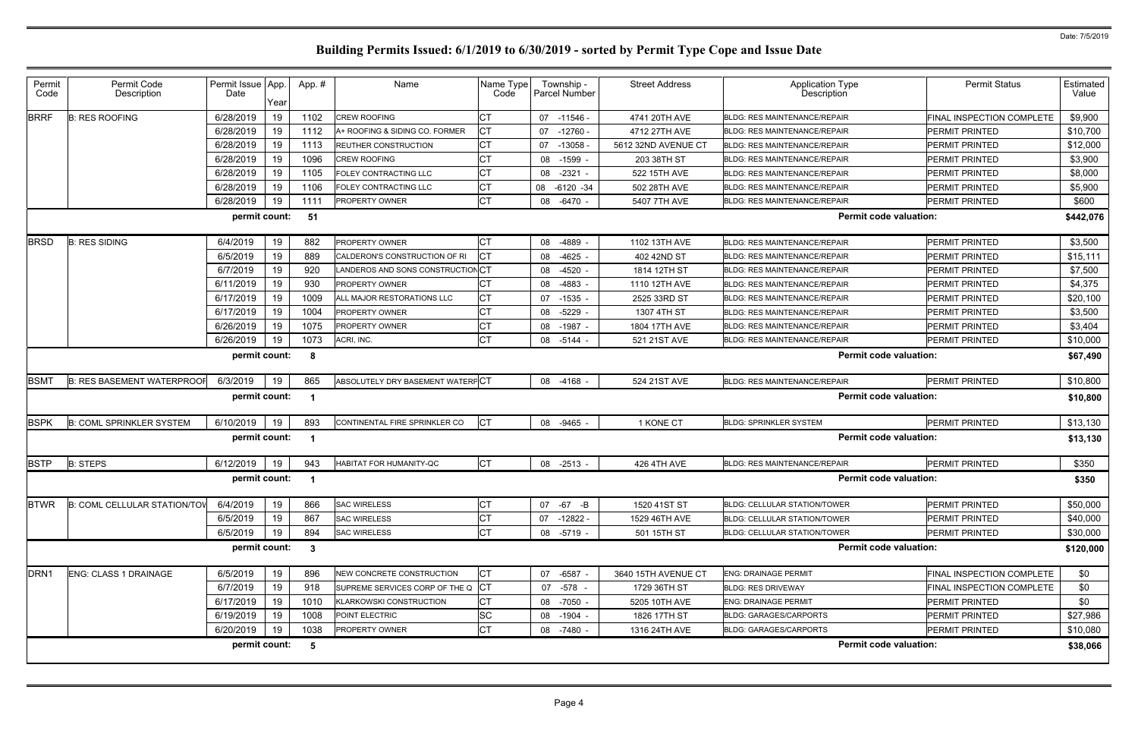| Permit<br>Code   | Permit Code<br>Description          | Permit Issue   App.<br>Date | Year | App.#                | Name                              | Name Type<br>Code | Township -<br>Parcel Number | <b>Street Address</b> | <b>Application Type</b><br>Description | <b>Permit Status</b>      | Estimated<br>Value |
|------------------|-------------------------------------|-----------------------------|------|----------------------|-----------------------------------|-------------------|-----------------------------|-----------------------|----------------------------------------|---------------------------|--------------------|
| <b>BRRF</b>      | <b>B: RES ROOFING</b>               | 6/28/2019                   | 19   | 1102                 | <b>CREW ROOFING</b>               | СT                | 07 -11546 -                 | 4741 20TH AVE         | BLDG: RES MAINTENANCE/REPAIR           | FINAL INSPECTION COMPLETE | \$9,900            |
|                  |                                     | 6/28/2019                   | 19   | 1112                 | A+ ROOFING & SIDING CO. FORMER    | СT                | $-12760$<br>07              | 4712 27TH AVE         | BLDG: RES MAINTENANCE/REPAIR           | PERMIT PRINTED            | \$10,700           |
|                  |                                     | 6/28/2019                   | 19   | 1113                 | REUTHER CONSTRUCTION              | СT                | 07<br>-13058                | 5612 32ND AVENUE CT   | <b>BLDG: RES MAINTENANCE/REPAIR</b>    | PERMIT PRINTED            | \$12,000           |
|                  |                                     | 6/28/2019                   | 19   | 1096                 | <b>CREW ROOFING</b>               | СT                | $-1599$<br>08               | 203 38TH ST           | <b>BLDG: RES MAINTENANCE/REPAIR</b>    | <b>PERMIT PRINTED</b>     | \$3,900            |
|                  |                                     | 6/28/2019                   | 19   | 1105                 | FOLEY CONTRACTING LLC             | СT                | $-2321$<br>08               | 522 15TH AVE          | <b>BLDG: RES MAINTENANCE/REPAIR</b>    | <b>PERMIT PRINTED</b>     | \$8,000            |
|                  |                                     | 6/28/2019                   | 19   | 1106                 | FOLEY CONTRACTING LLC             | СT                | 08<br>$-6120 -34$           | 502 28TH AVE          | BLDG: RES MAINTENANCE/REPAIR           | PERMIT PRINTED            | \$5,900            |
|                  |                                     | 6/28/2019                   | 19   | 1111                 | <b>PROPERTY OWNER</b>             | СT                | 08 -6470 -                  | 5407 7TH AVE          | <b>BLDG: RES MAINTENANCE/REPAIR</b>    | <b>PERMIT PRINTED</b>     | \$600              |
|                  |                                     | permit count:               |      | -51                  |                                   |                   |                             |                       | <b>Permit code valuation:</b>          |                           | \$442,076          |
| <b>BRSD</b>      | <b>B: RES SIDING</b>                | 6/4/2019                    | 19   | 882                  | PROPERTY OWNER                    | СT                | 08<br>-4889                 | 1102 13TH AVE         | <b>BLDG: RES MAINTENANCE/REPAIR</b>    | <b>PERMIT PRINTED</b>     | \$3,500            |
|                  |                                     | 6/5/2019                    | 19   | 889                  | CALDERON'S CONSTRUCTION OF RI     |                   | $-4625$<br>08               | 402 42ND ST           | <b>BLDG: RES MAINTENANCE/REPAIR</b>    | PERMIT PRINTED            | \$15,111           |
|                  |                                     | 6/7/2019                    | 19   | 920                  | LANDEROS AND SONS CONSTRUCTION CT |                   | -4520<br>08                 | 1814 12TH ST          | <b>BLDG: RES MAINTENANCE/REPAIR</b>    | PERMIT PRINTED            | \$7,500            |
|                  |                                     | 6/11/2019                   | 19   | 930                  | <b>PROPERTY OWNER</b>             |                   | 08<br>-4883                 | 1110 12TH AVE         | <b>BLDG: RES MAINTENANCE/REPAIR</b>    | PERMIT PRINTED            | \$4,375            |
|                  |                                     | 6/17/2019                   | 19   | 1009                 | ALL MAJOR RESTORATIONS LLC        | СT                | 07<br>-1535                 | 2525 33RD ST          | <b>BLDG: RES MAINTENANCE/REPAIR</b>    | PERMIT PRINTED            | \$20,100           |
|                  |                                     | 6/17/2019                   | 19   | 1004                 | <b>PROPERTY OWNER</b>             |                   | $-5229$<br>08               | 1307 4TH ST           | <b>BLDG: RES MAINTENANCE/REPAIR</b>    | PERMIT PRINTED            | \$3,500            |
|                  |                                     | 6/26/2019                   | 19   | 1075                 | <b>PROPERTY OWNER</b>             | СT                | $-1987$<br>08               | 1804 17TH AVE         | <b>BLDG: RES MAINTENANCE/REPAIR</b>    | PERMIT PRINTED            | \$3,404            |
|                  |                                     | 6/26/2019                   | 19   | 1073                 | ACRI, INC.                        | СT                | 08 -5144                    | 521 21ST AVE          | BLDG: RES MAINTENANCE/REPAIR           | PERMIT PRINTED            | \$10,000           |
|                  |                                     | permit count:               |      | -8                   |                                   |                   |                             |                       | <b>Permit code valuation:</b>          |                           | \$67,490           |
| <b>BSMT</b>      | <b>B: RES BASEMENT WATERPROOF</b>   | 6/3/2019                    | 19   | 865                  | ABSOLUTELY DRY BASEMENT WATERFCT  |                   | 08 -4168 -                  | 524 21ST AVE          | BLDG: RES MAINTENANCE/REPAIR           | <b>PERMIT PRINTED</b>     | \$10,800           |
|                  |                                     | permit count:               |      |                      |                                   |                   |                             |                       | <b>Permit code valuation:</b>          |                           | \$10,800           |
| <b>BSPK</b>      | <b>B: COML SPRINKLER SYSTEM</b>     | 6/10/2019                   | 19   | 893                  | CONTINENTAL FIRE SPRINKLER CO     | Iст               | 08 -9465                    | 1 KONE CT             | <b>BLDG: SPRINKLER SYSTEM</b>          | PERMIT PRINTED            | \$13,130           |
|                  |                                     | permit count:               |      |                      |                                   |                   |                             |                       | <b>Permit code valuation:</b>          |                           | \$13,130           |
| <b>BSTP</b>      | <b>B: STEPS</b>                     | 6/12/2019                   | 19   | 943                  | HABITAT FOR HUMANITY-QC           | <b>CT</b>         | 08 -2513                    | 426 4TH AVE           | BLDG: RES MAINTENANCE/REPAIR           | PERMIT PRINTED            | \$350              |
|                  |                                     | permit count:               |      |                      |                                   |                   |                             |                       | <b>Permit code valuation:</b>          |                           | \$350              |
| <b>BTWR</b>      | <b>B: COML CELLULAR STATION/TOV</b> | 6/4/2019                    | 19   | 866                  | <b>SAC WIRELESS</b>               | СT                | 07<br>-67 -B                | 1520 41ST ST          | <b>BLDG: CELLULAR STATION/TOWER</b>    | <b>PERMIT PRINTED</b>     | \$50,000           |
|                  |                                     | 6/5/2019                    | 19   | 867                  | <b>SAC WIRELESS</b>               |                   | 07 -12822 -                 | 1529 46TH AVE         | BLDG: CELLULAR STATION/TOWER           | PERMIT PRINTED            | \$40,000           |
|                  |                                     | 6/5/2019                    | 19   | 894                  | <b>SAC WIRELESS</b>               | СT                | 08 -5719 -                  | 501 15TH ST           | BLDG: CELLULAR STATION/TOWER           | PERMIT PRINTED            | \$30,000           |
|                  |                                     | permit count:               |      | $\boldsymbol{\cdot}$ |                                   |                   |                             |                       | <b>Permit code valuation:</b>          |                           | \$120,000          |
| DRN <sub>1</sub> | <b>ENG: CLASS 1 DRAINAGE</b>        | 6/5/2019                    | 19   | 896                  | NEW CONCRETE CONSTRUCTION         | <b>CT</b>         | 07 -6587 -                  | 3640 15TH AVENUE CT   | <b>ENG: DRAINAGE PERMIT</b>            | FINAL INSPECTION COMPLETE | \$0                |
|                  |                                     | 6/7/2019                    | 19   | 918                  | SUPREME SERVICES CORP OF THE Q    | <b>ICT</b>        | 07 - 578 -                  | 1729 36TH ST          | <b>BLDG: RES DRIVEWAY</b>              | FINAL INSPECTION COMPLETE | \$0                |
|                  |                                     | 6/17/2019                   | 19   | 1010                 | KLARKOWSKI CONSTRUCTION           | СT                | 08 -7050 -                  | 5205 10TH AVE         | <b>ENG: DRAINAGE PERMIT</b>            | <b>PERMIT PRINTED</b>     | \$0                |
|                  |                                     | 6/19/2019                   | 19   | 1008                 | POINT ELECTRIC                    | SC                | 08 -1904 -                  | 1826 17TH ST          | <b>BLDG: GARAGES/CARPORTS</b>          | PERMIT PRINTED            | \$27,986           |
|                  |                                     | 6/20/2019                   | 19   | 1038                 | <b>PROPERTY OWNER</b>             | СT                | 08 -7480 -                  | 1316 24TH AVE         | <b>BLDG: GARAGES/CARPORTS</b>          | <b>PERMIT PRINTED</b>     | \$10,080           |
|                  |                                     | permit count:               |      | - 5                  |                                   |                   |                             |                       | <b>Permit code valuation:</b>          |                           | \$38,066           |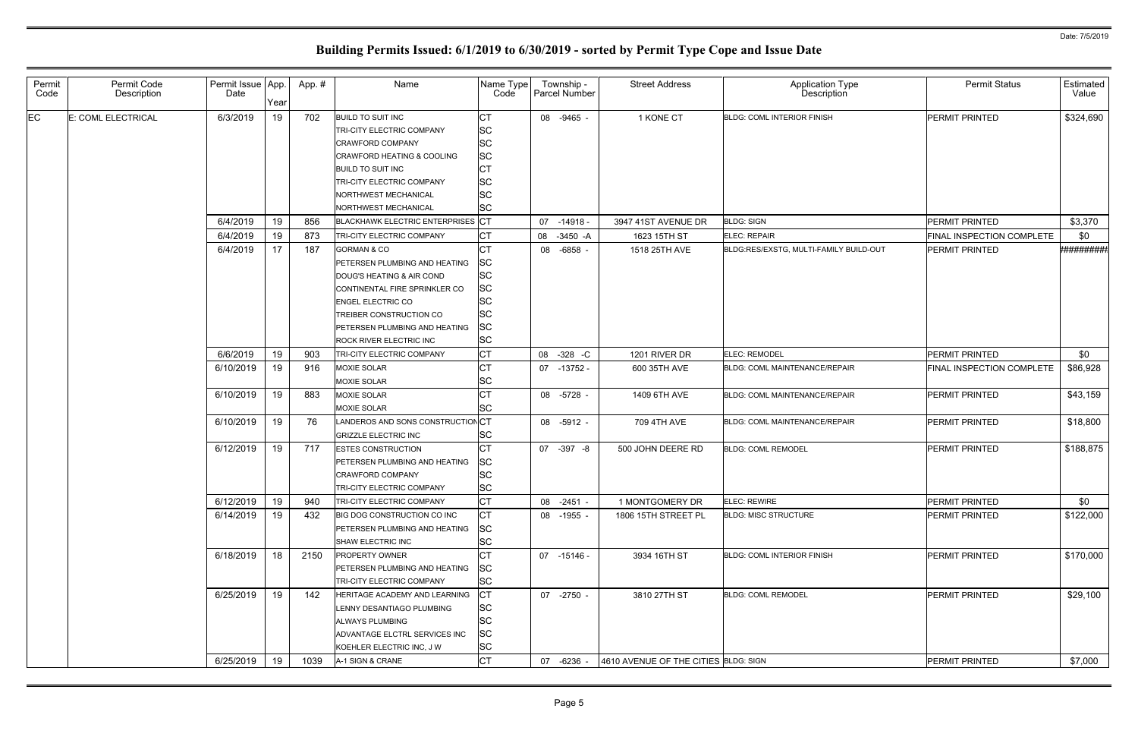| Permit<br>Code | Permit Code<br>Description | Permit Issue App.<br>Date | Year | App.# | Name                                                   | Name Type<br>Code      | Township -<br><b>Parcel Number</b> |             | <b>Street Address</b>                | Application Type<br>Description        | <b>Permit Status</b>             | Estimated<br>Value  |
|----------------|----------------------------|---------------------------|------|-------|--------------------------------------------------------|------------------------|------------------------------------|-------------|--------------------------------------|----------------------------------------|----------------------------------|---------------------|
| ЕC             | E: COML ELECTRICAL         | 6/3/2019                  | 19   | 702   | <b>BUILD TO SUIT INC</b>                               | <b>CT</b>              | 08 -9465 -                         |             | 1 KONE CT                            | <b>BLDG: COML INTERIOR FINISH</b>      | <b>PERMIT PRINTED</b>            | \$324,690           |
|                |                            |                           |      |       | <b>TRI-CITY ELECTRIC COMPANY</b>                       | SC                     |                                    |             |                                      |                                        |                                  |                     |
|                |                            |                           |      |       | <b>CRAWFORD COMPANY</b>                                | <b>SC</b><br><b>SC</b> |                                    |             |                                      |                                        |                                  |                     |
|                |                            |                           |      |       | CRAWFORD HEATING & COOLING<br><b>BUILD TO SUIT INC</b> | СT                     |                                    |             |                                      |                                        |                                  |                     |
|                |                            |                           |      |       | <b>TRI-CITY ELECTRIC COMPANY</b>                       | <b>SC</b>              |                                    |             |                                      |                                        |                                  |                     |
|                |                            |                           |      |       | NORTHWEST MECHANICAL                                   | SC                     |                                    |             |                                      |                                        |                                  |                     |
|                |                            |                           |      |       | NORTHWEST MECHANICAL                                   | <b>SC</b>              |                                    |             |                                      |                                        |                                  |                     |
|                |                            | 6/4/2019                  | 19   | 856   | BLACKHAWK ELECTRIC ENTERPRISES CT                      |                        | 07                                 | $-14918$    | 3947 41ST AVENUE DR                  | <b>BLDG: SIGN</b>                      | <b>PERMIT PRINTED</b>            | \$3,370             |
|                |                            | 6/4/2019                  | 19   | 873   | TRI-CITY ELECTRIC COMPANY                              | СT                     | 08                                 | -3450 -A    | 1623 15TH ST                         | ELEC: REPAIR                           | FINAL INSPECTION COMPLETE        | \$0                 |
|                |                            | 6/4/2019                  | 17   | 187   | <b>GORMAN &amp; CO</b>                                 | <b>CT</b>              | 08                                 | $-6858 -$   | 1518 25TH AVE                        | BLDG:RES/EXSTG, MULTI-FAMILY BUILD-OUT | <b>PERMIT PRINTED</b>            | <b>*#########</b> # |
|                |                            |                           |      |       | PETERSEN PLUMBING AND HEATING                          | SC                     |                                    |             |                                      |                                        |                                  |                     |
|                |                            |                           |      |       | DOUG'S HEATING & AIR COND                              | <b>SC</b>              |                                    |             |                                      |                                        |                                  |                     |
|                |                            |                           |      |       | CONTINENTAL FIRE SPRINKLER CO                          | <b>SC</b>              |                                    |             |                                      |                                        |                                  |                     |
|                |                            |                           |      |       | <b>ENGEL ELECTRIC CO</b>                               | SC                     |                                    |             |                                      |                                        |                                  |                     |
|                |                            |                           |      |       | TREIBER CONSTRUCTION CO                                | SC                     |                                    |             |                                      |                                        |                                  |                     |
|                |                            |                           |      |       | PETERSEN PLUMBING AND HEATING                          | SC                     |                                    |             |                                      |                                        |                                  |                     |
|                |                            |                           |      |       | ROCK RIVER ELECTRIC INC                                | <b>SC</b>              |                                    |             |                                      |                                        |                                  |                     |
|                |                            | 6/6/2019                  | 19   | 903   | <b>TRI-CITY ELECTRIC COMPANY</b>                       | <b>CT</b>              | 08                                 | $-328$ $-C$ | 1201 RIVER DR                        | <b>ELEC: REMODEL</b>                   | <b>PERMIT PRINTED</b>            | \$0                 |
|                |                            | 6/10/2019                 | 19   | 916   | MOXIE SOLAR                                            | <b>CT</b>              | 07                                 | -13752 -    | 600 35TH AVE                         | <b>BLDG: COML MAINTENANCE/REPAIR</b>   | <b>FINAL INSPECTION COMPLETE</b> | \$86,928            |
|                |                            |                           |      |       | MOXIE SOLAR                                            | <b>SC</b>              |                                    |             |                                      |                                        |                                  |                     |
|                |                            | 6/10/2019                 | 19   | 883   | <b>MOXIE SOLAR</b>                                     | <b>CT</b>              | 08 -5728 -                         |             | 1409 6TH AVE                         | BLDG: COML MAINTENANCE/REPAIR          | <b>PERMIT PRINTED</b>            | \$43,159            |
|                |                            |                           |      |       | MOXIE SOLAR                                            | <b>SC</b>              |                                    |             |                                      |                                        |                                  |                     |
|                |                            | 6/10/2019                 | 19   | 76    | LANDEROS AND SONS CONSTRUCTION CT                      |                        | 08 -5912 -                         |             | 709 4TH AVE                          | <b>BLDG: COML MAINTENANCE/REPAIR</b>   | <b>PERMIT PRINTED</b>            | \$18,800            |
|                |                            |                           |      |       | <b>GRIZZLE ELECTRIC INC</b>                            | <b>SC</b>              |                                    |             |                                      |                                        |                                  |                     |
|                |                            | 6/12/2019                 | 19   | 717   | <b>ESTES CONSTRUCTION</b>                              | <b>CT</b>              | 07 -397 -8                         |             | 500 JOHN DEERE RD                    | <b>BLDG: COML REMODEL</b>              | <b>PERMIT PRINTED</b>            | \$188,875           |
|                |                            |                           |      |       | PETERSEN PLUMBING AND HEATING                          | SC                     |                                    |             |                                      |                                        |                                  |                     |
|                |                            |                           |      |       | <b>CRAWFORD COMPANY</b>                                | <b>SC</b>              |                                    |             |                                      |                                        |                                  |                     |
|                |                            |                           |      |       | TRI-CITY ELECTRIC COMPANY                              | <b>SC</b>              |                                    |             |                                      |                                        |                                  |                     |
|                |                            | 6/12/2019                 | 19   | 940   | TRI-CITY ELECTRIC COMPANY                              | <b>CT</b>              | 08 -2451 -                         |             | 1 MONTGOMERY DR                      | ELEC: REWIRE                           | PERMIT PRINTED                   | \$0                 |
|                |                            | 6/14/2019                 | 19   | 432   | BIG DOG CONSTRUCTION CO INC                            | <b>CT</b>              | 08 -1955 -                         |             | 1806 15TH STREET PL                  | <b>BLDG: MISC STRUCTURE</b>            | <b>PERMIT PRINTED</b>            | \$122,000           |
|                |                            |                           |      |       | PETERSEN PLUMBING AND HEATING                          | <b>SC</b>              |                                    |             |                                      |                                        |                                  |                     |
|                |                            |                           |      |       | SHAW ELECTRIC INC                                      | SC                     |                                    |             |                                      |                                        |                                  |                     |
|                |                            | 6/18/2019                 | 18   | 2150  | <b>PROPERTY OWNER</b>                                  | СT                     | 07 -15146 -                        |             | 3934 16TH ST                         | <b>BLDG: COML INTERIOR FINISH</b>      | <b>PERMIT PRINTED</b>            | \$170,000           |
|                |                            |                           |      |       | PETERSEN PLUMBING AND HEATING                          | <b>SC</b>              |                                    |             |                                      |                                        |                                  |                     |
|                |                            |                           |      |       | TRI-CITY ELECTRIC COMPANY                              | <b>SC</b>              |                                    |             |                                      |                                        |                                  |                     |
|                |                            | 6/25/2019                 | 19   | 142   | HERITAGE ACADEMY AND LEARNING                          | <b>CT</b>              | 07 -2750 -                         |             | 3810 27TH ST                         | <b>BLDG: COML REMODEL</b>              | PERMIT PRINTED                   | \$29,100            |
|                |                            |                           |      |       | LENNY DESANTIAGO PLUMBING                              | <b>SC</b>              |                                    |             |                                      |                                        |                                  |                     |
|                |                            |                           |      |       | <b>ALWAYS PLUMBING</b>                                 | SC                     |                                    |             |                                      |                                        |                                  |                     |
|                |                            |                           |      |       | ADVANTAGE ELCTRL SERVICES INC                          | SC                     |                                    |             |                                      |                                        |                                  |                     |
|                |                            |                           |      |       | KOEHLER ELECTRIC INC, J W                              | <b>SC</b>              |                                    |             |                                      |                                        |                                  |                     |
|                |                            | 6/25/2019                 | 19   | 1039  | A-1 SIGN & CRANE                                       | <b>CT</b>              | 07                                 | -6236 -     | 4610 AVENUE OF THE CITIES BLDG: SIGN |                                        | PERMIT PRINTED                   | \$7,000             |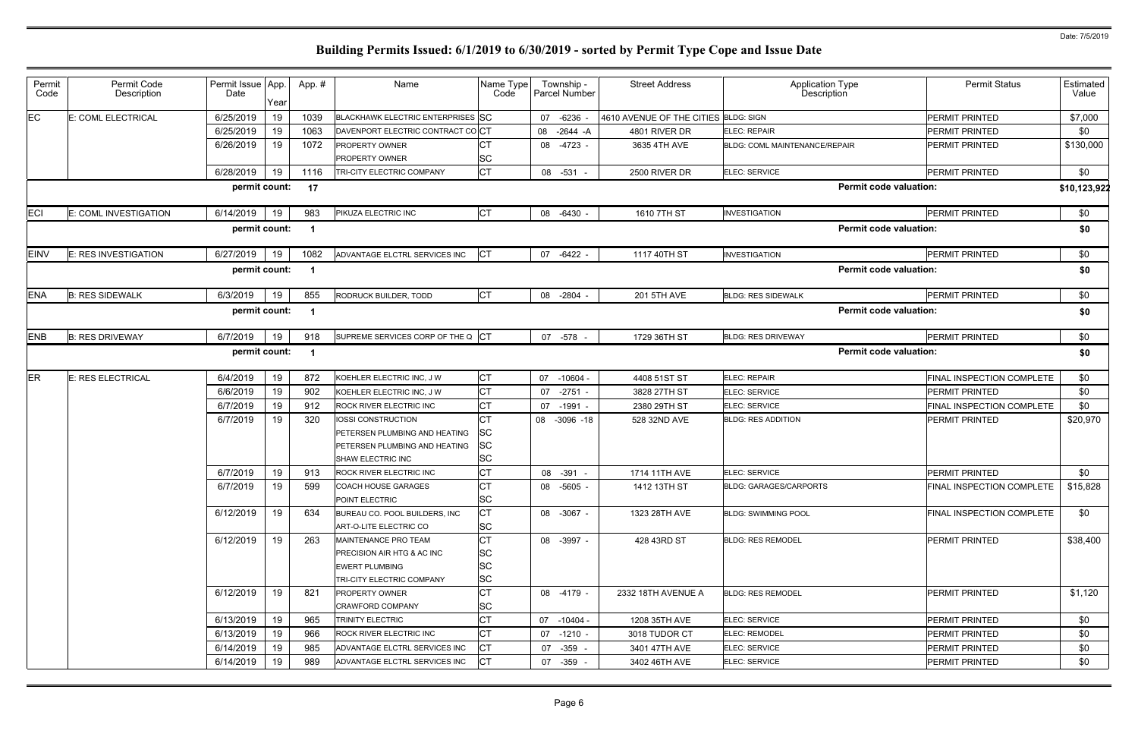| Type ו<br>tion                | <b>Permit Status</b>             | Estimated<br>Value |
|-------------------------------|----------------------------------|--------------------|
|                               | PERMIT PRINTED                   | \$7,000            |
|                               | <b>PERMIT PRINTED</b>            | \$0                |
| EPAIR                         | <b>PERMIT PRINTED</b>            | \$130,000          |
|                               | PERMIT PRINTED                   | \$0                |
| <b>Permit code valuation:</b> |                                  | \$10,123,922       |
|                               | PERMIT PRINTED                   | \$0                |
| <b>Permit code valuation:</b> |                                  | \$0                |
|                               | PERMIT PRINTED                   | \$0                |
| <b>Permit code valuation:</b> |                                  | \$0                |
|                               | PERMIT PRINTED                   | \$0                |
| <b>Permit code valuation:</b> |                                  | \$0                |
|                               | PERMIT PRINTED                   | \$0                |
| <b>Permit code valuation:</b> |                                  | \$0                |
|                               | FINAL INSPECTION COMPLETE        | \$0                |
|                               | <b>PERMIT PRINTED</b>            | \$0                |
|                               | FINAL INSPECTION COMPLETE        | \$0                |
|                               | PERMIT PRINTED                   | \$20,970           |
|                               | PERMIT PRINTED                   | \$0                |
|                               | FINAL INSPECTION COMPLETE        | \$15,828           |
|                               | <b>FINAL INSPECTION COMPLETE</b> | \$0                |
|                               | <b>PERMIT PRINTED</b>            | \$38,400           |
|                               | PERMIT PRINTED                   | \$1,120            |
|                               | PERMIT PRINTED                   | \$0                |
|                               | PERMIT PRINTED                   | \$0                |
|                               | PERMIT PRINTED                   | \$0                |
|                               | <b>PERMIT PRINTED</b>            | \$0                |
|                               |                                  |                    |

| Permit<br>Code | Permit Code<br>Description | Permit Issue   App.<br>Date | Year | App.#                   | Name                                                    | Name Type<br>Code      |    | Township -<br>Parcel Number | <b>Street Address</b>                | <b>Application Type</b><br>Description | <b>Permit Status</b>             | Estimated<br>Value |
|----------------|----------------------------|-----------------------------|------|-------------------------|---------------------------------------------------------|------------------------|----|-----------------------------|--------------------------------------|----------------------------------------|----------------------------------|--------------------|
| EC             | E: COML ELECTRICAL         | 6/25/2019                   | 19   | 1039                    | BLACKHAWK ELECTRIC ENTERPRISES SC                       |                        | 07 | $-6236 -$                   | 4610 AVENUE OF THE CITIES BLDG: SIGN |                                        | <b>PERMIT PRINTED</b>            | \$7,000            |
|                |                            | 6/25/2019                   | 19   | 1063                    | DAVENPORT ELECTRIC CONTRACT COCT                        |                        | 08 | $-2644 - A$                 | 4801 RIVER DR                        | ELEC: REPAIR                           | <b>PERMIT PRINTED</b>            | \$0                |
|                |                            | 6/26/2019                   | 19   | 1072                    | PROPERTY OWNER                                          | СT                     | 08 | -4723 -                     | 3635 4TH AVE                         | <b>BLDG: COML MAINTENANCE/REPAIR</b>   | <b>PERMIT PRINTED</b>            | \$130,000          |
|                |                            |                             |      |                         | PROPERTY OWNER                                          | SC                     |    |                             |                                      |                                        |                                  |                    |
|                |                            | 6/28/2019                   | 19   | 1116                    | TRI-CITY ELECTRIC COMPANY                               | <b>CT</b>              |    | 08 -531 -                   | 2500 RIVER DR                        | ELEC: SERVICE                          | PERMIT PRINTED                   | \$0                |
|                |                            | permit count:               |      | 17                      |                                                         |                        |    |                             |                                      | <b>Permit code valuation:</b>          |                                  | \$10,123,922       |
| <b>ECI</b>     | E: COML INVESTIGATION      | 6/14/2019                   | 19   | 983                     | PIKUZA ELECTRIC INC                                     | <b>CT</b>              |    | 08 -6430 -                  | 1610 7TH ST                          | <b>INVESTIGATION</b>                   | PERMIT PRINTED                   | \$0                |
|                |                            | permit count:               |      | $\overline{\mathbf{1}}$ |                                                         |                        |    |                             |                                      | <b>Permit code valuation:</b>          |                                  | \$0                |
| <b>EINV</b>    | E: RES INVESTIGATION       | 6/27/2019                   | 19   | 1082                    | ADVANTAGE ELCTRL SERVICES INC                           | Iст                    | 07 | $-6422 -$                   | 1117 40TH ST                         | <b>INVESTIGATION</b>                   | <b>PERMIT PRINTED</b>            | \$0                |
|                |                            | permit count:               |      | $\overline{\mathbf{1}}$ |                                                         |                        |    |                             |                                      | <b>Permit code valuation:</b>          |                                  | \$0                |
| <b>ENA</b>     | <b>B: RES SIDEWALK</b>     | 6/3/2019                    | 19   | 855                     | RODRUCK BUILDER, TODD                                   | Iст                    |    | 08 -2804 -                  | 201 5TH AVE                          | <b>BLDG: RES SIDEWALK</b>              | <b>PERMIT PRINTED</b>            | \$0                |
|                |                            | permit count:               |      | $\overline{\mathbf{1}}$ |                                                         |                        |    |                             |                                      | <b>Permit code valuation:</b>          |                                  | \$0                |
| <b>ENB</b>     | <b>B: RES DRIVEWAY</b>     | 6/7/2019                    | 19   | 918                     | SUPREME SERVICES CORP OF THE Q CT                       |                        |    | 07 -578                     | 1729 36TH ST                         | <b>BLDG: RES DRIVEWAY</b>              | PERMIT PRINTED                   | \$0                |
|                |                            | permit count:               |      | $\overline{\mathbf{1}}$ |                                                         |                        |    |                             |                                      | <b>Permit code valuation:</b>          |                                  | \$0                |
| ER             | E: RES ELECTRICAL          | 6/4/2019                    | 19   | 872                     | KOEHLER ELECTRIC INC, J W                               | <b>CT</b>              | 07 | $-10604 -$                  | 4408 51ST ST                         | ELEC: REPAIR                           | <b>FINAL INSPECTION COMPLETE</b> | \$0                |
|                |                            | 6/6/2019                    | 19   | 902                     | KOEHLER ELECTRIC INC, J W                               | <b>CT</b>              | 07 | $-2751 -$                   | 3828 27TH ST                         | ELEC: SERVICE                          | <b>PERMIT PRINTED</b>            | \$0                |
|                |                            | 6/7/2019                    | 19   | 912                     | ROCK RIVER ELECTRIC INC                                 | <b>CT</b>              |    | 07 -1991 -                  | 2380 29TH ST                         | ELEC: SERVICE                          | <b>FINAL INSPECTION COMPLETE</b> | \$0                |
|                |                            | 6/7/2019                    | 19   | 320                     | <b>IOSSI CONSTRUCTION</b>                               | <b>CT</b>              | 08 | $-3096 - 18$                | 528 32ND AVE                         | <b>BLDG: RES ADDITION</b>              | <b>PERMIT PRINTED</b>            | \$20,970           |
|                |                            |                             |      |                         | PETERSEN PLUMBING AND HEATING                           | SC                     |    |                             |                                      |                                        |                                  |                    |
|                |                            |                             |      |                         | PETERSEN PLUMBING AND HEATING                           | <b>SC</b>              |    |                             |                                      |                                        |                                  |                    |
|                |                            |                             |      |                         | <b>SHAW ELECTRIC INC</b>                                | SC                     |    |                             |                                      |                                        |                                  |                    |
|                |                            | 6/7/2019                    | 19   | 913                     | ROCK RIVER ELECTRIC INC                                 | <b>CT</b>              |    | 08 - 391 -                  | 1714 11TH AVE                        | ELEC: SERVICE                          | <b>PERMIT PRINTED</b>            | \$0                |
|                |                            | 6/7/2019                    | 19   | 599                     | <b>COACH HOUSE GARAGES</b><br>POINT ELECTRIC            | Iст<br><b>SC</b>       |    | 08 -5605 -                  | 1412 13TH ST                         | <b>BLDG: GARAGES/CARPORTS</b>          | <b>FINAL INSPECTION COMPLETE</b> | \$15,828           |
|                |                            | 6/12/2019                   | 19   | 634                     | BUREAU CO. POOL BUILDERS, INC<br>ART-O-LITE ELECTRIC CO | <b>CT</b><br><b>SC</b> |    | 08 -3067 -                  | 1323 28TH AVE                        | <b>BLDG: SWIMMING POOL</b>             | <b>FINAL INSPECTION COMPLETE</b> | \$0                |
|                |                            | 6/12/2019                   | 19   | 263                     | MAINTENANCE PRO TEAM                                    | <b>CT</b>              |    | 08 -3997 -                  | 428 43RD ST                          | <b>BLDG: RES REMODEL</b>               | PERMIT PRINTED                   | \$38,400           |
|                |                            |                             |      |                         | PRECISION AIR HTG & AC INC                              | <b>SC</b>              |    |                             |                                      |                                        |                                  |                    |
|                |                            |                             |      |                         | EWERT PLUMBING                                          | SC                     |    |                             |                                      |                                        |                                  |                    |
|                |                            |                             |      |                         | TRI-CITY ELECTRIC COMPANY                               | <b>SC</b>              |    |                             |                                      |                                        |                                  |                    |
|                |                            | 6/12/2019                   | 19   | 821                     | <b>PROPERTY OWNER</b>                                   | <b>CT</b>              |    | 08 -4179 -                  | 2332 18TH AVENUE A                   | <b>BLDG: RES REMODEL</b>               | <b>PERMIT PRINTED</b>            | \$1,120            |
|                |                            |                             |      |                         | <b>CRAWFORD COMPANY</b>                                 | <b>SC</b>              |    |                             |                                      |                                        |                                  |                    |
|                |                            | 6/13/2019                   | 19   | 965                     | <b>TRINITY ELECTRIC</b>                                 | <b>CT</b>              | 07 | $-10404 -$                  | 1208 35TH AVE                        | <b>ELEC: SERVICE</b>                   | <b>PERMIT PRINTED</b>            | \$0                |
|                |                            | 6/13/2019                   | 19   | 966                     | ROCK RIVER ELECTRIC INC                                 | СT                     |    | 07 -1210 -                  | 3018 TUDOR CT                        | <b>ELEC: REMODEL</b>                   | <b>PERMIT PRINTED</b>            | \$0                |
|                |                            | 6/14/2019                   | 19   | 985                     | ADVANTAGE ELCTRL SERVICES INC                           | СT                     |    | 07 -359                     | 3401 47TH AVE                        | <b>ELEC: SERVICE</b>                   | <b>PERMIT PRINTED</b>            | \$0                |
|                |                            | 6/14/2019                   | 19   | 989                     | ADVANTAGE ELCTRL SERVICES INC                           | <b>CT</b>              |    | 07 -359                     | 3402 46TH AVE                        | ELEC: SERVICE                          | <b>PERMIT PRINTED</b>            | \$0                |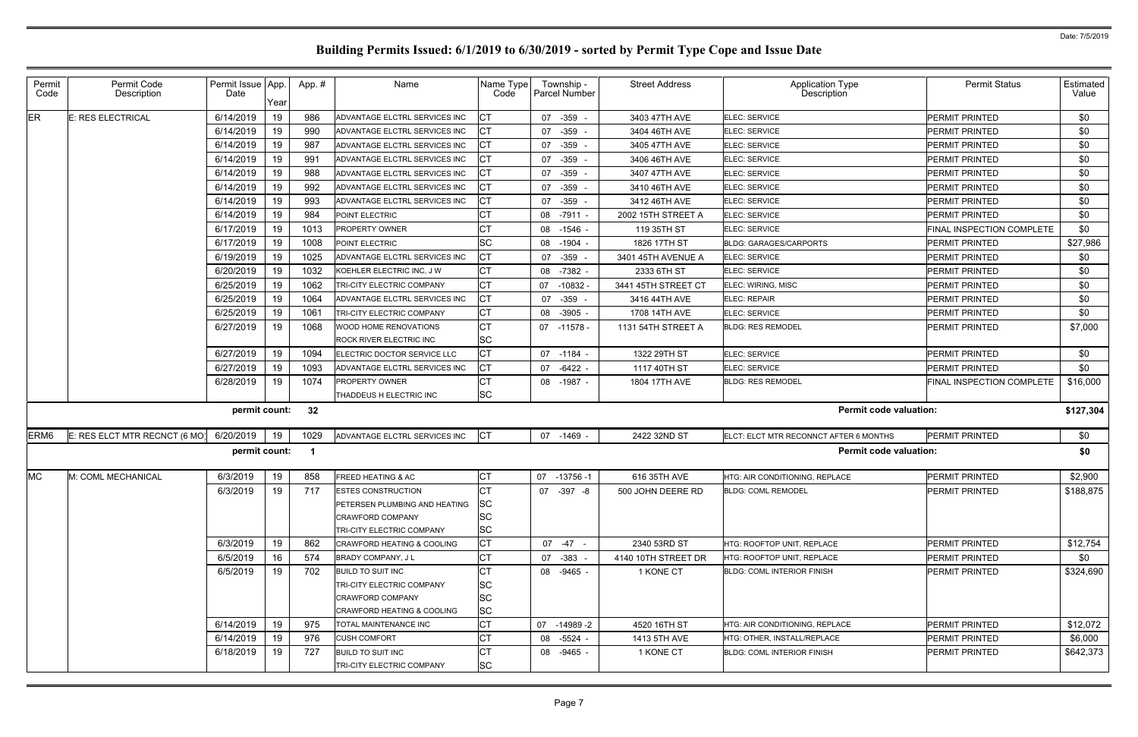| Permit<br>Code   | Permit Code<br>Description    | Permit Issue App.<br>Date | Year | App.# | Name                                                  | Name Type<br>Code | Township -<br><b>Parcel Number</b> | <b>Street Address</b> | Application Type<br>Description        | <b>Permit Status</b>             | Estimated<br>Value |
|------------------|-------------------------------|---------------------------|------|-------|-------------------------------------------------------|-------------------|------------------------------------|-----------------------|----------------------------------------|----------------------------------|--------------------|
| ER               | <b>E: RES ELECTRICAL</b>      | 6/14/2019                 | 19   | 986   | ADVANTAGE ELCTRL SERVICES INC                         | СT                | 07 -359 -                          | 3403 47TH AVE         | ELEC: SERVICE                          | <b>PERMIT PRINTED</b>            | \$0                |
|                  |                               | 6/14/2019                 | 19   | 990   | ADVANTAGE ELCTRL SERVICES INC                         |                   | 07<br>$-359$                       | 3404 46TH AVE         | <b>ELEC: SERVICE</b>                   | PERMIT PRINTED                   | \$0                |
|                  |                               | 6/14/2019                 | 19   | 987   | ADVANTAGE ELCTRL SERVICES INC                         | СT                | 07 - 359                           | 3405 47TH AVE         | <b>ELEC: SERVICE</b>                   | PERMIT PRINTED                   | \$0                |
|                  |                               | 6/14/2019                 | 19   | 99'   | ADVANTAGE ELCTRL SERVICES INC                         |                   | $-359$ .<br>07                     | 3406 46TH AVE         | ELEC: SERVICE                          | PERMIT PRINTED                   | \$0                |
|                  |                               | 6/14/2019                 | 19   | 988   | ADVANTAGE ELCTRL SERVICES INC                         | СT                | 07 - 359                           | 3407 47TH AVE         | ELEC: SERVICE                          | PERMIT PRINTED                   | \$0                |
|                  |                               | 6/14/2019                 | 19   | 992   | ADVANTAGE ELCTRL SERVICES INC                         |                   | 07 -359 -                          | 3410 46TH AVE         | ELEC: SERVICE                          | PERMIT PRINTED                   | \$0                |
|                  |                               | 6/14/2019                 | 19   | 993   | ADVANTAGE ELCTRL SERVICES INC                         |                   | 07 -359                            | 3412 46TH AVE         | ELEC: SERVICE                          | PERMIT PRINTED                   | \$0                |
|                  |                               | 6/14/2019                 | 19   | 984   | POINT ELECTRIC                                        |                   | 08 -7911 -                         | 2002 15TH STREET A    | ELEC: SERVICE                          | PERMIT PRINTED                   | \$0                |
|                  |                               | 6/17/2019                 | 19   | 1013  | <b>PROPERTY OWNER</b>                                 | СT                | 08 -1546 -                         | 119 35TH ST           | ELEC: SERVICE                          | FINAL INSPECTION COMPLETE        | \$0                |
|                  |                               | 6/17/2019                 | 19   | 1008  | POINT ELECTRIC                                        | <b>SC</b>         | 08 -1904 -                         | 1826 17TH ST          | <b>BLDG: GARAGES/CARPORTS</b>          | PERMIT PRINTED                   | \$27,986           |
|                  |                               | 6/19/2019                 | 19   | 1025  | ADVANTAGE ELCTRL SERVICES INC                         | CT                | 07 - 359 -                         | 3401 45TH AVENUE A    | <b>ELEC: SERVICE</b>                   | PERMIT PRINTED                   | \$0                |
|                  |                               | 6/20/2019                 | 19   | 1032  | KOEHLER ELECTRIC INC, J W                             | СT                | 08 -7382 -                         | 2333 6TH ST           | ELEC: SERVICE                          | PERMIT PRINTED                   | \$0                |
|                  |                               | 6/25/2019                 | 19   | 1062  | TRI-CITY ELECTRIC COMPANY                             | <b>CT</b>         | $-10832 -$<br>07                   | 3441 45TH STREET CT   | ELEC: WIRING, MISC                     | PERMIT PRINTED                   | \$0                |
|                  |                               | 6/25/2019                 | 19   | 1064  | ADVANTAGE ELCTRL SERVICES INC                         |                   | 07<br>$-359 -$                     | 3416 44TH AVE         | ELEC: REPAIR                           | PERMIT PRINTED                   | \$0                |
|                  |                               | 6/25/2019                 | 19   | 1061  | TRI-CITY ELECTRIC COMPANY                             | СT                | 08 -3905 -                         | 1708 14TH AVE         | <b>ELEC: SERVICE</b>                   | PERMIT PRINTED                   | \$0                |
|                  |                               | 6/27/2019                 | 19   | 1068  | <b>WOOD HOME RENOVATIONS</b>                          | <b>CT</b>         | 07 -11578 -                        | 1131 54TH STREET A    | <b>BLDG: RES REMODEL</b>               | PERMIT PRINTED                   | \$7,000            |
|                  |                               |                           |      |       | <b>ROCK RIVER ELECTRIC INC</b>                        | SC                |                                    |                       |                                        |                                  |                    |
|                  |                               | 6/27/2019                 | 19   | 1094  | ELECTRIC DOCTOR SERVICE LLC                           | IСТ               | 07 -1184 -                         | 1322 29TH ST          | <b>ELEC: SERVICE</b>                   | PERMIT PRINTED                   | \$0                |
|                  |                               | 6/27/2019                 | 19   | 1093  | ADVANTAGE ELCTRL SERVICES INC                         |                   | 07 -6422 -                         | 1117 40TH ST          | ELEC: SERVICE                          | PERMIT PRINTED                   | \$0                |
|                  |                               | 6/28/2019                 | 19   | 1074  | PROPERTY OWNER                                        |                   | 08 -1987 -                         | 1804 17TH AVE         | <b>BLDG: RES REMODEL</b>               | <b>FINAL INSPECTION COMPLETE</b> | \$16,000           |
|                  |                               |                           |      |       | THADDEUS H ELECTRIC INC                               | <b>SC</b>         |                                    |                       |                                        |                                  |                    |
|                  |                               | permit count:             |      | 32    |                                                       |                   |                                    |                       | <b>Permit code valuation:</b>          |                                  | \$127,304          |
| ERM <sub>6</sub> | E: RES ELCT MTR RECNCT (6 MO) | 6/20/2019                 | 19   | 1029  | ADVANTAGE ELCTRL SERVICES INC                         | CT                | 07 -1469 -                         | 2422 32ND ST          | ELCT: ELCT MTR RECONNCT AFTER 6 MONTHS | PERMIT PRINTED                   | \$0                |
|                  |                               | permit count:             |      | - 1   |                                                       |                   |                                    |                       | <b>Permit code valuation:</b>          |                                  | \$0                |
| <b>MC</b>        | M: COML MECHANICAL            | 6/3/2019                  | 19   | 858   | <b>FREED HEATING &amp; AC</b>                         | СT                | 07<br>-13756 -1                    | 616 35TH AVE          | HTG: AIR CONDITIONING, REPLACE         | PERMIT PRINTED                   | \$2,900            |
|                  |                               | 6/3/2019                  | 19   | 717   | <b>ESTES CONSTRUCTION</b>                             | <b>ICT</b>        | 07 -397 -8                         | 500 JOHN DEERE RD     | <b>BLDG: COML REMODEL</b>              | PERMIT PRINTED                   | \$188,875          |
|                  |                               |                           |      |       | <b>PETERSEN PLUMBING AND HEATING</b>                  | <b>SC</b>         |                                    |                       |                                        |                                  |                    |
|                  |                               |                           |      |       | <b>CRAWFORD COMPANY</b>                               | SС                |                                    |                       |                                        |                                  |                    |
|                  |                               |                           |      |       | <b>TRI-CITY ELECTRIC COMPANY</b>                      | SC                |                                    |                       |                                        |                                  |                    |
|                  |                               | 6/3/2019                  | 19   | 862   | CRAWFORD HEATING & COOLING                            | IСТ               | $07 - 47 -$                        | 2340 53RD ST          | HTG: ROOFTOP UNIT, REPLACE             | <b>PERMIT PRINTED</b>            | \$12,754           |
|                  |                               | 6/5/2019                  | 16   | 574   | BRADY COMPANY, JL                                     | СT                | 07 - 383 -                         | 4140 10TH STREET DR   | HTG: ROOFTOP UNIT, REPLACE             | PERMIT PRINTED                   | \$0                |
|                  |                               | 6/5/2019                  | 19   | 702   | <b>BUILD TO SUIT INC</b>                              |                   | 08 -9465 -                         | 1 KONE CT             | <b>BLDG: COML INTERIOR FINISH</b>      | <b>PERMIT PRINTED</b>            | \$324,690          |
|                  |                               |                           |      |       | TRI-CITY ELECTRIC COMPANY                             | SС                |                                    |                       |                                        |                                  |                    |
|                  |                               |                           |      |       | <b>CRAWFORD COMPANY</b>                               | SC                |                                    |                       |                                        |                                  |                    |
|                  |                               |                           |      |       | CRAWFORD HEATING & COOLING                            | <b>SC</b>         |                                    |                       |                                        |                                  |                    |
|                  |                               | 6/14/2019                 | 19   | 975   | <b>TOTAL MAINTENANCE INC</b>                          | СT                | 07 -14989 -2                       | 4520 16TH ST          | HTG: AIR CONDITIONING, REPLACE         | PERMIT PRINTED                   | \$12,072           |
|                  |                               | 6/14/2019                 | 19   | 976   | <b>CUSH COMFORT</b>                                   |                   | 08 -5524 -                         | 1413 5TH AVE          | HTG: OTHER, INSTALL/REPLACE            | <b>PERMIT PRINTED</b>            | \$6,000            |
|                  |                               |                           |      |       |                                                       |                   |                                    |                       |                                        |                                  |                    |
|                  |                               | 6/18/2019                 | 19   | 727   | <b>BUILD TO SUIT INC</b><br>TRI-CITY ELECTRIC COMPANY | <b>SC</b>         | 08 -9465 -                         | 1 KONE CT             | <b>BLDG: COML INTERIOR FINISH</b>      | <b>PERMIT PRINTED</b>            | \$642,373          |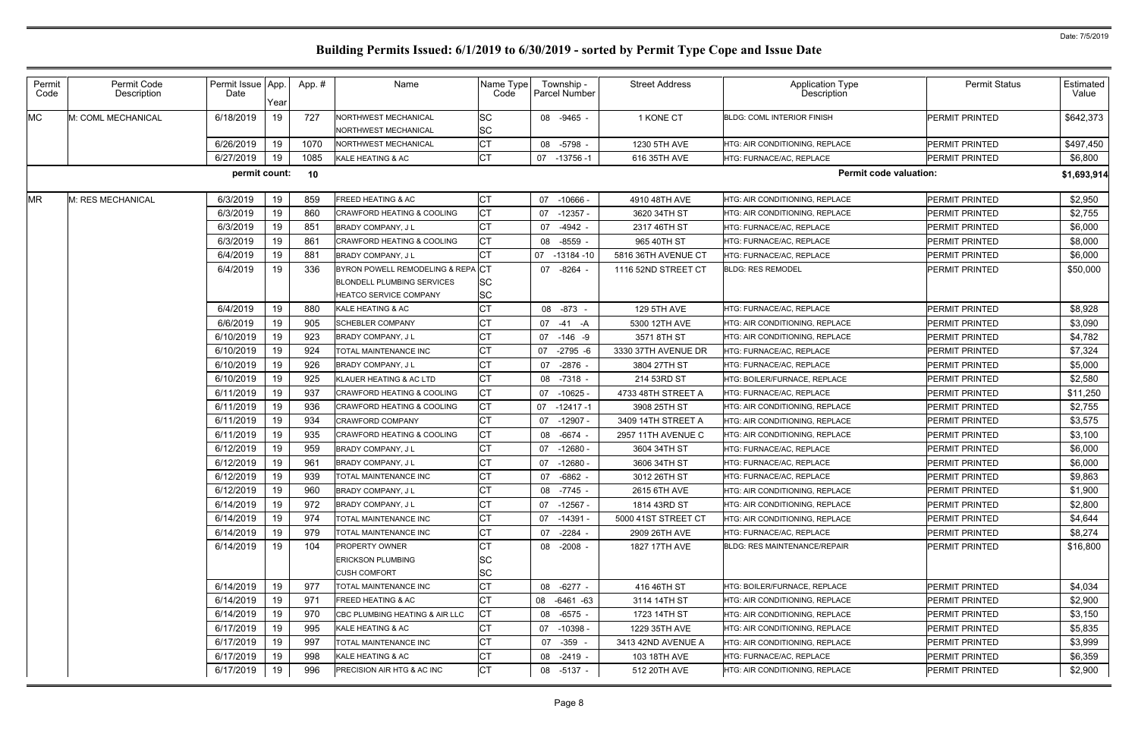| Permit<br>Code | Permit Code<br>Description | Permit Issue   App.<br>Date | Year | App.# | Name                                         | Name Type<br>Code | Township -<br><b>Parcel Number</b> | <b>Street Address</b> | <b>Application Type</b><br><b>Description</b> | <b>Permit Status</b>  | Estimated<br>Value |
|----------------|----------------------------|-----------------------------|------|-------|----------------------------------------------|-------------------|------------------------------------|-----------------------|-----------------------------------------------|-----------------------|--------------------|
| <b>MC</b>      | M: COML MECHANICAL         | 6/18/2019                   | 19   | 727   | NORTHWEST MECHANICAL<br>NORTHWEST MECHANICAL | SC<br>SC          | 08 -9465 -                         | 1 KONE CT             | <b>BLDG: COML INTERIOR FINISH</b>             | <b>PERMIT PRINTED</b> | \$642,373          |
|                |                            | 6/26/2019                   | 19   | 1070  | NORTHWEST MECHANICAL                         | СT                | 08<br>-5798 -                      | 1230 5TH AVE          | HTG: AIR CONDITIONING, REPLACE                | <b>PERMIT PRINTED</b> | \$497,450          |
|                |                            | 6/27/2019                   | 19   | 1085  | KALE HEATING & AC                            | <b>CT</b>         | 07 -13756 -1                       | 616 35TH AVE          | HTG: FURNACE/AC, REPLACE                      | <b>PERMIT PRINTED</b> | \$6,800            |
|                |                            | permit count:               |      | 10    |                                              |                   |                                    |                       | <b>Permit code valuation:</b>                 |                       | \$1,693,914        |
| <b>MR</b>      | M: RES MECHANICAL          | 6/3/2019                    | 19   | 859   | <b>FREED HEATING &amp; AC</b>                | <b>CT</b>         | $-10666$<br>07                     | 4910 48TH AVE         | HTG: AIR CONDITIONING, REPLACE                | <b>PERMIT PRINTED</b> | \$2,950            |
|                |                            | 6/3/2019                    | 19   | 860   | <b>CRAWFORD HEATING &amp; COOLING</b>        | <b>CT</b>         | $-12357 -$<br>07                   | 3620 34TH ST          | HTG: AIR CONDITIONING, REPLACE                | <b>PERMIT PRINTED</b> | \$2,755            |
|                |                            | 6/3/2019                    | 19   | 851   | <b>BRADY COMPANY, JL</b>                     | СT                | 07<br>$-4942 -$                    | 2317 46TH ST          | HTG: FURNACE/AC, REPLACE                      | <b>PERMIT PRINTED</b> | \$6,000            |
|                |                            | 6/3/2019                    | 19   | 861   | <b>CRAWFORD HEATING &amp; COOLING</b>        | <b>CT</b>         | -8559<br>08                        | 965 40TH ST           | HTG: FURNACE/AC, REPLACE                      | <b>PERMIT PRINTED</b> | \$8,000            |
|                |                            | 6/4/2019                    | 19   | 881   | <b>BRADY COMPANY, JL</b>                     | <b>CT</b>         | 07<br>-13184 -10                   | 5816 36TH AVENUE CT   | HTG: FURNACE/AC, REPLACE                      | <b>PERMIT PRINTED</b> | \$6,000            |
|                |                            | 6/4/2019                    | 19   | 336   | BYRON POWELL REMODELING & REPACT             |                   | 07 -8264 -                         | 1116 52ND STREET CT   | <b>BLDG: RES REMODEL</b>                      | <b>PERMIT PRINTED</b> | \$50,000           |
|                |                            |                             |      |       | <b>BLONDELL PLUMBING SERVICES</b>            | SC                |                                    |                       |                                               |                       |                    |
|                |                            |                             |      |       | HEATCO SERVICE COMPANY                       | SC                |                                    |                       |                                               |                       |                    |
|                |                            | 6/4/2019                    | 19   | 880   | KALE HEATING & AC                            | <b>CT</b>         | 08 -873                            | 129 5TH AVE           | HTG: FURNACE/AC, REPLACE                      | <b>PERMIT PRINTED</b> | \$8,928            |
|                |                            | 6/6/2019                    | 19   | 905   | <b>SCHEBLER COMPANY</b>                      | СT                | 07 -41 -A                          | 5300 12TH AVE         | <b>HTG: AIR CONDITIONING. REPLACE</b>         | <b>PERMIT PRINTED</b> | \$3,090            |
|                |                            | 6/10/2019                   | 19   | 923   | <b>BRADY COMPANY, JL</b>                     | <b>CT</b>         | 07 -146 -9                         | 3571 8TH ST           | <b>HTG: AIR CONDITIONING. REPLACE</b>         | <b>PERMIT PRINTED</b> | \$4,782            |
|                |                            | 6/10/2019                   | 19   | 924   | TOTAL MAINTENANCE INC                        | C <sub>T</sub>    | 07<br>$-2795 - 6$                  | 3330 37TH AVENUE DR   | HTG: FURNACE/AC, REPLACE                      | <b>PERMIT PRINTED</b> | \$7,324            |
|                |                            | 6/10/2019                   | 19   | 926   | <b>BRADY COMPANY, JL</b>                     | <b>CT</b>         | 07 -2876 -                         | 3804 27TH ST          | HTG: FURNACE/AC, REPLACE                      | <b>PERMIT PRINTED</b> | \$5,000            |
|                |                            | 6/10/2019                   | 19   | 925   | KLAUER HEATING & AC LTD                      | СT                | 08<br>$-7318 -$                    | 214 53RD ST           | HTG: BOILER/FURNACE, REPLACE                  | <b>PERMIT PRINTED</b> | \$2,580            |
|                |                            | 6/11/2019                   | 19   | 937   | CRAWFORD HEATING & COOLING                   | <b>CT</b>         | 07<br>$-10625$                     | 4733 48TH STREET A    | HTG: FURNACE/AC, REPLACE                      | <b>PERMIT PRINTED</b> | \$11,250           |
|                |                            | 6/11/2019                   | 19   | 936   | CRAWFORD HEATING & COOLING                   | <b>CT</b>         | 07<br>-12417 -1                    | 3908 25TH ST          | HTG: AIR CONDITIONING, REPLACE                | PERMIT PRINTED        | \$2,755            |
|                |                            | 6/11/2019                   | 19   | 934   | <b>CRAWFORD COMPANY</b>                      | СT                | 07<br>-12907 -                     | 3409 14TH STREET A    | HTG: AIR CONDITIONING, REPLACE                | <b>PERMIT PRINTED</b> | \$3,575            |
|                |                            | 6/11/2019                   | 19   | 935   | CRAWFORD HEATING & COOLING                   | <b>CT</b>         | 08<br>$-6674 -$                    | 2957 11TH AVENUE C    | HTG: AIR CONDITIONING, REPLACE                | PERMIT PRINTED        | \$3,100            |
|                |                            | 6/12/2019                   | 19   | 959   | <b>BRADY COMPANY, JL</b>                     | СT                | 07<br>$-12680$                     | 3604 34TH ST          | HTG: FURNACE/AC. REPLACE                      | PERMIT PRINTED        | \$6,000            |
|                |                            | 6/12/2019                   | 19   | 961   | BRADY COMPANY, J L                           | СT                | 07<br>$-12680$ $-$                 | 3606 34TH ST          | HTG: FURNACE/AC, REPLACE                      | PERMIT PRINTED        | \$6,000            |
|                |                            | 6/12/2019                   | 19   | 939   | TOTAL MAINTENANCE INC                        | СT                | 07 -6862 -                         | 3012 26TH ST          | HTG: FURNACE/AC, REPLACE                      | PERMIT PRINTED        | \$9,863            |
|                |                            | 6/12/2019                   | 19   | 960   | BRADY COMPANY, JL                            | <b>CT</b>         | 08 -7745 -                         | 2615 6TH AVE          | HTG: AIR CONDITIONING, REPLACE                | PERMIT PRINTED        | \$1,900            |
|                |                            | 6/14/2019                   | 19   | 972   | <b>BRADY COMPANY, JL</b>                     | <b>CT</b>         | 07<br>-12567 -                     | 1814 43RD ST          | HTG: AIR CONDITIONING, REPLACE                | <b>PERMIT PRINTED</b> | \$2,800            |
|                |                            | 6/14/2019                   | 19   | 974   | TOTAL MAINTENANCE INC                        | <b>CT</b>         | 07 -14391 -                        | 5000 41ST STREET CT   | HTG: AIR CONDITIONING, REPLACE                | <b>PERMIT PRINTED</b> | \$4,644            |
|                |                            | 6/14/2019                   | 19   | 979   | TOTAL MAINTENANCE INC                        | СT                | 07 -2284 -                         | 2909 26TH AVE         | HTG: FURNACE/AC, REPLACE                      | <b>PERMIT PRINTED</b> | \$8,274            |
|                |                            | 6/14/2019                   | 19   | 104   | <b>PROPERTY OWNER</b>                        | СT                | 08 -2008 -                         | 1827 17TH AVE         | <b>BLDG: RES MAINTENANCE/REPAIR</b>           | <b>PERMIT PRINTED</b> | \$16,800           |
|                |                            |                             |      |       | <b>ERICKSON PLUMBING</b>                     | SC                |                                    |                       |                                               |                       |                    |
|                |                            |                             |      |       | CUSH COMFORT                                 | <b>SC</b>         |                                    |                       |                                               |                       |                    |
|                |                            | 6/14/2019                   | 19   | 977   | TOTAL MAINTENANCE INC                        | <b>CT</b>         | 08 -6277 -                         | 416 46TH ST           | HTG: BOILER/FURNACE, REPLACE                  | <b>PERMIT PRINTED</b> | \$4,034            |
|                |                            | 6/14/2019                   | 19   | 971   | <b>FREED HEATING &amp; AC</b>                | <b>CT</b>         | 08 -6461 -63                       | 3114 14TH ST          | HTG: AIR CONDITIONING, REPLACE                | <b>PERMIT PRINTED</b> | \$2,900            |
|                |                            | 6/14/2019                   | 19   | 970   | CBC PLUMBING HEATING & AIR LLC               | СT                | 08<br>-6575 -                      | 1723 14TH ST          | HTG: AIR CONDITIONING, REPLACE                | <b>PERMIT PRINTED</b> | \$3,150            |
|                |                            | 6/17/2019                   | 19   | 995   | KALE HEATING & AC                            | <b>CT</b>         | 07<br>-10398 -                     | 1229 35TH AVE         | HTG: AIR CONDITIONING, REPLACE                | <b>PERMIT PRINTED</b> | \$5,835            |
|                |                            | 6/17/2019                   | 19   | 997   | TOTAL MAINTENANCE INC                        | СT                | 07 -359 -                          | 3413 42ND AVENUE A    | HTG: AIR CONDITIONING, REPLACE                | <b>PERMIT PRINTED</b> | \$3,999            |
|                |                            | 6/17/2019                   | 19   | 998   | KALE HEATING & AC                            | <b>CT</b>         | 08 -2419 -                         | 103 18TH AVE          | HTG: FURNACE/AC, REPLACE                      | <b>PERMIT PRINTED</b> | \$6,359            |
|                |                            | 6/17/2019                   | 19   | 996   | PRECISION AIR HTG & AC INC                   | СT                | 08 -5137 -                         | 512 20TH AVE          | HTG: AIR CONDITIONING, REPLACE                | <b>PERMIT PRINTED</b> | \$2,900            |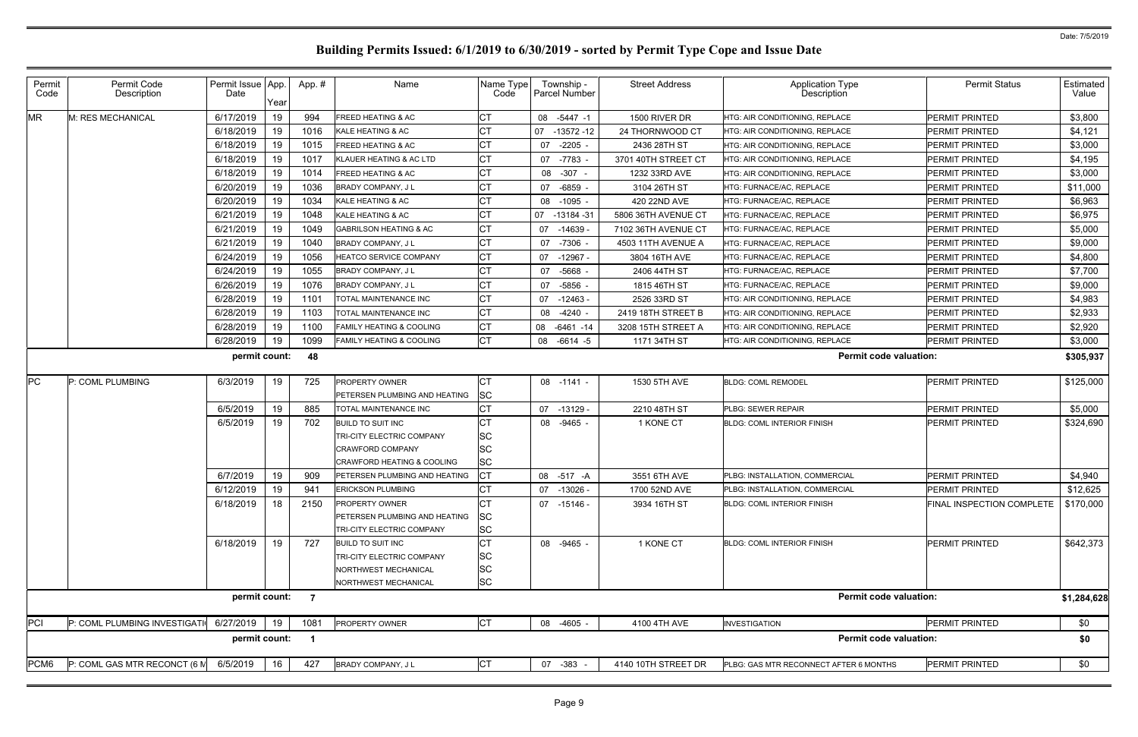| Permit<br>Code | Permit Code<br>Description   | Permit Issue App.<br>Date | Year | App.#                    | Name                                                                                                         | Name Type<br>Code             | Township -<br><b>Parcel Number</b> | <b>Street Address</b> | <b>Application Type</b><br>Description | <b>Permit Status</b>      | Estimated<br>Value |
|----------------|------------------------------|---------------------------|------|--------------------------|--------------------------------------------------------------------------------------------------------------|-------------------------------|------------------------------------|-----------------------|----------------------------------------|---------------------------|--------------------|
| <b>MR</b>      | M: RES MECHANICAL            | 6/17/2019                 | 19   | 994                      | <b>FREED HEATING &amp; AC</b>                                                                                | lСТ                           | $-5447 - 1$<br>08                  | 1500 RIVER DR         | HTG: AIR CONDITIONING, REPLACE         | PERMIT PRINTED            | \$3,800            |
|                |                              | 6/18/2019                 | 19   | 1016                     | KALE HEATING & AC                                                                                            | C٦                            | $-13572 - 12$<br>07                | 24 THORNWOOD CT       | HTG: AIR CONDITIONING, REPLACE         | <b>PERMIT PRINTED</b>     | \$4,121            |
|                |                              | 6/18/2019                 | 19   | 1015                     | <b>FREED HEATING &amp; AC</b>                                                                                | СT                            | $-2205 -$<br>07                    | 2436 28TH ST          | HTG: AIR CONDITIONING, REPLACE         | PERMIT PRINTED            | \$3,000            |
|                |                              | 6/18/2019                 | 19   | 1017                     | KLAUER HEATING & AC LTD                                                                                      | СT                            | 07 -7783 -                         | 3701 40TH STREET CT   | HTG: AIR CONDITIONING, REPLACE         | <b>PERMIT PRINTED</b>     | \$4,195            |
|                |                              | 6/18/2019                 | 19   | 1014                     | <b>FREED HEATING &amp; AC</b>                                                                                | СT                            | 08 -307 -                          | 1232 33RD AVE         | <b>HTG: AIR CONDITIONING, REPLACE</b>  | PERMIT PRINTED            | \$3,000            |
|                |                              | 6/20/2019                 | 19   | 1036                     | <b>BRADY COMPANY, JL</b>                                                                                     | C1                            | 07 -6859 -                         | 3104 26TH ST          | HTG: FURNACE/AC, REPLACE               | <b>PERMIT PRINTED</b>     | \$11,000           |
|                |                              | 6/20/2019                 | 19   | 1034                     | KALE HEATING & AC                                                                                            | СT                            | 08<br>-1095 -                      | 420 22ND AVE          | HTG: FURNACE/AC, REPLACE               | PERMIT PRINTED            | \$6,963            |
|                |                              | 6/21/2019                 | 19   | 1048                     | KALE HEATING & AC                                                                                            |                               | 07<br>$-13184 - 31$                | 5806 36TH AVENUE CT   | HTG: FURNACE/AC, REPLACE               | <b>PERMIT PRINTED</b>     | \$6,975            |
|                |                              | 6/21/2019                 | 19   | 1049                     | <b>GABRILSON HEATING &amp; AC</b>                                                                            | Iст                           | 07<br>$-14639$                     | 7102 36TH AVENUE CT   | HTG: FURNACE/AC, REPLACE               | PERMIT PRINTED            | \$5,000            |
|                |                              | 6/21/2019                 | 19   | 1040                     | <b>BRADY COMPANY, JL</b>                                                                                     | C1                            | 07 -7306 -                         | 4503 11TH AVENUE A    | HTG: FURNACE/AC, REPLACE               | <b>PERMIT PRINTED</b>     | \$9,000            |
|                |                              | 6/24/2019                 | 19   | 1056                     | HEATCO SERVICE COMPANY                                                                                       | Iст                           | 07<br>-12967 -                     | 3804 16TH AVE         | HTG: FURNACE/AC, REPLACE               | PERMIT PRINTED            | \$4,800            |
|                |                              | 6/24/2019                 | 19   | 1055                     | <b>BRADY COMPANY, JL</b>                                                                                     | СT                            | -5668 -<br>07                      | 2406 44TH ST          | HTG: FURNACE/AC. REPLACE               | <b>PERMIT PRINTED</b>     | \$7,700            |
|                |                              | 6/26/2019                 | 19   | 1076                     | BRADY COMPANY, J L                                                                                           | <b>CT</b>                     | -5856<br>07                        | 1815 46TH ST          | HTG: FURNACE/AC, REPLACE               | PERMIT PRINTED            | \$9,000            |
|                |                              | 6/28/2019                 | 19   | 1101                     | TOTAL MAINTENANCE INC                                                                                        | СT                            | 07<br>$-12463$                     | 2526 33RD ST          | HTG: AIR CONDITIONING, REPLACE         | <b>PERMIT PRINTED</b>     | \$4,983            |
|                |                              | 6/28/2019                 | 19   | 1103                     | TOTAL MAINTENANCE INC                                                                                        | Iст                           | 08 -4240 -                         | 2419 18TH STREET B    | HTG: AIR CONDITIONING, REPLACE         | PERMIT PRINTED            | \$2,933            |
|                |                              | 6/28/2019                 | 19   | 1100                     | <b>FAMILY HEATING &amp; COOLING</b>                                                                          | C <sub>T</sub>                | 08 -6461 -14                       | 3208 15TH STREET A    | HTG: AIR CONDITIONING, REPLACE         | <b>PERMIT PRINTED</b>     | \$2,920            |
|                |                              | 6/28/2019                 | 19   | 1099                     | <b>FAMILY HEATING &amp; COOLING</b>                                                                          | <b>CT</b>                     | 08<br>-6614 -5                     | 1171 34TH ST          | HTG: AIR CONDITIONING, REPLACE         | PERMIT PRINTED            | \$3,000            |
|                |                              | permit count:             |      | 48                       |                                                                                                              |                               |                                    |                       | <b>Permit code valuation:</b>          |                           | \$305,937          |
| <b>IPC</b>     | P: COML PLUMBING             | 6/3/2019                  | 19   | 725                      | <b>PROPERTY OWNER</b><br>PETERSEN PLUMBING AND HEATING                                                       | IСТ<br><b>SC</b>              | 08 -1141 -                         | 1530 5TH AVE          | <b>BLDG: COML REMODEL</b>              | PERMIT PRINTED            | \$125,000          |
|                |                              | 6/5/2019                  | 19   | 885                      | TOTAL MAINTENANCE INC                                                                                        |                               | 07 -13129 -                        | 2210 48TH ST          | PLBG: SEWER REPAIR                     | PERMIT PRINTED            | \$5,000            |
|                |                              | 6/5/2019                  | 19   | 702                      | <b>BUILD TO SUIT INC</b>                                                                                     | CТ                            | 08 -9465 -                         | 1 KONE CT             | <b>BLDG: COML INTERIOR FINISH</b>      | PERMIT PRINTED            | \$324,690          |
|                |                              |                           |      |                          | TRI-CITY ELECTRIC COMPANY<br><b>CRAWFORD COMPANY</b><br><b>CRAWFORD HEATING &amp; COOLING</b>                | <b>SC</b><br>lsc<br><b>SC</b> |                                    |                       |                                        |                           |                    |
|                |                              | 6/7/2019                  | 19   | 909                      | PETERSEN PLUMBING AND HEATING                                                                                |                               | 08 -517 -A                         | 3551 6TH AVE          | PLBG: INSTALLATION, COMMERCIAL         | PERMIT PRINTED            | \$4,940            |
|                |                              | 6/12/2019                 | 19   | 941                      | ERICKSON PLUMBING                                                                                            | СT                            | 07 -13026 -                        | 1700 52ND AVE         | PLBG: INSTALLATION, COMMERCIAL         | PERMIT PRINTED            | \$12,625           |
|                |                              | 6/18/2019                 | 18   | 2150                     | <b>PROPERTY OWNER</b><br>PETERSEN PLUMBING AND HEATING<br>TRI-CITY ELECTRIC COMPANY                          | CТ<br>lSС<br><b>SC</b>        | 07 -15146 -                        | 3934 16TH ST          | <b>BLDG: COML INTERIOR FINISH</b>      | FINAL INSPECTION COMPLETE | \$170,000          |
|                |                              | 6/18/2019                 | 19   | 727                      | <b>BUILD TO SUIT INC</b><br>TRI-CITY ELECTRIC COMPANY<br><b>NORTHWEST MECHANICAL</b><br>NORTHWEST MECHANICAL | ΙSC<br>ΙSC<br><b>SC</b>       | 08 -9465 -                         | 1 KONE CT             | <b>BLDG: COML INTERIOR FINISH</b>      | PERMIT PRINTED            | \$642,373          |
|                |                              | permit count:             |      | $\overline{\phantom{a}}$ |                                                                                                              |                               |                                    |                       | <b>Permit code valuation:</b>          |                           | \$1,284,628        |
| PCI            | P: COML PLUMBING INVESTIGATI | 6/27/2019 19              |      | 1081                     | PROPERTY OWNER                                                                                               | <b>CT</b>                     | 08 -4605 -                         | 4100 4TH AVE          | <b>INVESTIGATION</b>                   | PERMIT PRINTED            | \$0                |
|                |                              | permit count:             |      | - 1                      |                                                                                                              |                               |                                    |                       | <b>Permit code valuation:</b>          |                           | \$0                |
| PCM6           | P: COML GAS MTR RECONCT (6 M | 6/5/2019                  | 16   | 427                      | BRADY COMPANY, J L                                                                                           | CT                            | 07 - 383 -                         | 4140 10TH STREET DR   | PLBG: GAS MTR RECONNECT AFTER 6 MONTHS | PERMIT PRINTED            | \$0                |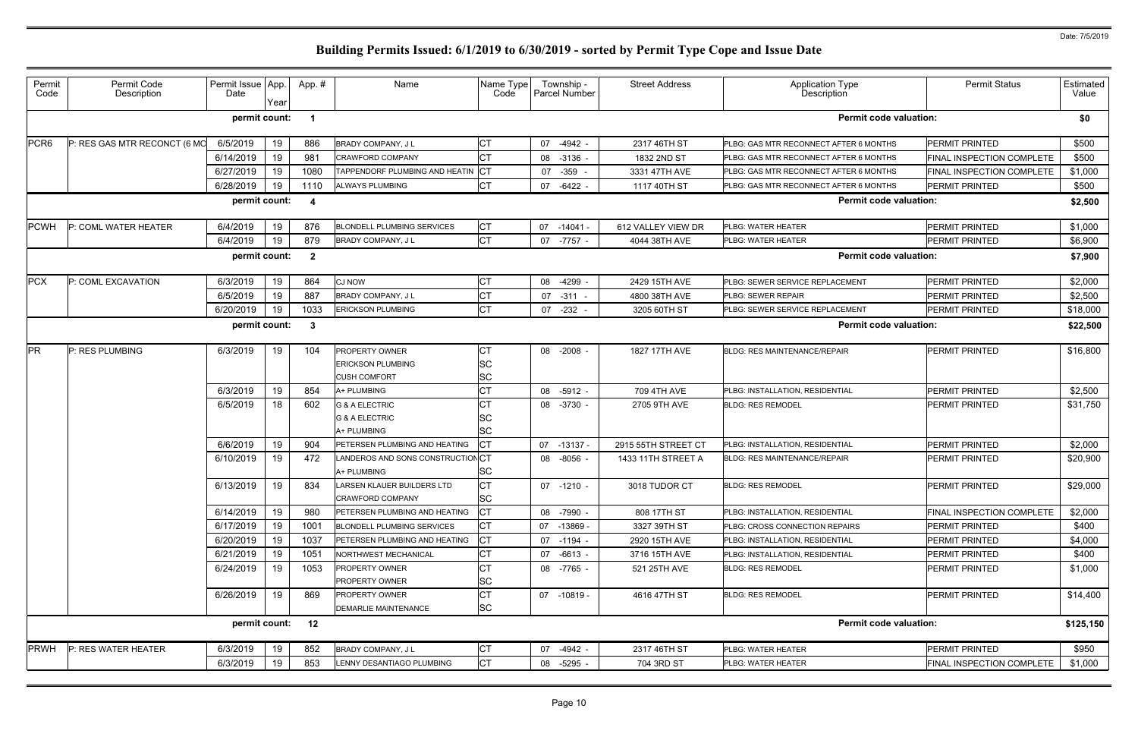| permit count:<br><b>Permit code valuation:</b><br>PCR <sub>6</sub><br>6/5/2019<br>19<br>886<br>СT<br><b>PERMIT PRINTED</b><br>P: RES GAS MTR RECONCT (6 MO<br>BRADY COMPANY, J L<br>07<br>-4942 -<br>PLBG: GAS MTR RECONNECT AFTER 6 MONTHS<br>2317 46TH ST<br>19<br>6/14/2019<br>981<br><b>CRAWFORD COMPANY</b><br>08 -3136 -<br>1832 2ND ST<br>PLBG: GAS MTR RECONNECT AFTER 6 MONTHS<br>19<br>6/27/2019<br>1080<br>TAPPENDORF PLUMBING AND HEATIN<br>IСT<br>$-359$<br>PLBG: GAS MTR RECONNECT AFTER 6 MONTHS<br>07<br>3331 47TH AVE<br>19<br>СT<br>6/28/2019<br>1110<br>ALWAYS PLUMBING<br>07 -6422 -<br>1117 40TH ST<br>PLBG: GAS MTR RECONNECT AFTER 6 MONTHS<br>PERMIT PRINTED<br>permit count:<br><b>Permit code valuation:</b><br>-4<br><b>CT</b><br><b>PCWH</b><br>19<br>PLBG: WATER HEATER<br><b>PERMIT PRINTED</b><br>P: COML WATER HEATER<br>6/4/2019<br>876<br><b>BLONDELL PLUMBING SERVICES</b><br>07 -14041 -<br>612 VALLEY VIEW DR<br><b>CT</b><br>19<br>6/4/2019<br>879<br>BRADY COMPANY, J L<br>PERMIT PRINTED<br>07 -7757 -<br><b>PLBG: WATER HEATER</b><br>4044 38TH AVE<br>permit count:<br><b>Permit code valuation:</b><br>$\overline{\mathbf{2}}$<br><b>PCX</b><br>6/3/2019<br>19<br>864<br><b>CJ NOW</b><br>CТ<br>08 -4299 -<br>PLBG: SEWER SERVICE REPLACEMENT<br><b>PERMIT PRINTED</b><br>P: COML EXCAVATION<br>2429 15TH AVE<br>19<br>СT<br>6/5/2019<br>887<br>BRADY COMPANY, J L<br>07 -311<br>4800 38TH AVE<br><b>PLBG: SEWER REPAIR</b><br><b>PERMIT PRINTED</b><br>19<br>СT<br>6/20/2019<br>1033<br>07 -232<br>3205 60TH ST<br>PERMIT PRINTED<br><b>ERICKSON PLUMBING</b><br>PLBG: SEWER SERVICE REPLACEMENT<br><b>Permit code valuation:</b><br>permit count:<br>- 3<br><b>PR</b><br>6/3/2019<br>19<br>104<br><b>PROPERTY OWNER</b><br><b>PERMIT PRINTED</b><br>P: RES PLUMBING<br>08 -2008 -<br>1827 17TH AVE<br><b>BLDG: RES MAINTENANCE/REPAIR</b><br>SC<br><b>ERICKSON PLUMBING</b><br>SC<br><b>CUSH COMFORT</b><br>СT<br>6/3/2019<br>19<br>854<br>08 -5912 -<br>709 4TH AVE<br><b>PERMIT PRINTED</b><br>A+ PLUMBING<br>PLBG: INSTALLATION, RESIDENTIAL<br>СT<br>6/5/2019<br>18<br>602<br><b>G &amp; A ELECTRIC</b><br>08 -3730 -<br>2705 9TH AVE<br><b>PERMIT PRINTED</b><br><b>BLDG: RES REMODEL</b><br>SC<br><b>G &amp; A ELECTRIC</b><br>SC<br>A+ PLUMBING<br>6/6/2019<br>19<br>904<br>07 -13137<br>2915 55TH STREET CT<br>PERMIT PRINTED<br>PETERSEN PLUMBING AND HEATING<br>PLBG: INSTALLATION, RESIDENTIAL<br>19<br>6/10/2019<br>472<br>LANDEROS AND SONS CONSTRUCTIONCT<br>PERMIT PRINTED<br>08 -8056 -<br>1433 11TH STREET A<br>BLDG: RES MAINTENANCE/REPAIR<br>SC<br>A+ PLUMBING<br><b>CT</b><br>19<br>6/13/2019<br>834<br><b>PERMIT PRINTED</b><br><b>LARSEN KLAUER BUILDERS LTD</b><br>07 -1210 -<br>3018 TUDOR CT<br><b>BLDG: RES REMODEL</b><br><b>SC</b><br><b>CRAWFORD COMPANY</b><br>19<br>СT<br>6/14/2019<br>980<br>PETERSEN PLUMBING AND HEATING<br>-7990 -<br>808 17TH ST<br>08<br><b>PLBG: INSTALLATION, RESIDENTIAL</b><br>6/17/2019<br>19<br>СT<br>1001<br><b>BLONDELL PLUMBING SERVICES</b><br>07 -13869 -<br>3327 39TH ST<br>PLBG: CROSS CONNECTION REPAIRS<br><b>PERMIT PRINTED</b><br>19<br>СT<br>6/20/2019<br>1037<br>PETERSEN PLUMBING AND HEATING<br>PERMIT PRINTED<br>07 -1194 -<br>2920 15TH AVE<br>PLBG: INSTALLATION, RESIDENTIAL<br>СT<br>19<br>6/21/2019<br>1051<br>NORTHWEST MECHANICAL<br>PERMIT PRINTED<br>07 -6613 -<br>3716 15TH AVE<br>PLBG: INSTALLATION, RESIDENTIAL<br>СT<br>6/24/2019<br>19<br>1053<br>PERMIT PRINTED<br><b>PROPERTY OWNER</b><br>08 -7765 -<br>521 25TH AVE<br><b>BLDG: RES REMODEL</b><br>SC<br><b>PROPERTY OWNER</b><br>СT<br>6/26/2019<br>19<br>869<br><b>BLDG: RES REMODEL</b><br><b>PROPERTY OWNER</b><br>07 -10819 -<br>4616 47TH ST<br>PERMIT PRINTED<br><b>SC</b><br>DEMARLIE MAINTENANCE<br><b>Permit code valuation:</b><br>permit count:<br>12<br>BRADY COMPANY, J L<br>PLBG: WATER HEATER<br>07 -4942 - | Permit<br>Code | Permit Code<br>Description | Permit Issue   App.<br>Date | Year | App. # | Name | Name Type<br>Code | Township -<br><b>Parcel Number</b> | <b>Street Address</b> | Application Type<br>Description | <b>Permit Status</b>      | Estimated<br>Value |
|-------------------------------------------------------------------------------------------------------------------------------------------------------------------------------------------------------------------------------------------------------------------------------------------------------------------------------------------------------------------------------------------------------------------------------------------------------------------------------------------------------------------------------------------------------------------------------------------------------------------------------------------------------------------------------------------------------------------------------------------------------------------------------------------------------------------------------------------------------------------------------------------------------------------------------------------------------------------------------------------------------------------------------------------------------------------------------------------------------------------------------------------------------------------------------------------------------------------------------------------------------------------------------------------------------------------------------------------------------------------------------------------------------------------------------------------------------------------------------------------------------------------------------------------------------------------------------------------------------------------------------------------------------------------------------------------------------------------------------------------------------------------------------------------------------------------------------------------------------------------------------------------------------------------------------------------------------------------------------------------------------------------------------------------------------------------------------------------------------------------------------------------------------------------------------------------------------------------------------------------------------------------------------------------------------------------------------------------------------------------------------------------------------------------------------------------------------------------------------------------------------------------------------------------------------------------------------------------------------------------------------------------------------------------------------------------------------------------------------------------------------------------------------------------------------------------------------------------------------------------------------------------------------------------------------------------------------------------------------------------------------------------------------------------------------------------------------------------------------------------------------------------------------------------------------------------------------------------------------------------------------------------------------------------------------------------------------------------------------------------------------------------------------------------------------------------------------------------------------------------------------------------------------------------------------------------------------------------------------------------------------------------------------------------------------------------------------------------------------------------------------------------------------------------------------------------------------------------------------------------------------------------------------------------------|----------------|----------------------------|-----------------------------|------|--------|------|-------------------|------------------------------------|-----------------------|---------------------------------|---------------------------|--------------------|
|                                                                                                                                                                                                                                                                                                                                                                                                                                                                                                                                                                                                                                                                                                                                                                                                                                                                                                                                                                                                                                                                                                                                                                                                                                                                                                                                                                                                                                                                                                                                                                                                                                                                                                                                                                                                                                                                                                                                                                                                                                                                                                                                                                                                                                                                                                                                                                                                                                                                                                                                                                                                                                                                                                                                                                                                                                                                                                                                                                                                                                                                                                                                                                                                                                                                                                                                                                                                                                                                                                                                                                                                                                                                                                                                                                                                                                                                                                                         |                |                            |                             |      |        |      |                   |                                    |                       |                                 |                           | \$0                |
|                                                                                                                                                                                                                                                                                                                                                                                                                                                                                                                                                                                                                                                                                                                                                                                                                                                                                                                                                                                                                                                                                                                                                                                                                                                                                                                                                                                                                                                                                                                                                                                                                                                                                                                                                                                                                                                                                                                                                                                                                                                                                                                                                                                                                                                                                                                                                                                                                                                                                                                                                                                                                                                                                                                                                                                                                                                                                                                                                                                                                                                                                                                                                                                                                                                                                                                                                                                                                                                                                                                                                                                                                                                                                                                                                                                                                                                                                                                         |                |                            |                             |      |        |      |                   |                                    |                       |                                 |                           | \$500              |
|                                                                                                                                                                                                                                                                                                                                                                                                                                                                                                                                                                                                                                                                                                                                                                                                                                                                                                                                                                                                                                                                                                                                                                                                                                                                                                                                                                                                                                                                                                                                                                                                                                                                                                                                                                                                                                                                                                                                                                                                                                                                                                                                                                                                                                                                                                                                                                                                                                                                                                                                                                                                                                                                                                                                                                                                                                                                                                                                                                                                                                                                                                                                                                                                                                                                                                                                                                                                                                                                                                                                                                                                                                                                                                                                                                                                                                                                                                                         |                |                            |                             |      |        |      |                   |                                    |                       |                                 | FINAL INSPECTION COMPLETE | \$500              |
|                                                                                                                                                                                                                                                                                                                                                                                                                                                                                                                                                                                                                                                                                                                                                                                                                                                                                                                                                                                                                                                                                                                                                                                                                                                                                                                                                                                                                                                                                                                                                                                                                                                                                                                                                                                                                                                                                                                                                                                                                                                                                                                                                                                                                                                                                                                                                                                                                                                                                                                                                                                                                                                                                                                                                                                                                                                                                                                                                                                                                                                                                                                                                                                                                                                                                                                                                                                                                                                                                                                                                                                                                                                                                                                                                                                                                                                                                                                         |                |                            |                             |      |        |      |                   |                                    |                       |                                 | FINAL INSPECTION COMPLETE | \$1,000            |
|                                                                                                                                                                                                                                                                                                                                                                                                                                                                                                                                                                                                                                                                                                                                                                                                                                                                                                                                                                                                                                                                                                                                                                                                                                                                                                                                                                                                                                                                                                                                                                                                                                                                                                                                                                                                                                                                                                                                                                                                                                                                                                                                                                                                                                                                                                                                                                                                                                                                                                                                                                                                                                                                                                                                                                                                                                                                                                                                                                                                                                                                                                                                                                                                                                                                                                                                                                                                                                                                                                                                                                                                                                                                                                                                                                                                                                                                                                                         |                |                            |                             |      |        |      |                   |                                    |                       |                                 |                           | \$500              |
|                                                                                                                                                                                                                                                                                                                                                                                                                                                                                                                                                                                                                                                                                                                                                                                                                                                                                                                                                                                                                                                                                                                                                                                                                                                                                                                                                                                                                                                                                                                                                                                                                                                                                                                                                                                                                                                                                                                                                                                                                                                                                                                                                                                                                                                                                                                                                                                                                                                                                                                                                                                                                                                                                                                                                                                                                                                                                                                                                                                                                                                                                                                                                                                                                                                                                                                                                                                                                                                                                                                                                                                                                                                                                                                                                                                                                                                                                                                         |                |                            |                             |      |        |      |                   |                                    |                       |                                 |                           | \$2,500            |
|                                                                                                                                                                                                                                                                                                                                                                                                                                                                                                                                                                                                                                                                                                                                                                                                                                                                                                                                                                                                                                                                                                                                                                                                                                                                                                                                                                                                                                                                                                                                                                                                                                                                                                                                                                                                                                                                                                                                                                                                                                                                                                                                                                                                                                                                                                                                                                                                                                                                                                                                                                                                                                                                                                                                                                                                                                                                                                                                                                                                                                                                                                                                                                                                                                                                                                                                                                                                                                                                                                                                                                                                                                                                                                                                                                                                                                                                                                                         |                |                            |                             |      |        |      |                   |                                    |                       |                                 |                           | \$1,000            |
|                                                                                                                                                                                                                                                                                                                                                                                                                                                                                                                                                                                                                                                                                                                                                                                                                                                                                                                                                                                                                                                                                                                                                                                                                                                                                                                                                                                                                                                                                                                                                                                                                                                                                                                                                                                                                                                                                                                                                                                                                                                                                                                                                                                                                                                                                                                                                                                                                                                                                                                                                                                                                                                                                                                                                                                                                                                                                                                                                                                                                                                                                                                                                                                                                                                                                                                                                                                                                                                                                                                                                                                                                                                                                                                                                                                                                                                                                                                         |                |                            |                             |      |        |      |                   |                                    |                       |                                 |                           | \$6,900            |
|                                                                                                                                                                                                                                                                                                                                                                                                                                                                                                                                                                                                                                                                                                                                                                                                                                                                                                                                                                                                                                                                                                                                                                                                                                                                                                                                                                                                                                                                                                                                                                                                                                                                                                                                                                                                                                                                                                                                                                                                                                                                                                                                                                                                                                                                                                                                                                                                                                                                                                                                                                                                                                                                                                                                                                                                                                                                                                                                                                                                                                                                                                                                                                                                                                                                                                                                                                                                                                                                                                                                                                                                                                                                                                                                                                                                                                                                                                                         |                |                            |                             |      |        |      |                   |                                    |                       |                                 |                           | \$7,900            |
|                                                                                                                                                                                                                                                                                                                                                                                                                                                                                                                                                                                                                                                                                                                                                                                                                                                                                                                                                                                                                                                                                                                                                                                                                                                                                                                                                                                                                                                                                                                                                                                                                                                                                                                                                                                                                                                                                                                                                                                                                                                                                                                                                                                                                                                                                                                                                                                                                                                                                                                                                                                                                                                                                                                                                                                                                                                                                                                                                                                                                                                                                                                                                                                                                                                                                                                                                                                                                                                                                                                                                                                                                                                                                                                                                                                                                                                                                                                         |                |                            |                             |      |        |      |                   |                                    |                       |                                 |                           | \$2,000            |
|                                                                                                                                                                                                                                                                                                                                                                                                                                                                                                                                                                                                                                                                                                                                                                                                                                                                                                                                                                                                                                                                                                                                                                                                                                                                                                                                                                                                                                                                                                                                                                                                                                                                                                                                                                                                                                                                                                                                                                                                                                                                                                                                                                                                                                                                                                                                                                                                                                                                                                                                                                                                                                                                                                                                                                                                                                                                                                                                                                                                                                                                                                                                                                                                                                                                                                                                                                                                                                                                                                                                                                                                                                                                                                                                                                                                                                                                                                                         |                |                            |                             |      |        |      |                   |                                    |                       |                                 |                           | \$2,500            |
|                                                                                                                                                                                                                                                                                                                                                                                                                                                                                                                                                                                                                                                                                                                                                                                                                                                                                                                                                                                                                                                                                                                                                                                                                                                                                                                                                                                                                                                                                                                                                                                                                                                                                                                                                                                                                                                                                                                                                                                                                                                                                                                                                                                                                                                                                                                                                                                                                                                                                                                                                                                                                                                                                                                                                                                                                                                                                                                                                                                                                                                                                                                                                                                                                                                                                                                                                                                                                                                                                                                                                                                                                                                                                                                                                                                                                                                                                                                         |                |                            |                             |      |        |      |                   |                                    |                       |                                 |                           | \$18,000           |
|                                                                                                                                                                                                                                                                                                                                                                                                                                                                                                                                                                                                                                                                                                                                                                                                                                                                                                                                                                                                                                                                                                                                                                                                                                                                                                                                                                                                                                                                                                                                                                                                                                                                                                                                                                                                                                                                                                                                                                                                                                                                                                                                                                                                                                                                                                                                                                                                                                                                                                                                                                                                                                                                                                                                                                                                                                                                                                                                                                                                                                                                                                                                                                                                                                                                                                                                                                                                                                                                                                                                                                                                                                                                                                                                                                                                                                                                                                                         |                |                            |                             |      |        |      |                   |                                    |                       |                                 |                           | \$22,500           |
|                                                                                                                                                                                                                                                                                                                                                                                                                                                                                                                                                                                                                                                                                                                                                                                                                                                                                                                                                                                                                                                                                                                                                                                                                                                                                                                                                                                                                                                                                                                                                                                                                                                                                                                                                                                                                                                                                                                                                                                                                                                                                                                                                                                                                                                                                                                                                                                                                                                                                                                                                                                                                                                                                                                                                                                                                                                                                                                                                                                                                                                                                                                                                                                                                                                                                                                                                                                                                                                                                                                                                                                                                                                                                                                                                                                                                                                                                                                         |                |                            |                             |      |        |      |                   |                                    |                       |                                 |                           | \$16,800           |
|                                                                                                                                                                                                                                                                                                                                                                                                                                                                                                                                                                                                                                                                                                                                                                                                                                                                                                                                                                                                                                                                                                                                                                                                                                                                                                                                                                                                                                                                                                                                                                                                                                                                                                                                                                                                                                                                                                                                                                                                                                                                                                                                                                                                                                                                                                                                                                                                                                                                                                                                                                                                                                                                                                                                                                                                                                                                                                                                                                                                                                                                                                                                                                                                                                                                                                                                                                                                                                                                                                                                                                                                                                                                                                                                                                                                                                                                                                                         |                |                            |                             |      |        |      |                   |                                    |                       |                                 |                           |                    |
|                                                                                                                                                                                                                                                                                                                                                                                                                                                                                                                                                                                                                                                                                                                                                                                                                                                                                                                                                                                                                                                                                                                                                                                                                                                                                                                                                                                                                                                                                                                                                                                                                                                                                                                                                                                                                                                                                                                                                                                                                                                                                                                                                                                                                                                                                                                                                                                                                                                                                                                                                                                                                                                                                                                                                                                                                                                                                                                                                                                                                                                                                                                                                                                                                                                                                                                                                                                                                                                                                                                                                                                                                                                                                                                                                                                                                                                                                                                         |                |                            |                             |      |        |      |                   |                                    |                       |                                 |                           |                    |
|                                                                                                                                                                                                                                                                                                                                                                                                                                                                                                                                                                                                                                                                                                                                                                                                                                                                                                                                                                                                                                                                                                                                                                                                                                                                                                                                                                                                                                                                                                                                                                                                                                                                                                                                                                                                                                                                                                                                                                                                                                                                                                                                                                                                                                                                                                                                                                                                                                                                                                                                                                                                                                                                                                                                                                                                                                                                                                                                                                                                                                                                                                                                                                                                                                                                                                                                                                                                                                                                                                                                                                                                                                                                                                                                                                                                                                                                                                                         |                |                            |                             |      |        |      |                   |                                    |                       |                                 |                           | \$2,500            |
|                                                                                                                                                                                                                                                                                                                                                                                                                                                                                                                                                                                                                                                                                                                                                                                                                                                                                                                                                                                                                                                                                                                                                                                                                                                                                                                                                                                                                                                                                                                                                                                                                                                                                                                                                                                                                                                                                                                                                                                                                                                                                                                                                                                                                                                                                                                                                                                                                                                                                                                                                                                                                                                                                                                                                                                                                                                                                                                                                                                                                                                                                                                                                                                                                                                                                                                                                                                                                                                                                                                                                                                                                                                                                                                                                                                                                                                                                                                         |                |                            |                             |      |        |      |                   |                                    |                       |                                 |                           | \$31,750           |
|                                                                                                                                                                                                                                                                                                                                                                                                                                                                                                                                                                                                                                                                                                                                                                                                                                                                                                                                                                                                                                                                                                                                                                                                                                                                                                                                                                                                                                                                                                                                                                                                                                                                                                                                                                                                                                                                                                                                                                                                                                                                                                                                                                                                                                                                                                                                                                                                                                                                                                                                                                                                                                                                                                                                                                                                                                                                                                                                                                                                                                                                                                                                                                                                                                                                                                                                                                                                                                                                                                                                                                                                                                                                                                                                                                                                                                                                                                                         |                |                            |                             |      |        |      |                   |                                    |                       |                                 |                           |                    |
|                                                                                                                                                                                                                                                                                                                                                                                                                                                                                                                                                                                                                                                                                                                                                                                                                                                                                                                                                                                                                                                                                                                                                                                                                                                                                                                                                                                                                                                                                                                                                                                                                                                                                                                                                                                                                                                                                                                                                                                                                                                                                                                                                                                                                                                                                                                                                                                                                                                                                                                                                                                                                                                                                                                                                                                                                                                                                                                                                                                                                                                                                                                                                                                                                                                                                                                                                                                                                                                                                                                                                                                                                                                                                                                                                                                                                                                                                                                         |                |                            |                             |      |        |      |                   |                                    |                       |                                 |                           |                    |
|                                                                                                                                                                                                                                                                                                                                                                                                                                                                                                                                                                                                                                                                                                                                                                                                                                                                                                                                                                                                                                                                                                                                                                                                                                                                                                                                                                                                                                                                                                                                                                                                                                                                                                                                                                                                                                                                                                                                                                                                                                                                                                                                                                                                                                                                                                                                                                                                                                                                                                                                                                                                                                                                                                                                                                                                                                                                                                                                                                                                                                                                                                                                                                                                                                                                                                                                                                                                                                                                                                                                                                                                                                                                                                                                                                                                                                                                                                                         |                |                            |                             |      |        |      |                   |                                    |                       |                                 |                           | \$2,000            |
|                                                                                                                                                                                                                                                                                                                                                                                                                                                                                                                                                                                                                                                                                                                                                                                                                                                                                                                                                                                                                                                                                                                                                                                                                                                                                                                                                                                                                                                                                                                                                                                                                                                                                                                                                                                                                                                                                                                                                                                                                                                                                                                                                                                                                                                                                                                                                                                                                                                                                                                                                                                                                                                                                                                                                                                                                                                                                                                                                                                                                                                                                                                                                                                                                                                                                                                                                                                                                                                                                                                                                                                                                                                                                                                                                                                                                                                                                                                         |                |                            |                             |      |        |      |                   |                                    |                       |                                 |                           | \$20,900           |
|                                                                                                                                                                                                                                                                                                                                                                                                                                                                                                                                                                                                                                                                                                                                                                                                                                                                                                                                                                                                                                                                                                                                                                                                                                                                                                                                                                                                                                                                                                                                                                                                                                                                                                                                                                                                                                                                                                                                                                                                                                                                                                                                                                                                                                                                                                                                                                                                                                                                                                                                                                                                                                                                                                                                                                                                                                                                                                                                                                                                                                                                                                                                                                                                                                                                                                                                                                                                                                                                                                                                                                                                                                                                                                                                                                                                                                                                                                                         |                |                            |                             |      |        |      |                   |                                    |                       |                                 |                           | \$29,000           |
|                                                                                                                                                                                                                                                                                                                                                                                                                                                                                                                                                                                                                                                                                                                                                                                                                                                                                                                                                                                                                                                                                                                                                                                                                                                                                                                                                                                                                                                                                                                                                                                                                                                                                                                                                                                                                                                                                                                                                                                                                                                                                                                                                                                                                                                                                                                                                                                                                                                                                                                                                                                                                                                                                                                                                                                                                                                                                                                                                                                                                                                                                                                                                                                                                                                                                                                                                                                                                                                                                                                                                                                                                                                                                                                                                                                                                                                                                                                         |                |                            |                             |      |        |      |                   |                                    |                       |                                 |                           |                    |
|                                                                                                                                                                                                                                                                                                                                                                                                                                                                                                                                                                                                                                                                                                                                                                                                                                                                                                                                                                                                                                                                                                                                                                                                                                                                                                                                                                                                                                                                                                                                                                                                                                                                                                                                                                                                                                                                                                                                                                                                                                                                                                                                                                                                                                                                                                                                                                                                                                                                                                                                                                                                                                                                                                                                                                                                                                                                                                                                                                                                                                                                                                                                                                                                                                                                                                                                                                                                                                                                                                                                                                                                                                                                                                                                                                                                                                                                                                                         |                |                            |                             |      |        |      |                   |                                    |                       |                                 | FINAL INSPECTION COMPLETE | \$2,000            |
|                                                                                                                                                                                                                                                                                                                                                                                                                                                                                                                                                                                                                                                                                                                                                                                                                                                                                                                                                                                                                                                                                                                                                                                                                                                                                                                                                                                                                                                                                                                                                                                                                                                                                                                                                                                                                                                                                                                                                                                                                                                                                                                                                                                                                                                                                                                                                                                                                                                                                                                                                                                                                                                                                                                                                                                                                                                                                                                                                                                                                                                                                                                                                                                                                                                                                                                                                                                                                                                                                                                                                                                                                                                                                                                                                                                                                                                                                                                         |                |                            |                             |      |        |      |                   |                                    |                       |                                 |                           | \$400              |
|                                                                                                                                                                                                                                                                                                                                                                                                                                                                                                                                                                                                                                                                                                                                                                                                                                                                                                                                                                                                                                                                                                                                                                                                                                                                                                                                                                                                                                                                                                                                                                                                                                                                                                                                                                                                                                                                                                                                                                                                                                                                                                                                                                                                                                                                                                                                                                                                                                                                                                                                                                                                                                                                                                                                                                                                                                                                                                                                                                                                                                                                                                                                                                                                                                                                                                                                                                                                                                                                                                                                                                                                                                                                                                                                                                                                                                                                                                                         |                |                            |                             |      |        |      |                   |                                    |                       |                                 |                           | \$4,000            |
|                                                                                                                                                                                                                                                                                                                                                                                                                                                                                                                                                                                                                                                                                                                                                                                                                                                                                                                                                                                                                                                                                                                                                                                                                                                                                                                                                                                                                                                                                                                                                                                                                                                                                                                                                                                                                                                                                                                                                                                                                                                                                                                                                                                                                                                                                                                                                                                                                                                                                                                                                                                                                                                                                                                                                                                                                                                                                                                                                                                                                                                                                                                                                                                                                                                                                                                                                                                                                                                                                                                                                                                                                                                                                                                                                                                                                                                                                                                         |                |                            |                             |      |        |      |                   |                                    |                       |                                 |                           | \$400              |
|                                                                                                                                                                                                                                                                                                                                                                                                                                                                                                                                                                                                                                                                                                                                                                                                                                                                                                                                                                                                                                                                                                                                                                                                                                                                                                                                                                                                                                                                                                                                                                                                                                                                                                                                                                                                                                                                                                                                                                                                                                                                                                                                                                                                                                                                                                                                                                                                                                                                                                                                                                                                                                                                                                                                                                                                                                                                                                                                                                                                                                                                                                                                                                                                                                                                                                                                                                                                                                                                                                                                                                                                                                                                                                                                                                                                                                                                                                                         |                |                            |                             |      |        |      |                   |                                    |                       |                                 |                           | \$1,000            |
|                                                                                                                                                                                                                                                                                                                                                                                                                                                                                                                                                                                                                                                                                                                                                                                                                                                                                                                                                                                                                                                                                                                                                                                                                                                                                                                                                                                                                                                                                                                                                                                                                                                                                                                                                                                                                                                                                                                                                                                                                                                                                                                                                                                                                                                                                                                                                                                                                                                                                                                                                                                                                                                                                                                                                                                                                                                                                                                                                                                                                                                                                                                                                                                                                                                                                                                                                                                                                                                                                                                                                                                                                                                                                                                                                                                                                                                                                                                         |                |                            |                             |      |        |      |                   |                                    |                       |                                 |                           |                    |
|                                                                                                                                                                                                                                                                                                                                                                                                                                                                                                                                                                                                                                                                                                                                                                                                                                                                                                                                                                                                                                                                                                                                                                                                                                                                                                                                                                                                                                                                                                                                                                                                                                                                                                                                                                                                                                                                                                                                                                                                                                                                                                                                                                                                                                                                                                                                                                                                                                                                                                                                                                                                                                                                                                                                                                                                                                                                                                                                                                                                                                                                                                                                                                                                                                                                                                                                                                                                                                                                                                                                                                                                                                                                                                                                                                                                                                                                                                                         |                |                            |                             |      |        |      |                   |                                    |                       |                                 |                           | \$14,400           |
|                                                                                                                                                                                                                                                                                                                                                                                                                                                                                                                                                                                                                                                                                                                                                                                                                                                                                                                                                                                                                                                                                                                                                                                                                                                                                                                                                                                                                                                                                                                                                                                                                                                                                                                                                                                                                                                                                                                                                                                                                                                                                                                                                                                                                                                                                                                                                                                                                                                                                                                                                                                                                                                                                                                                                                                                                                                                                                                                                                                                                                                                                                                                                                                                                                                                                                                                                                                                                                                                                                                                                                                                                                                                                                                                                                                                                                                                                                                         |                |                            |                             |      |        |      |                   |                                    |                       |                                 |                           |                    |
|                                                                                                                                                                                                                                                                                                                                                                                                                                                                                                                                                                                                                                                                                                                                                                                                                                                                                                                                                                                                                                                                                                                                                                                                                                                                                                                                                                                                                                                                                                                                                                                                                                                                                                                                                                                                                                                                                                                                                                                                                                                                                                                                                                                                                                                                                                                                                                                                                                                                                                                                                                                                                                                                                                                                                                                                                                                                                                                                                                                                                                                                                                                                                                                                                                                                                                                                                                                                                                                                                                                                                                                                                                                                                                                                                                                                                                                                                                                         |                |                            |                             |      |        |      |                   |                                    |                       |                                 |                           | \$125,150          |
|                                                                                                                                                                                                                                                                                                                                                                                                                                                                                                                                                                                                                                                                                                                                                                                                                                                                                                                                                                                                                                                                                                                                                                                                                                                                                                                                                                                                                                                                                                                                                                                                                                                                                                                                                                                                                                                                                                                                                                                                                                                                                                                                                                                                                                                                                                                                                                                                                                                                                                                                                                                                                                                                                                                                                                                                                                                                                                                                                                                                                                                                                                                                                                                                                                                                                                                                                                                                                                                                                                                                                                                                                                                                                                                                                                                                                                                                                                                         | <b>PRWH</b>    | P: RES WATER HEATER        | 6/3/2019                    | 19   | 852    |      | СT                |                                    | 2317 46TH ST          |                                 | PERMIT PRINTED            | \$950              |
| <b>CT</b><br>6/3/2019<br>19<br>853<br>LENNY DESANTIAGO PLUMBING<br>-5295<br>704 3RD ST<br><b>PLBG: WATER HEATER</b><br>08                                                                                                                                                                                                                                                                                                                                                                                                                                                                                                                                                                                                                                                                                                                                                                                                                                                                                                                                                                                                                                                                                                                                                                                                                                                                                                                                                                                                                                                                                                                                                                                                                                                                                                                                                                                                                                                                                                                                                                                                                                                                                                                                                                                                                                                                                                                                                                                                                                                                                                                                                                                                                                                                                                                                                                                                                                                                                                                                                                                                                                                                                                                                                                                                                                                                                                                                                                                                                                                                                                                                                                                                                                                                                                                                                                                               |                |                            |                             |      |        |      |                   |                                    |                       |                                 | FINAL INSPECTION COMPLETE | \$1,000            |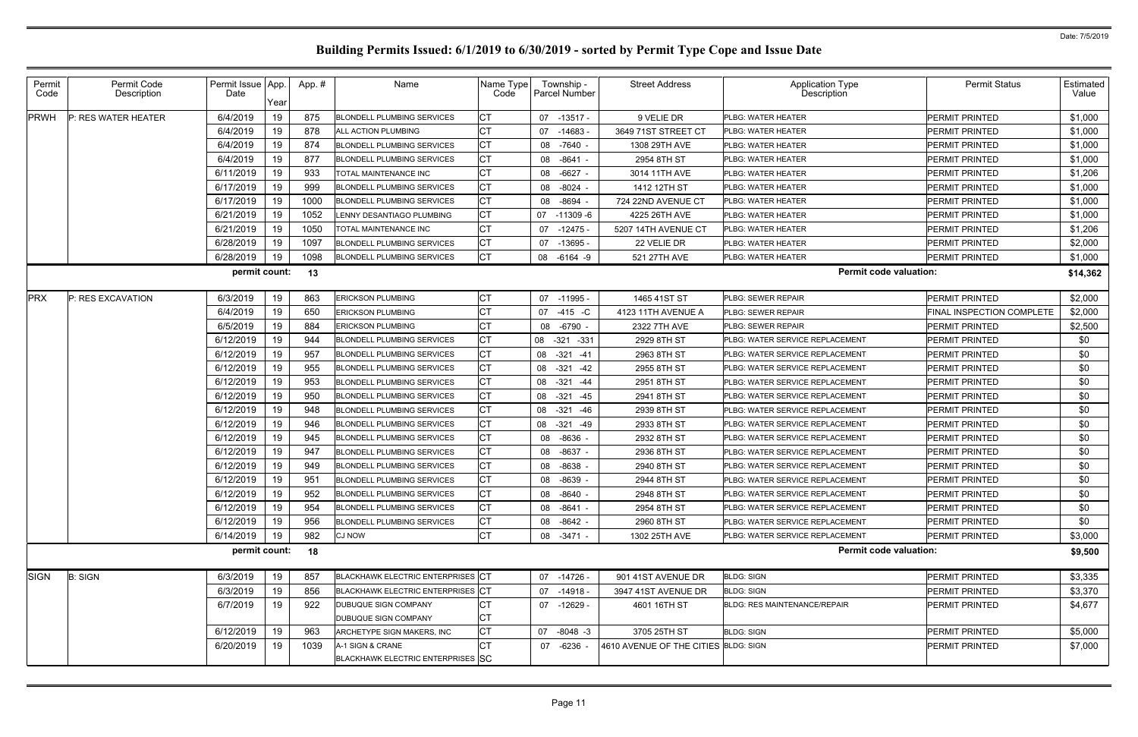| Permit<br>Code | Permit Code<br>Description | Permit Issue App.<br>Date | Year | App.# | Name                                                  | Name Type<br>Code | Township -<br>Parcel Number | <b>Street Address</b>                | <b>Application Type</b><br>Description  | <b>Permit Status</b>             | Estimated<br>Value |
|----------------|----------------------------|---------------------------|------|-------|-------------------------------------------------------|-------------------|-----------------------------|--------------------------------------|-----------------------------------------|----------------------------------|--------------------|
| <b>PRWH</b>    | P: RES WATER HEATER        | 6/4/2019                  | 19   | 875   | <b>BLONDELL PLUMBING SERVICES</b>                     | CT                | 07 -13517 -                 | 9 VELIE DR                           | PLBG: WATER HEATER                      | <b>PERMIT PRINTED</b>            | \$1,000            |
|                |                            | 6/4/2019                  | 19   | 878   | <b>ALL ACTION PLUMBING</b>                            | <b>CT</b>         | 07 -14683                   | 3649 71ST STREET CT                  | <b>PLBG: WATER HEATER</b>               | <b>PERMIT PRINTED</b>            | \$1,000            |
|                |                            | 6/4/2019                  | 19   | 874   | <b>BLONDELL PLUMBING SERVICES</b>                     | <b>CT</b>         | 08 -7640 -                  | 1308 29TH AVE                        | <b>PLBG: WATER HEATER</b>               | <b>PERMIT PRINTED</b>            | \$1,000            |
|                |                            | 6/4/2019                  | 19   | 877   | <b>BLONDELL PLUMBING SERVICES</b>                     | <b>CT</b>         | 08 -8641 -                  | 2954 8TH ST                          | <b>PLBG: WATER HEATER</b>               | <b>PERMIT PRINTED</b>            | \$1,000            |
|                |                            | 6/11/2019                 | 19   | 933   | <b>TOTAL MAINTENANCE INC</b>                          | <b>CT</b>         | 08 -6627 -                  | 3014 11TH AVE                        | <b>PLBG: WATER HEATER</b>               | <b>PERMIT PRINTED</b>            | \$1,206            |
|                |                            | 6/17/2019                 | 19   | 999   | <b>BLONDELL PLUMBING SERVICES</b>                     | <b>CT</b>         | 08 -8024 -                  | 1412 12TH ST                         | <b>PLBG: WATER HEATER</b>               | <b>PERMIT PRINTED</b>            | \$1,000            |
|                |                            | 6/17/2019                 | 19   | 1000  | <b>BLONDELL PLUMBING SERVICES</b>                     | <b>CT</b>         | 08 -8694                    | 724 22ND AVENUE CT                   | <b>PLBG: WATER HEATER</b>               | <b>PERMIT PRINTED</b>            | \$1,000            |
|                |                            | 6/21/2019                 | 19   | 1052  | LENNY DESANTIAGO PLUMBING                             | <b>CT</b>         | 07<br>-11309 -6             | 4225 26TH AVE                        | <b>PLBG: WATER HEATER</b>               | <b>PERMIT PRINTED</b>            | \$1,000            |
|                |                            | 6/21/2019                 | 19   | 1050  | TOTAL MAINTENANCE INC                                 | <b>CT</b>         | 07<br>$-12475$              | 5207 14TH AVENUE CT                  | <b>PLBG: WATER HEATER</b>               | <b>PERMIT PRINTED</b>            | \$1,206            |
|                |                            | 6/28/2019                 | 19   | 1097  | <b>BLONDELL PLUMBING SERVICES</b>                     | <b>CT</b>         | 07<br>-13695 -              | 22 VELIE DR                          | <b>PLBG: WATER HEATER</b>               | <b>PERMIT PRINTED</b>            | \$2,000            |
|                |                            | 6/28/2019                 | 19   | 1098  | <b>BLONDELL PLUMBING SERVICES</b>                     | <b>CT</b>         | 08 -6164 -9                 | 521 27TH AVE                         | PLBG: WATER HEATER                      | <b>PERMIT PRINTED</b>            | \$1,000            |
|                |                            | permit count:             |      | 13    |                                                       |                   |                             |                                      | <b>Permit code valuation:</b>           |                                  | \$14,362           |
| <b>PRX</b>     | P: RES EXCAVATION          | 6/3/2019                  | 19   | 863   | <b>ERICKSON PLUMBING</b>                              | СT                | 07 -11995 -                 | 1465 41ST ST                         | <b>PLBG: SEWER REPAIR</b>               | <b>PERMIT PRINTED</b>            | \$2,000            |
|                |                            | 6/4/2019                  | 19   | 650   | <b>ERICKSON PLUMBING</b>                              | CT                | 07 -415 -C                  | 4123 11TH AVENUE A                   | <b>PLBG: SEWER REPAIR</b>               | <b>FINAL INSPECTION COMPLETE</b> | \$2,000            |
|                |                            | 6/5/2019                  | 19   | 884   | <b>ERICKSON PLUMBING</b>                              | СT                | 08 -6790 -                  | 2322 7TH AVE                         | <b>PLBG: SEWER REPAIR</b>               | <b>PERMIT PRINTED</b>            | \$2,500            |
|                |                            | 6/12/2019                 | 19   | 944   | <b>BLONDELL PLUMBING SERVICES</b>                     | СT                | 08 -321 -331                | 2929 8TH ST                          | PLBG: WATER SERVICE REPLACEMENT         | <b>PERMIT PRINTED</b>            | \$0                |
|                |                            | 6/12/2019                 | 19   | 957   | <b>BLONDELL PLUMBING SERVICES</b>                     | <b>CT</b>         | 08 - 321 - 41               | 2963 8TH ST                          | <b>PLBG: WATER SERVICE REPLACEMENT</b>  | <b>PERMIT PRINTED</b>            | \$0                |
|                |                            | 6/12/2019                 | 19   | 955   | <b>BLONDELL PLUMBING SERVICES</b>                     | <b>CT</b>         | 08<br>$-321$<br>$-42$       | 2955 8TH ST                          | PLBG: WATER SERVICE REPLACEMENT         | <b>PERMIT PRINTED</b>            | \$0                |
|                |                            | 6/12/2019                 | 19   | 953   | <b>BLONDELL PLUMBING SERVICES</b>                     | <b>CT</b>         | 08 - 321 - 44               | 2951 8TH ST                          | <b>IPLBG: WATER SERVICE REPLACEMENT</b> | <b>PERMIT PRINTED</b>            | \$0                |
|                |                            | 6/12/2019                 | 19   | 950   | <b>BLONDELL PLUMBING SERVICES</b>                     | СT                | 08<br>$-321$<br>-45         | 2941 8TH ST                          | PLBG: WATER SERVICE REPLACEMENT         | <b>PERMIT PRINTED</b>            | \$0                |
|                |                            | 6/12/2019                 | 19   | 948   | <b>BLONDELL PLUMBING SERVICES</b>                     | <b>CT</b>         | 08 -321 -46                 | 2939 8TH ST                          | <b>PLBG: WATER SERVICE REPLACEMENT</b>  | <b>PERMIT PRINTED</b>            | \$0                |
|                |                            | 6/12/2019                 | 19   | 946   | <b>BLONDELL PLUMBING SERVICES</b>                     | СT                | 08<br>$-321 - 49$           | 2933 8TH ST                          | PLBG: WATER SERVICE REPLACEMENT         | <b>IPERMIT PRINTED</b>           | \$0                |
|                |                            | 6/12/2019                 | 19   | 945   | <b>BLONDELL PLUMBING SERVICES</b>                     | <b>CT</b>         | 08 -8636 -                  | 2932 8TH ST                          | <b>PLBG: WATER SERVICE REPLACEMENT</b>  | <b>PERMIT PRINTED</b>            | \$0                |
|                |                            | 6/12/2019                 | 19   | 947   | <b>BLONDELL PLUMBING SERVICES</b>                     | <b>CT</b>         | 08 -8637 -                  | 2936 8TH ST                          | PLBG: WATER SERVICE REPLACEMENT         | <b>PERMIT PRINTED</b>            | \$0                |
|                |                            | 6/12/2019                 | 19   | 949   | <b>BLONDELL PLUMBING SERVICES</b>                     | <b>CT</b>         | 08 -8638                    | 2940 8TH ST                          | PLBG: WATER SERVICE REPLACEMENT         | <b>PERMIT PRINTED</b>            | \$0                |
|                |                            | 6/12/2019                 | 19   | 951   | <b>BLONDELL PLUMBING SERVICES</b>                     | CT                | 08 -8639 -                  | 2944 8TH ST                          | PLBG: WATER SERVICE REPLACEMENT         | PERMIT PRINTED                   | \$0                |
|                |                            | 6/12/2019                 | 19   | 952   | <b>BLONDELL PLUMBING SERVICES</b>                     | IСТ               | 08 -8640 -                  | 2948 8TH ST                          | <b>PLBG: WATER SERVICE REPLACEMENT</b>  | <b>PERMIT PRINTED</b>            | \$0                |
|                |                            | 6/12/2019                 | 19   | 954   | <b>BLONDELL PLUMBING SERVICES</b>                     | <b>CT</b>         | 08 -8641 -                  | 2954 8TH ST                          | PLBG: WATER SERVICE REPLACEMENT         | PERMIT PRINTED                   | \$0                |
|                |                            | 6/12/2019                 | 19   | 956   | <b>BLONDELL PLUMBING SERVICES</b>                     | <b>CT</b>         | 08 -8642 -                  | 2960 8TH ST                          | <b>PLBG: WATER SERVICE REPLACEMENT</b>  | PERMIT PRINTED                   | \$0                |
|                |                            | 6/14/2019                 | 19   | 982   | <b>CJ NOW</b>                                         | <b>CT</b>         | 08 -3471 -                  | 1302 25TH AVE                        | <b>PLBG: WATER SERVICE REPLACEMENT</b>  | <b>PERMIT PRINTED</b>            | \$3,000            |
|                |                            | permit count:             |      | 18    |                                                       |                   |                             |                                      | <b>Permit code valuation:</b>           |                                  | \$9,500            |
| <b>SIGN</b>    | <b>B: SIGN</b>             | 6/3/2019                  | 19   | 857   | BLACKHAWK ELECTRIC ENTERPRISES CT                     |                   | 07 -14726 -                 | 901 41ST AVENUE DR                   | <b>BLDG: SIGN</b>                       | <b>PERMIT PRINTED</b>            | \$3,335            |
|                |                            | 6/3/2019                  | 19   | 856   | BLACKHAWK ELECTRIC ENTERPRISES CT                     |                   | 07 -14918 -                 | 3947 41ST AVENUE DR                  | <b>BLDG: SIGN</b>                       | <b>PERMIT PRINTED</b>            | \$3,370            |
|                |                            | 6/7/2019                  | 19   | 922   | <b>DUBUQUE SIGN COMPANY</b><br>DUBUQUE SIGN COMPANY   | СT<br>CT          | 07 -12629 -                 | 4601 16TH ST                         | <b>BLDG: RES MAINTENANCE/REPAIR</b>     | <b>PERMIT PRINTED</b>            | \$4,677            |
|                |                            | 6/12/2019                 | 19   | 963   | ARCHETYPE SIGN MAKERS, INC                            | <b>CT</b>         | $-8048 - 3$<br>07           | 3705 25TH ST                         | <b>BLDG: SIGN</b>                       | PERMIT PRINTED                   | \$5,000            |
|                |                            | 6/20/2019                 | 19   | 1039  | A-1 SIGN & CRANE<br>BLACKHAWK ELECTRIC ENTERPRISES SC | <b>CT</b>         | 07 -6236 -                  | 4610 AVENUE OF THE CITIES BLDG: SIGN |                                         | PERMIT PRINTED                   | \$7,000            |